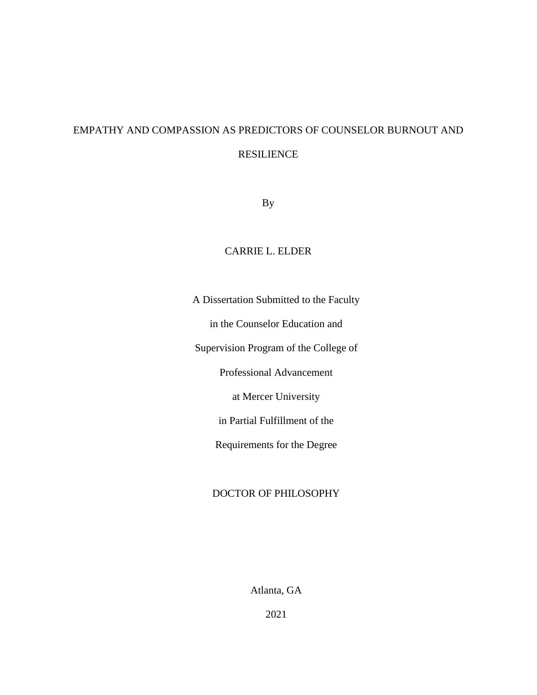# EMPATHY AND COMPASSION AS PREDICTORS OF COUNSELOR BURNOUT AND RESILIENCE

By

### CARRIE L. ELDER

A Dissertation Submitted to the Faculty in the Counselor Education and Supervision Program of the College of Professional Advancement at Mercer University in Partial Fulfillment of the Requirements for the Degree

### DOCTOR OF PHILOSOPHY

Atlanta, GA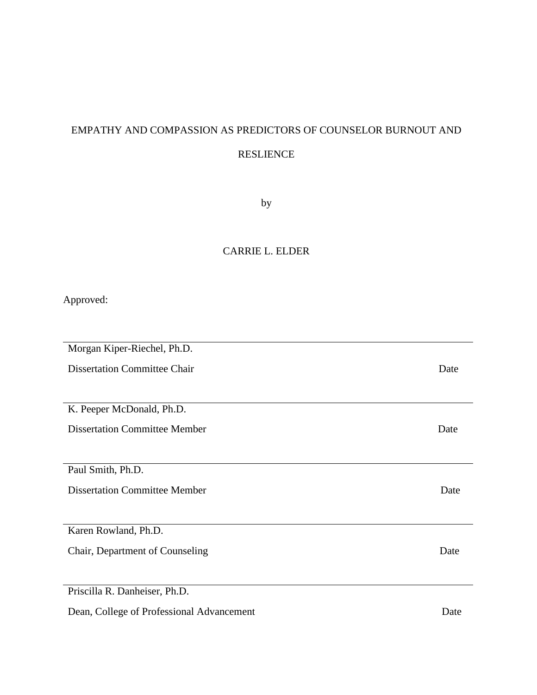# EMPATHY AND COMPASSION AS PREDICTORS OF COUNSELOR BURNOUT AND RESLIENCE

by

## CARRIE L. ELDER

Approved:

| Morgan Kiper-Riechel, Ph.D.               |      |  |  |
|-------------------------------------------|------|--|--|
| <b>Dissertation Committee Chair</b>       |      |  |  |
|                                           |      |  |  |
| K. Peeper McDonald, Ph.D.                 |      |  |  |
| <b>Dissertation Committee Member</b>      | Date |  |  |
|                                           |      |  |  |
| Paul Smith, Ph.D.                         |      |  |  |
| <b>Dissertation Committee Member</b>      | Date |  |  |
|                                           |      |  |  |
| Karen Rowland, Ph.D.                      |      |  |  |
| Chair, Department of Counseling           | Date |  |  |
|                                           |      |  |  |
| Priscilla R. Danheiser, Ph.D.             |      |  |  |
| Dean, College of Professional Advancement | Date |  |  |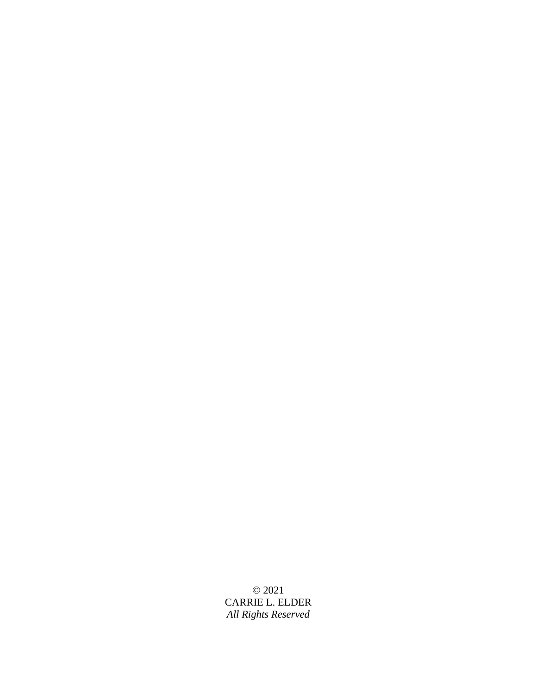© 2021 CARRIE L. ELDER *All Rights Reserved*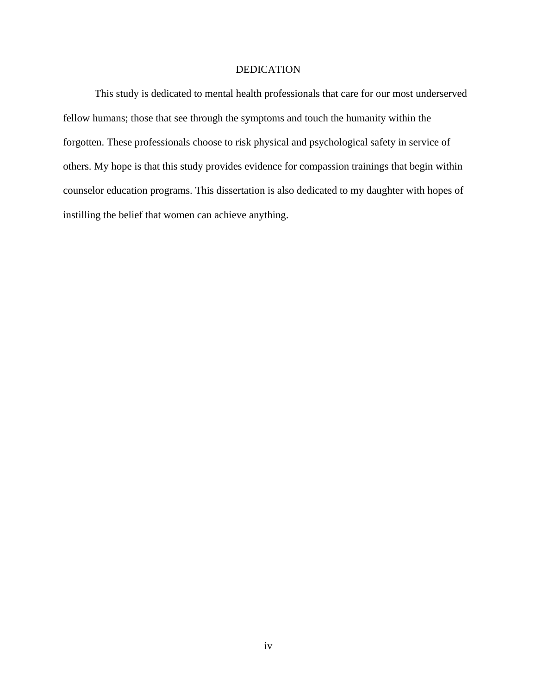### DEDICATION

This study is dedicated to mental health professionals that care for our most underserved fellow humans; those that see through the symptoms and touch the humanity within the forgotten. These professionals choose to risk physical and psychological safety in service of others. My hope is that this study provides evidence for compassion trainings that begin within counselor education programs. This dissertation is also dedicated to my daughter with hopes of instilling the belief that women can achieve anything.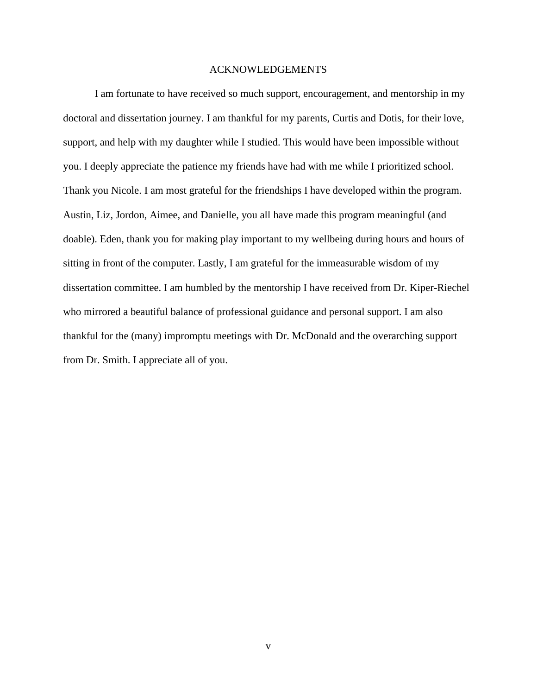#### ACKNOWLEDGEMENTS

I am fortunate to have received so much support, encouragement, and mentorship in my doctoral and dissertation journey. I am thankful for my parents, Curtis and Dotis, for their love, support, and help with my daughter while I studied. This would have been impossible without you. I deeply appreciate the patience my friends have had with me while I prioritized school. Thank you Nicole. I am most grateful for the friendships I have developed within the program. Austin, Liz, Jordon, Aimee, and Danielle, you all have made this program meaningful (and doable). Eden, thank you for making play important to my wellbeing during hours and hours of sitting in front of the computer. Lastly, I am grateful for the immeasurable wisdom of my dissertation committee. I am humbled by the mentorship I have received from Dr. Kiper-Riechel who mirrored a beautiful balance of professional guidance and personal support. I am also thankful for the (many) impromptu meetings with Dr. McDonald and the overarching support from Dr. Smith. I appreciate all of you.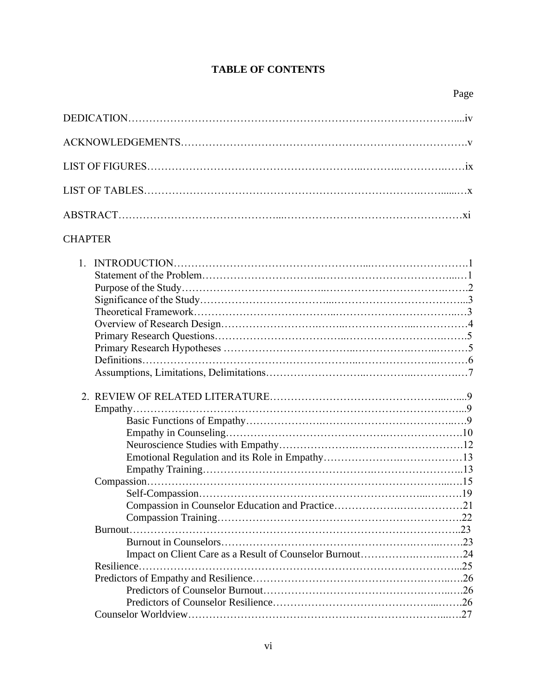### **TABLE OF CONTENTS**

| <b>CHAPTER</b> |
|----------------|
| $1_{\cdot}$    |
|                |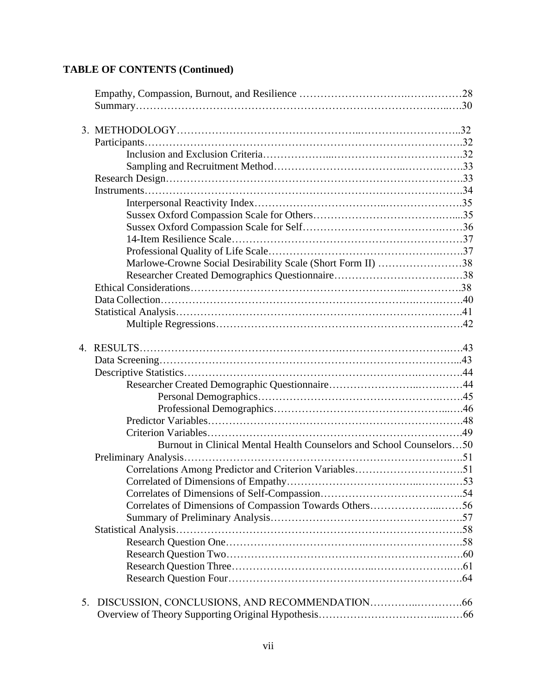## **TABLE OF CONTENTS (Continued)**

|    | Marlowe-Crowne Social Desirability Scale (Short Form II) 38          |  |
|----|----------------------------------------------------------------------|--|
|    |                                                                      |  |
|    |                                                                      |  |
|    |                                                                      |  |
|    |                                                                      |  |
|    |                                                                      |  |
| 4. |                                                                      |  |
|    |                                                                      |  |
|    |                                                                      |  |
|    |                                                                      |  |
|    |                                                                      |  |
|    |                                                                      |  |
|    |                                                                      |  |
|    |                                                                      |  |
|    |                                                                      |  |
|    | Burnout in Clinical Mental Health Counselors and School Counselors50 |  |
|    |                                                                      |  |
|    | Correlations Among Predictor and Criterion Variables51               |  |
|    |                                                                      |  |
|    |                                                                      |  |
|    | Correlates of Dimensions of Compassion Towards Others56              |  |
|    |                                                                      |  |
|    |                                                                      |  |
|    |                                                                      |  |
|    |                                                                      |  |
|    |                                                                      |  |
|    |                                                                      |  |
| 5. |                                                                      |  |
|    |                                                                      |  |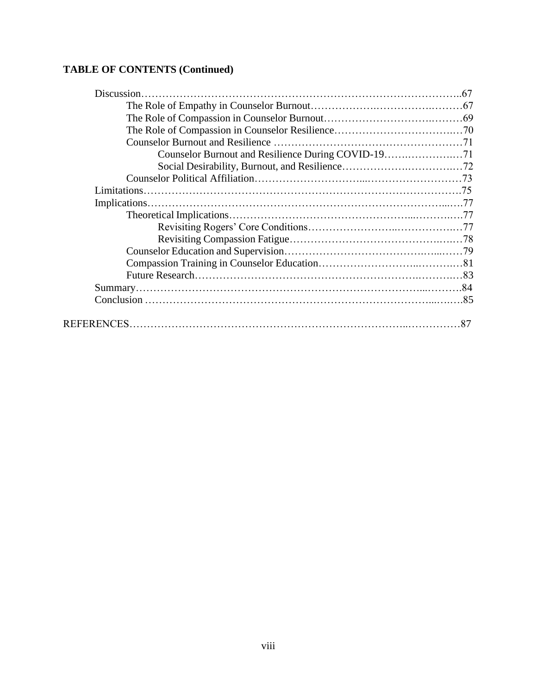## **TABLE OF CONTENTS (Continued)**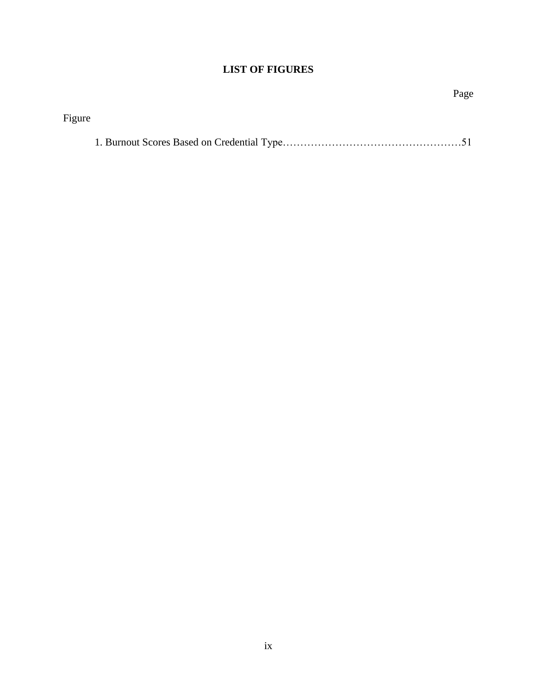## **LIST OF FIGURES**

|        | Page |
|--------|------|
| Figure |      |
|        |      |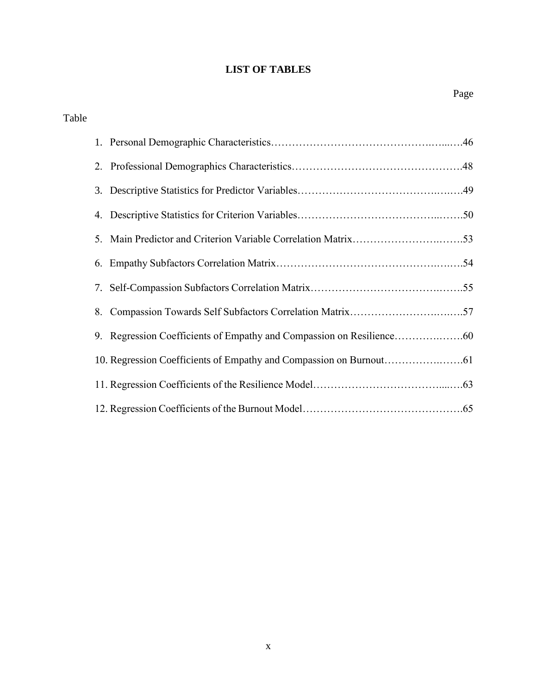### **LIST OF TABLES**

| Table |    |                                                         |
|-------|----|---------------------------------------------------------|
|       |    |                                                         |
|       |    |                                                         |
|       |    |                                                         |
|       |    |                                                         |
|       | 5. |                                                         |
|       |    |                                                         |
|       |    |                                                         |
|       | 8. | Compassion Towards Self Subfactors Correlation Matrix57 |
|       |    |                                                         |
|       |    |                                                         |
|       |    |                                                         |
|       |    |                                                         |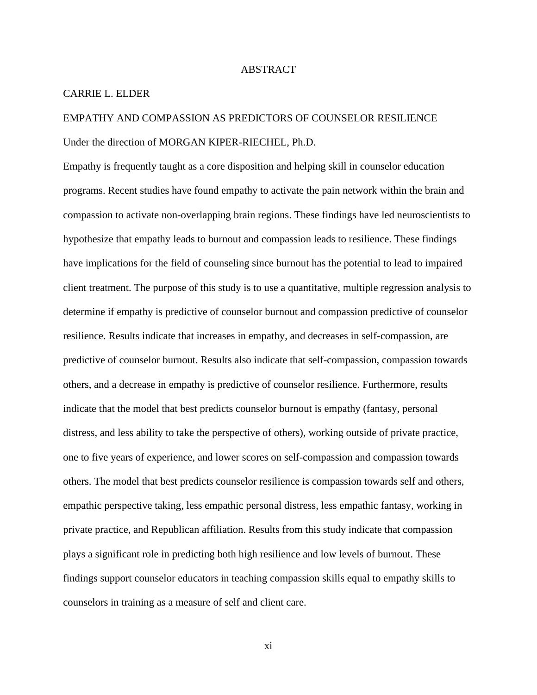#### ABSTRACT

#### CARRIE L. ELDER

# EMPATHY AND COMPASSION AS PREDICTORS OF COUNSELOR RESILIENCE Under the direction of MORGAN KIPER-RIECHEL, Ph.D.

Empathy is frequently taught as a core disposition and helping skill in counselor education programs. Recent studies have found empathy to activate the pain network within the brain and compassion to activate non-overlapping brain regions. These findings have led neuroscientists to hypothesize that empathy leads to burnout and compassion leads to resilience. These findings have implications for the field of counseling since burnout has the potential to lead to impaired client treatment. The purpose of this study is to use a quantitative, multiple regression analysis to determine if empathy is predictive of counselor burnout and compassion predictive of counselor resilience. Results indicate that increases in empathy, and decreases in self-compassion, are predictive of counselor burnout. Results also indicate that self-compassion, compassion towards others, and a decrease in empathy is predictive of counselor resilience. Furthermore, results indicate that the model that best predicts counselor burnout is empathy (fantasy, personal distress, and less ability to take the perspective of others), working outside of private practice, one to five years of experience, and lower scores on self-compassion and compassion towards others. The model that best predicts counselor resilience is compassion towards self and others, empathic perspective taking, less empathic personal distress, less empathic fantasy, working in private practice, and Republican affiliation. Results from this study indicate that compassion plays a significant role in predicting both high resilience and low levels of burnout. These findings support counselor educators in teaching compassion skills equal to empathy skills to counselors in training as a measure of self and client care.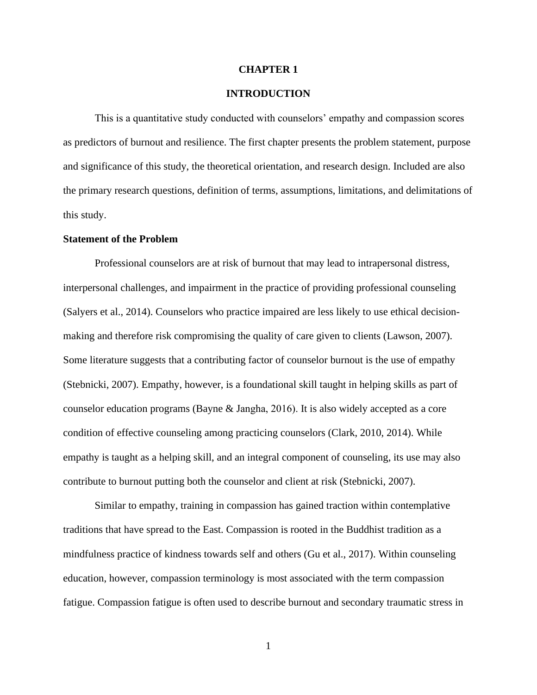#### **CHAPTER 1**

#### **INTRODUCTION**

This is a quantitative study conducted with counselors' empathy and compassion scores as predictors of burnout and resilience. The first chapter presents the problem statement, purpose and significance of this study, the theoretical orientation, and research design. Included are also the primary research questions, definition of terms, assumptions, limitations, and delimitations of this study.

#### **Statement of the Problem**

Professional counselors are at risk of burnout that may lead to intrapersonal distress, interpersonal challenges, and impairment in the practice of providing professional counseling (Salyers et al., 2014). Counselors who practice impaired are less likely to use ethical decisionmaking and therefore risk compromising the quality of care given to clients (Lawson, 2007). Some literature suggests that a contributing factor of counselor burnout is the use of empathy (Stebnicki, 2007). Empathy, however, is a foundational skill taught in helping skills as part of counselor education programs (Bayne & Jangha, 2016). It is also widely accepted as a core condition of effective counseling among practicing counselors (Clark, 2010, 2014). While empathy is taught as a helping skill, and an integral component of counseling, its use may also contribute to burnout putting both the counselor and client at risk (Stebnicki, 2007).

Similar to empathy, training in compassion has gained traction within contemplative traditions that have spread to the East. Compassion is rooted in the Buddhist tradition as a mindfulness practice of kindness towards self and others (Gu et al., 2017). Within counseling education, however, compassion terminology is most associated with the term compassion fatigue. Compassion fatigue is often used to describe burnout and secondary traumatic stress in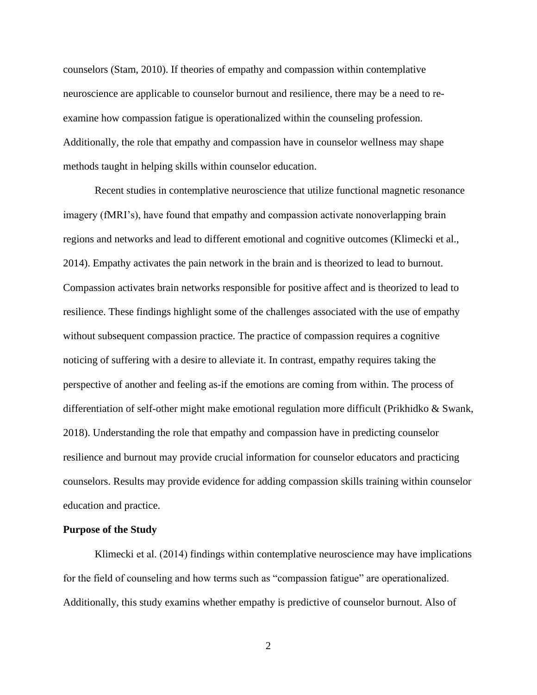counselors (Stam, 2010). If theories of empathy and compassion within contemplative neuroscience are applicable to counselor burnout and resilience, there may be a need to reexamine how compassion fatigue is operationalized within the counseling profession. Additionally, the role that empathy and compassion have in counselor wellness may shape methods taught in helping skills within counselor education.

Recent studies in contemplative neuroscience that utilize functional magnetic resonance imagery (fMRI's), have found that empathy and compassion activate nonoverlapping brain regions and networks and lead to different emotional and cognitive outcomes (Klimecki et al., 2014). Empathy activates the pain network in the brain and is theorized to lead to burnout. Compassion activates brain networks responsible for positive affect and is theorized to lead to resilience. These findings highlight some of the challenges associated with the use of empathy without subsequent compassion practice. The practice of compassion requires a cognitive noticing of suffering with a desire to alleviate it. In contrast, empathy requires taking the perspective of another and feeling as-if the emotions are coming from within. The process of differentiation of self-other might make emotional regulation more difficult (Prikhidko & Swank, 2018). Understanding the role that empathy and compassion have in predicting counselor resilience and burnout may provide crucial information for counselor educators and practicing counselors. Results may provide evidence for adding compassion skills training within counselor education and practice.

#### **Purpose of the Study**

Klimecki et al. (2014) findings within contemplative neuroscience may have implications for the field of counseling and how terms such as "compassion fatigue" are operationalized. Additionally, this study examins whether empathy is predictive of counselor burnout. Also of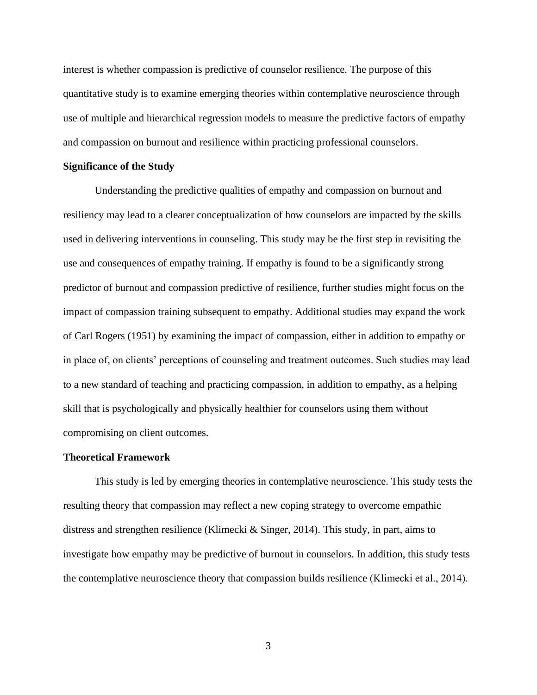interest is whether compassion is predictive of counselor resilience. The purpose of this quantitative study is to examine emerging theories within contemplative neuroscience through use of multiple and hierarchical regression models to measure the predictive factors of empathy and compassion on burnout and resilience within practicing professional counselors.

#### **Significance of the Study**

Understanding the predictive qualities of empathy and compassion on burnout and resiliency may lead to a clearer conceptualization of how counselors are impacted by the skills used in delivering interventions in counseling. This study may be the first step in revisiting the use and consequences of empathy training. If empathy is found to be a significantly strong predictor of burnout and compassion predictive of resilience, further studies might focus on the impact of compassion training subsequent to empathy. Additional studies may expand the work of Carl Rogers (1951) by examining the impact of compassion, either in addition to empathy or in place of, on clients' perceptions of counseling and treatment outcomes. Such studies may lead to a new standard of teaching and practicing compassion, in addition to empathy, as a helping skill that is psychologically and physically healthier for counselors using them without compromising on client outcomes.

#### **Theoretical Framework**

This study is led by emerging theories in contemplative neuroscience. This study tests the resulting theory that compassion may reflect a new coping strategy to overcome empathic distress and strengthen resilience (Klimecki & Singer, 2014). This study, in part, aims to investigate how empathy may be predictive of burnout in counselors. In addition, this study tests the contemplative neuroscience theory that compassion builds resilience (Klimecki et al., 2014).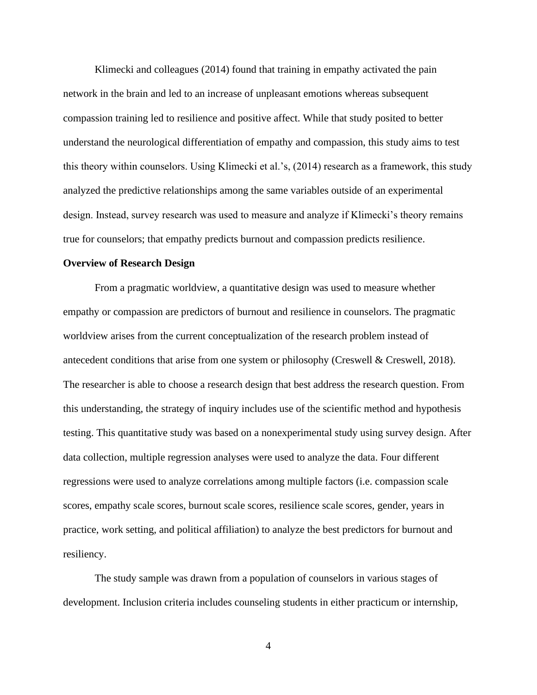Klimecki and colleagues (2014) found that training in empathy activated the pain network in the brain and led to an increase of unpleasant emotions whereas subsequent compassion training led to resilience and positive affect. While that study posited to better understand the neurological differentiation of empathy and compassion, this study aims to test this theory within counselors. Using Klimecki et al.'s, (2014) research as a framework, this study analyzed the predictive relationships among the same variables outside of an experimental design. Instead, survey research was used to measure and analyze if Klimecki's theory remains true for counselors; that empathy predicts burnout and compassion predicts resilience.

#### **Overview of Research Design**

From a pragmatic worldview, a quantitative design was used to measure whether empathy or compassion are predictors of burnout and resilience in counselors. The pragmatic worldview arises from the current conceptualization of the research problem instead of antecedent conditions that arise from one system or philosophy (Creswell & Creswell, 2018). The researcher is able to choose a research design that best address the research question. From this understanding, the strategy of inquiry includes use of the scientific method and hypothesis testing. This quantitative study was based on a nonexperimental study using survey design. After data collection, multiple regression analyses were used to analyze the data. Four different regressions were used to analyze correlations among multiple factors (i.e. compassion scale scores, empathy scale scores, burnout scale scores, resilience scale scores, gender, years in practice, work setting, and political affiliation) to analyze the best predictors for burnout and resiliency.

The study sample was drawn from a population of counselors in various stages of development. Inclusion criteria includes counseling students in either practicum or internship,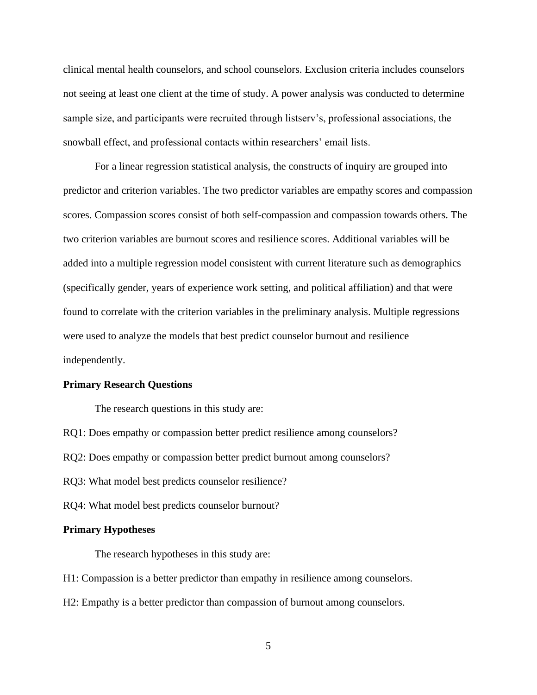clinical mental health counselors, and school counselors. Exclusion criteria includes counselors not seeing at least one client at the time of study. A power analysis was conducted to determine sample size, and participants were recruited through listserv's, professional associations, the snowball effect, and professional contacts within researchers' email lists.

For a linear regression statistical analysis, the constructs of inquiry are grouped into predictor and criterion variables. The two predictor variables are empathy scores and compassion scores. Compassion scores consist of both self-compassion and compassion towards others. The two criterion variables are burnout scores and resilience scores. Additional variables will be added into a multiple regression model consistent with current literature such as demographics (specifically gender, years of experience work setting, and political affiliation) and that were found to correlate with the criterion variables in the preliminary analysis. Multiple regressions were used to analyze the models that best predict counselor burnout and resilience independently.

#### **Primary Research Questions**

The research questions in this study are:

RQ1: Does empathy or compassion better predict resilience among counselors?

RQ2: Does empathy or compassion better predict burnout among counselors?

RQ3: What model best predicts counselor resilience?

RQ4: What model best predicts counselor burnout?

#### **Primary Hypotheses**

The research hypotheses in this study are:

H1: Compassion is a better predictor than empathy in resilience among counselors.

H2: Empathy is a better predictor than compassion of burnout among counselors.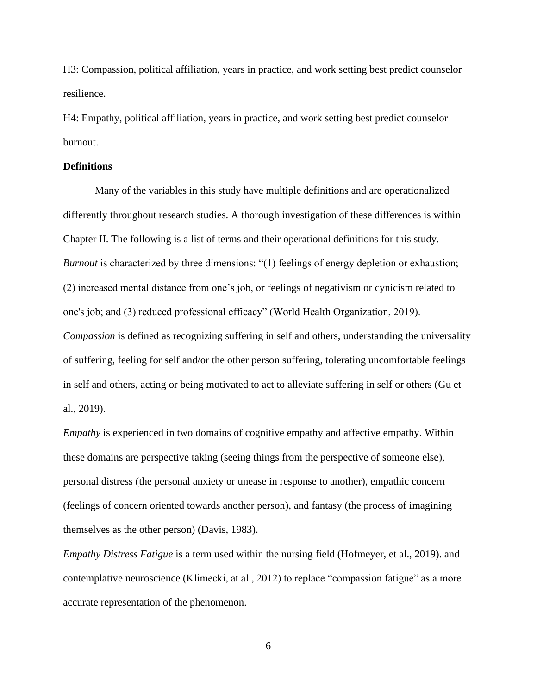H3: Compassion, political affiliation, years in practice, and work setting best predict counselor resilience.

H4: Empathy, political affiliation, years in practice, and work setting best predict counselor burnout.

#### **Definitions**

Many of the variables in this study have multiple definitions and are operationalized differently throughout research studies. A thorough investigation of these differences is within Chapter II. The following is a list of terms and their operational definitions for this study. *Burnout* is characterized by three dimensions: "(1) feelings of energy depletion or exhaustion; (2) increased mental distance from one's job, or feelings of negativism or cynicism related to one's job; and (3) reduced professional efficacy" (World Health Organization, 2019). *Compassion* is defined as recognizing suffering in self and others, understanding the universality of suffering, feeling for self and/or the other person suffering, tolerating uncomfortable feelings in self and others, acting or being motivated to act to alleviate suffering in self or others (Gu et al., 2019).

*Empathy* is experienced in two domains of cognitive empathy and affective empathy. Within these domains are perspective taking (seeing things from the perspective of someone else), personal distress (the personal anxiety or unease in response to another), empathic concern (feelings of concern oriented towards another person), and fantasy (the process of imagining themselves as the other person) (Davis, 1983).

*Empathy Distress Fatigue* is a term used within the nursing field (Hofmeyer, et al., 2019). and contemplative neuroscience (Klimecki, at al., 2012) to replace "compassion fatigue" as a more accurate representation of the phenomenon.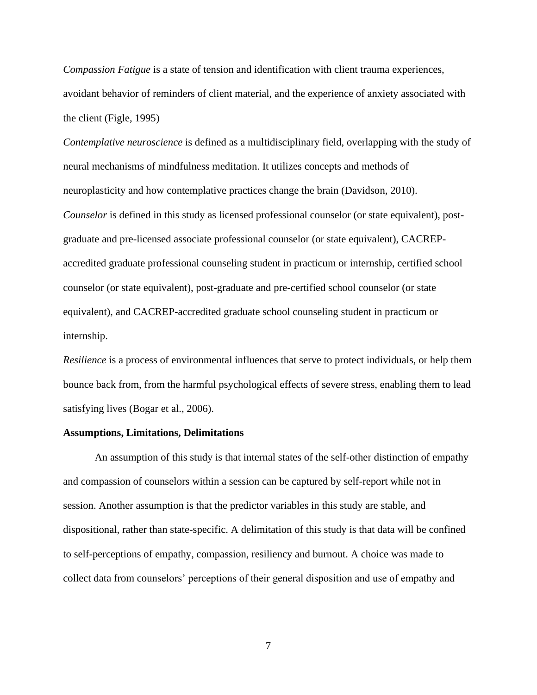*Compassion Fatigue* is a state of tension and identification with client trauma experiences, avoidant behavior of reminders of client material, and the experience of anxiety associated with the client (Figle, 1995)

*Contemplative neuroscience* is defined as a multidisciplinary field, overlapping with the study of neural mechanisms of mindfulness meditation. It utilizes concepts and methods of neuroplasticity and how contemplative practices change the brain (Davidson, 2010). *Counselor* is defined in this study as licensed professional counselor (or state equivalent), postgraduate and pre-licensed associate professional counselor (or state equivalent), CACREPaccredited graduate professional counseling student in practicum or internship, certified school counselor (or state equivalent), post-graduate and pre-certified school counselor (or state equivalent), and CACREP-accredited graduate school counseling student in practicum or internship.

*Resilience* is a process of environmental influences that serve to protect individuals, or help them bounce back from, from the harmful psychological effects of severe stress, enabling them to lead satisfying lives (Bogar et al., 2006).

#### **Assumptions, Limitations, Delimitations**

An assumption of this study is that internal states of the self-other distinction of empathy and compassion of counselors within a session can be captured by self-report while not in session. Another assumption is that the predictor variables in this study are stable, and dispositional, rather than state-specific. A delimitation of this study is that data will be confined to self-perceptions of empathy, compassion, resiliency and burnout. A choice was made to collect data from counselors' perceptions of their general disposition and use of empathy and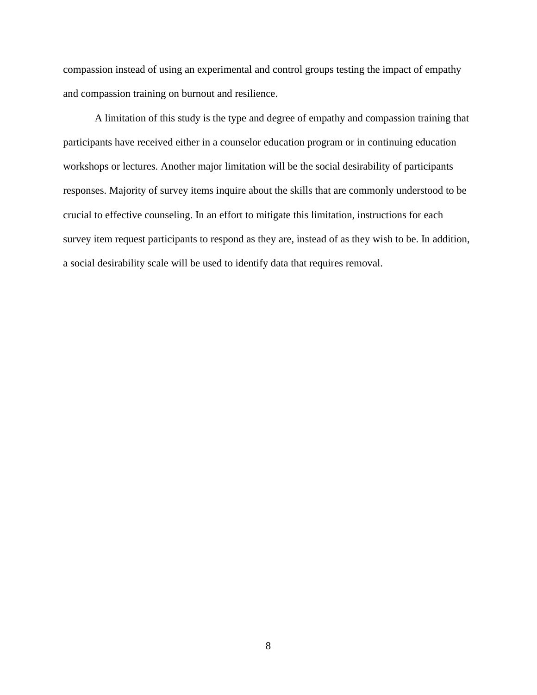compassion instead of using an experimental and control groups testing the impact of empathy and compassion training on burnout and resilience.

A limitation of this study is the type and degree of empathy and compassion training that participants have received either in a counselor education program or in continuing education workshops or lectures. Another major limitation will be the social desirability of participants responses. Majority of survey items inquire about the skills that are commonly understood to be crucial to effective counseling. In an effort to mitigate this limitation, instructions for each survey item request participants to respond as they are, instead of as they wish to be. In addition, a social desirability scale will be used to identify data that requires removal.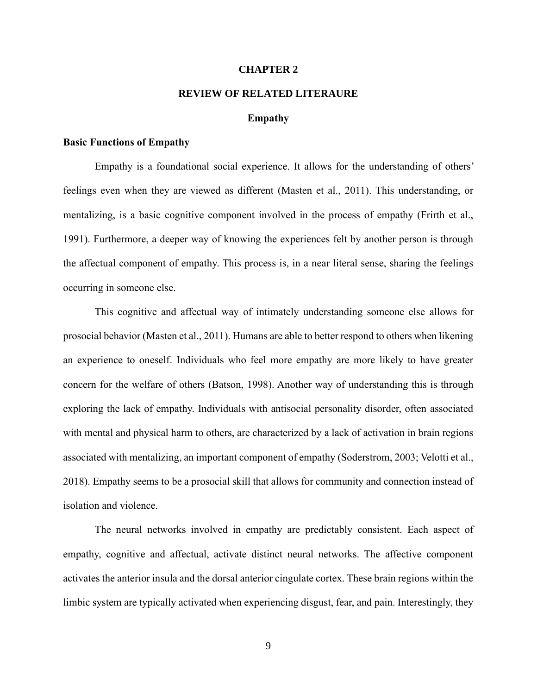#### **CHAPTER 2**

### **REVIEW OF RELATED LITERAURE**

#### **Empathy**

#### **Basic Functions of Empathy**

Empathy is a foundational social experience. It allows for the understanding of others' feelings even when they are viewed as different (Masten et al., 2011). This understanding, or mentalizing, is a basic cognitive component involved in the process of empathy (Frirth et al., 1991). Furthermore, a deeper way of knowing the experiences felt by another person is through the affectual component of empathy. This process is, in a near literal sense, sharing the feelings occurring in someone else.

This cognitive and affectual way of intimately understanding someone else allows for prosocial behavior (Masten et al., 2011). Humans are able to better respond to others when likening an experience to oneself. Individuals who feel more empathy are more likely to have greater concern for the welfare of others (Batson, 1998). Another way of understanding this is through exploring the lack of empathy. Individuals with antisocial personality disorder, often associated with mental and physical harm to others, are characterized by a lack of activation in brain regions associated with mentalizing, an important component of empathy (Soderstrom, 2003; Velotti et al., 2018). Empathy seems to be a prosocial skill that allows for community and connection instead of isolation and violence.

The neural networks involved in empathy are predictably consistent. Each aspect of empathy, cognitive and affectual, activate distinct neural networks. The affective component activates the anterior insula and the dorsal anterior cingulate cortex. These brain regions within the limbic system are typically activated when experiencing disgust, fear, and pain. Interestingly, they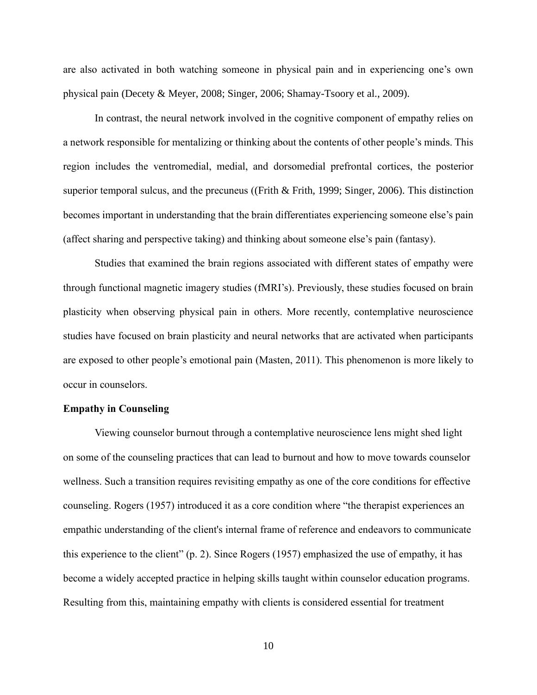are also activated in both watching someone in physical pain and in experiencing one's own physical pain (Decety & Meyer, 2008; Singer, 2006; Shamay-Tsoory et al., 2009).

In contrast, the neural network involved in the cognitive component of empathy relies on a network responsible for mentalizing or thinking about the contents of other people's minds. This region includes the ventromedial, medial, and dorsomedial prefrontal cortices, the posterior superior temporal sulcus, and the precuneus ((Frith & Frith, 1999; Singer, 2006). This distinction becomes important in understanding that the brain differentiates experiencing someone else's pain (affect sharing and perspective taking) and thinking about someone else's pain (fantasy).

Studies that examined the brain regions associated with different states of empathy were through functional magnetic imagery studies (fMRI's). Previously, these studies focused on brain plasticity when observing physical pain in others. More recently, contemplative neuroscience studies have focused on brain plasticity and neural networks that are activated when participants are exposed to other people's emotional pain (Masten, 2011). This phenomenon is more likely to occur in counselors.

#### **Empathy in Counseling**

Viewing counselor burnout through a contemplative neuroscience lens might shed light on some of the counseling practices that can lead to burnout and how to move towards counselor wellness. Such a transition requires revisiting empathy as one of the core conditions for effective counseling. Rogers (1957) introduced it as a core condition where "the therapist experiences an empathic understanding of the client's internal frame of reference and endeavors to communicate this experience to the client" (p. 2). Since Rogers (1957) emphasized the use of empathy, it has become a widely accepted practice in helping skills taught within counselor education programs. Resulting from this, maintaining empathy with clients is considered essential for treatment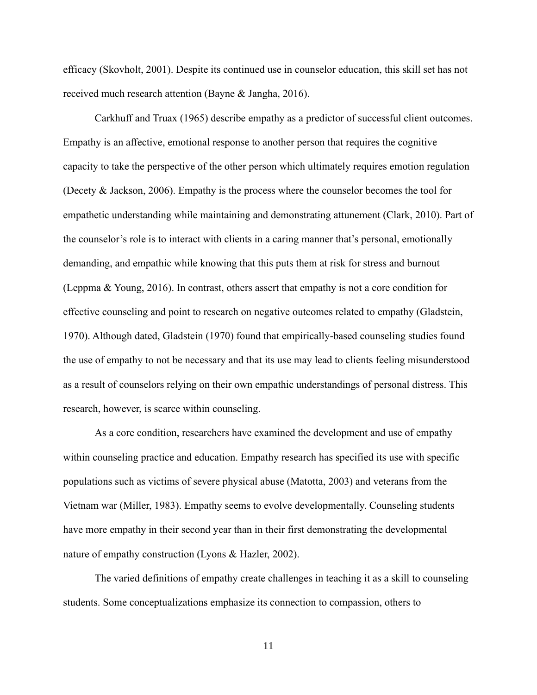efficacy (Skovholt, 2001). Despite its continued use in counselor education, this skill set has not received much research attention (Bayne & Jangha, 2016).

Carkhuff and Truax (1965) describe empathy as a predictor of successful client outcomes. Empathy is an affective, emotional response to another person that requires the cognitive capacity to take the perspective of the other person which ultimately requires emotion regulation (Decety & Jackson, 2006). Empathy is the process where the counselor becomes the tool for empathetic understanding while maintaining and demonstrating attunement (Clark, 2010). Part of the counselor's role is to interact with clients in a caring manner that's personal, emotionally demanding, and empathic while knowing that this puts them at risk for stress and burnout (Leppma & Young, 2016). In contrast, others assert that empathy is not a core condition for effective counseling and point to research on negative outcomes related to empathy (Gladstein, 1970). Although dated, Gladstein (1970) found that empirically-based counseling studies found the use of empathy to not be necessary and that its use may lead to clients feeling misunderstood as a result of counselors relying on their own empathic understandings of personal distress. This research, however, is scarce within counseling.

As a core condition, researchers have examined the development and use of empathy within counseling practice and education. Empathy research has specified its use with specific populations such as victims of severe physical abuse (Matotta, 2003) and veterans from the Vietnam war (Miller, 1983). Empathy seems to evolve developmentally. Counseling students have more empathy in their second year than in their first demonstrating the developmental nature of empathy construction (Lyons & Hazler, 2002).

The varied definitions of empathy create challenges in teaching it as a skill to counseling students. Some conceptualizations emphasize its connection to compassion, others to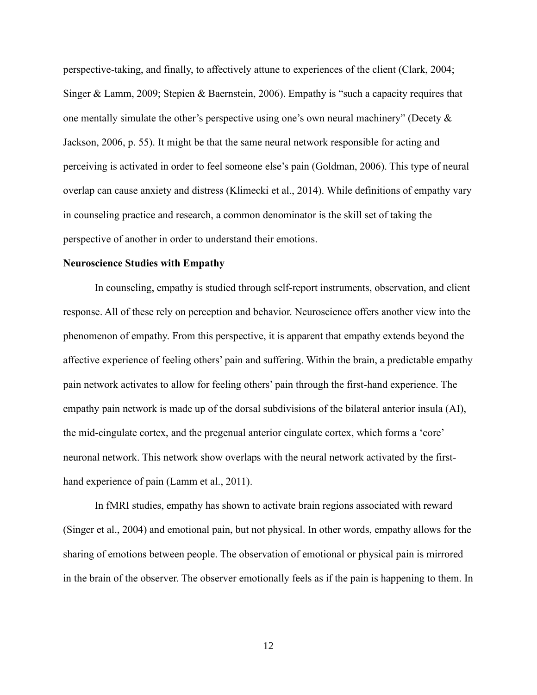perspective-taking, and finally, to affectively attune to experiences of the client (Clark, 2004; Singer & Lamm, 2009; Stepien & Baernstein, 2006). Empathy is "such a capacity requires that one mentally simulate the other's perspective using one's own neural machinery" (Decety & Jackson, 2006, p. 55). It might be that the same neural network responsible for acting and perceiving is activated in order to feel someone else's pain (Goldman, 2006). This type of neural overlap can cause anxiety and distress (Klimecki et al., 2014). While definitions of empathy vary in counseling practice and research, a common denominator is the skill set of taking the perspective of another in order to understand their emotions.

#### **Neuroscience Studies with Empathy**

In counseling, empathy is studied through self-report instruments, observation, and client response. All of these rely on perception and behavior. Neuroscience offers another view into the phenomenon of empathy. From this perspective, it is apparent that empathy extends beyond the affective experience of feeling others' pain and suffering. Within the brain, a predictable empathy pain network activates to allow for feeling others' pain through the first-hand experience. The empathy pain network is made up of the dorsal subdivisions of the bilateral anterior insula (AI), the mid-cingulate cortex, and the pregenual anterior cingulate cortex, which forms a 'core' neuronal network. This network show overlaps with the neural network activated by the firsthand experience of pain (Lamm et al., 2011).

In fMRI studies, empathy has shown to activate brain regions associated with reward (Singer et al., 2004) and emotional pain, but not physical. In other words, empathy allows for the sharing of emotions between people. The observation of emotional or physical pain is mirrored in the brain of the observer. The observer emotionally feels as if the pain is happening to them. In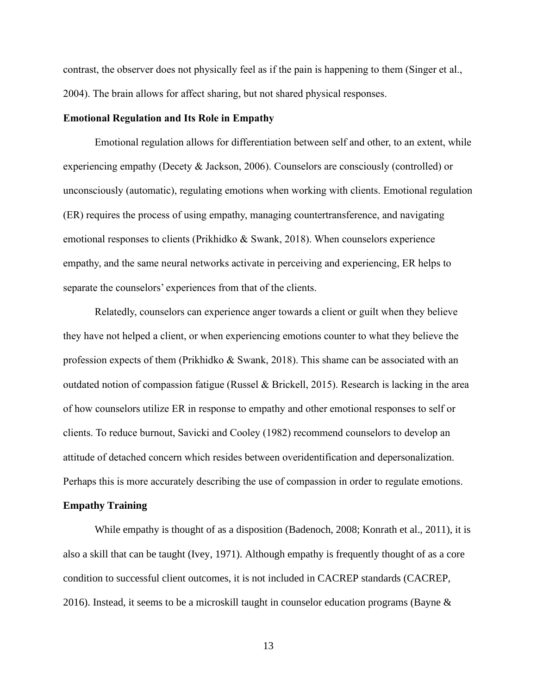contrast, the observer does not physically feel as if the pain is happening to them (Singer et al., 2004). The brain allows for affect sharing, but not shared physical responses.

#### **Emotional Regulation and Its Role in Empathy**

Emotional regulation allows for differentiation between self and other, to an extent, while experiencing empathy (Decety & Jackson, 2006). Counselors are consciously (controlled) or unconsciously (automatic), regulating emotions when working with clients. Emotional regulation (ER) requires the process of using empathy, managing countertransference, and navigating emotional responses to clients (Prikhidko & Swank, 2018). When counselors experience empathy, and the same neural networks activate in perceiving and experiencing, ER helps to separate the counselors' experiences from that of the clients.

Relatedly, counselors can experience anger towards a client or guilt when they believe they have not helped a client, or when experiencing emotions counter to what they believe the profession expects of them (Prikhidko & Swank, 2018). This shame can be associated with an outdated notion of compassion fatigue (Russel & Brickell, 2015). Research is lacking in the area of how counselors utilize ER in response to empathy and other emotional responses to self or clients. To reduce burnout, Savicki and Cooley (1982) recommend counselors to develop an attitude of detached concern which resides between overidentification and depersonalization. Perhaps this is more accurately describing the use of compassion in order to regulate emotions.

#### **Empathy Training**

While empathy is thought of as a disposition (Badenoch, 2008; Konrath et al., 2011), it is also a skill that can be taught (Ivey, 1971). Although empathy is frequently thought of as a core condition to successful client outcomes, it is not included in CACREP standards (CACREP, 2016). Instead, it seems to be a microskill taught in counselor education programs (Bayne &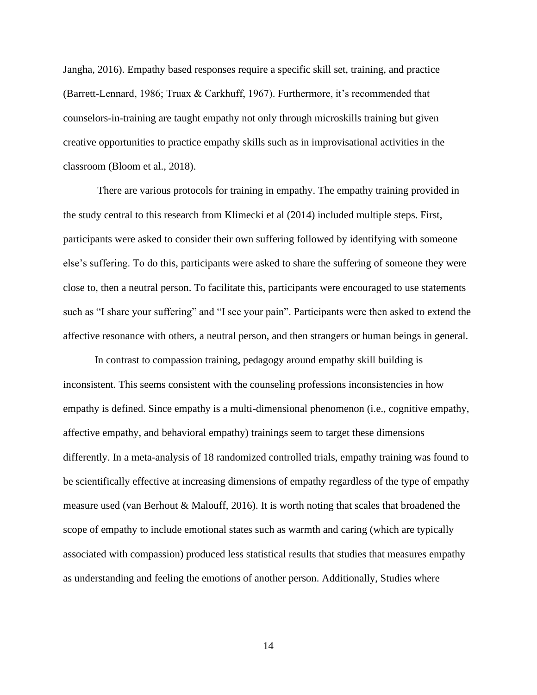Jangha, 2016). Empathy based responses require a specific skill set, training, and practice (Barrett-Lennard, 1986; Truax & Carkhuff, 1967). Furthermore, it's recommended that counselors-in-training are taught empathy not only through microskills training but given creative opportunities to practice empathy skills such as in improvisational activities in the classroom (Bloom et al., 2018).

There are various protocols for training in empathy. The empathy training provided in the study central to this research from Klimecki et al (2014) included multiple steps. First, participants were asked to consider their own suffering followed by identifying with someone else's suffering. To do this, participants were asked to share the suffering of someone they were close to, then a neutral person. To facilitate this, participants were encouraged to use statements such as "I share your suffering" and "I see your pain". Participants were then asked to extend the affective resonance with others, a neutral person, and then strangers or human beings in general.

In contrast to compassion training, pedagogy around empathy skill building is inconsistent. This seems consistent with the counseling professions inconsistencies in how empathy is defined. Since empathy is a multi-dimensional phenomenon (i.e., cognitive empathy, affective empathy, and behavioral empathy) trainings seem to target these dimensions differently. In a meta-analysis of 18 randomized controlled trials, empathy training was found to be scientifically effective at increasing dimensions of empathy regardless of the type of empathy measure used (van Berhout & Malouff, 2016). It is worth noting that scales that broadened the scope of empathy to include emotional states such as warmth and caring (which are typically associated with compassion) produced less statistical results that studies that measures empathy as understanding and feeling the emotions of another person. Additionally, Studies where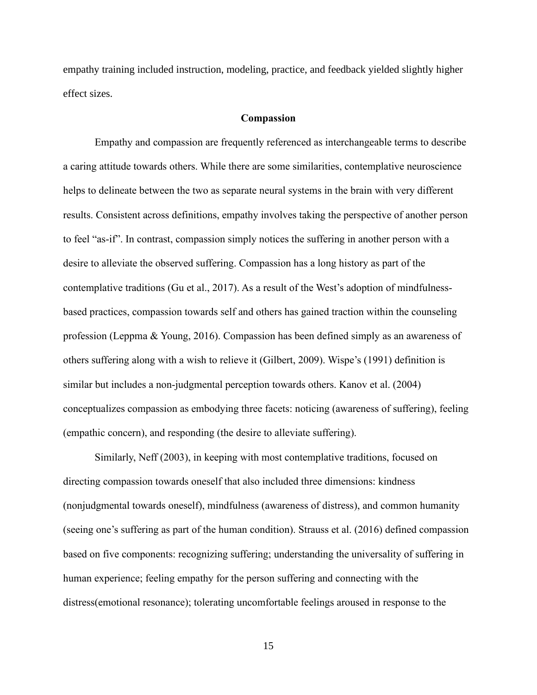empathy training included instruction, modeling, practice, and feedback yielded slightly higher effect sizes.

#### **Compassion**

Empathy and compassion are frequently referenced as interchangeable terms to describe a caring attitude towards others. While there are some similarities, contemplative neuroscience helps to delineate between the two as separate neural systems in the brain with very different results. Consistent across definitions, empathy involves taking the perspective of another person to feel "as-if". In contrast, compassion simply notices the suffering in another person with a desire to alleviate the observed suffering. Compassion has a long history as part of the contemplative traditions (Gu et al., 2017). As a result of the West's adoption of mindfulnessbased practices, compassion towards self and others has gained traction within the counseling profession (Leppma & Young, 2016). Compassion has been defined simply as an awareness of others suffering along with a wish to relieve it (Gilbert, 2009). Wispe's (1991) definition is similar but includes a non-judgmental perception towards others. Kanov et al. (2004) conceptualizes compassion as embodying three facets: noticing (awareness of suffering), feeling (empathic concern), and responding (the desire to alleviate suffering).

Similarly, Neff (2003), in keeping with most contemplative traditions, focused on directing compassion towards oneself that also included three dimensions: kindness (nonjudgmental towards oneself), mindfulness (awareness of distress), and common humanity (seeing one's suffering as part of the human condition). Strauss et al. (2016) defined compassion based on five components: recognizing suffering; understanding the universality of suffering in human experience; feeling empathy for the person suffering and connecting with the distress(emotional resonance); tolerating uncomfortable feelings aroused in response to the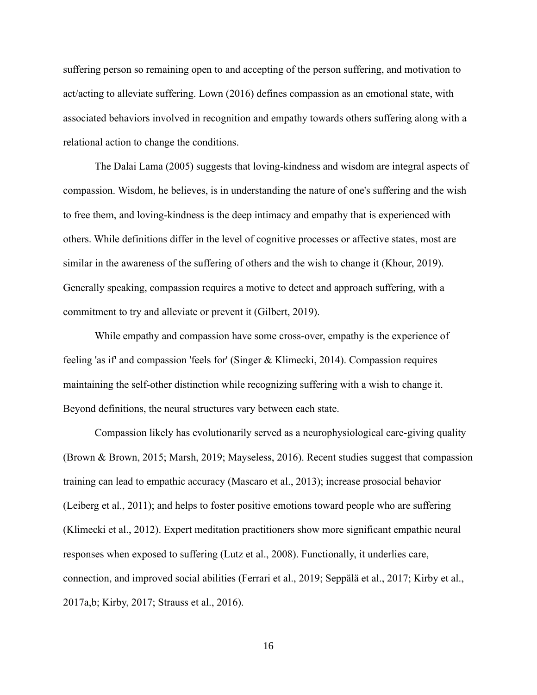suffering person so remaining open to and accepting of the person suffering, and motivation to act/acting to alleviate suffering. Lown (2016) defines compassion as an emotional state, with associated behaviors involved in recognition and empathy towards others suffering along with a relational action to change the conditions.

The Dalai Lama (2005) suggests that loving-kindness and wisdom are integral aspects of compassion. Wisdom, he believes, is in understanding the nature of one's suffering and the wish to free them, and loving-kindness is the deep intimacy and empathy that is experienced with others. While definitions differ in the level of cognitive processes or affective states, most are similar in the awareness of the suffering of others and the wish to change it (Khour, 2019). Generally speaking, compassion requires a motive to detect and approach suffering, with a commitment to try and alleviate or prevent it (Gilbert, 2019).

While empathy and compassion have some cross-over, empathy is the experience of feeling 'as if' and compassion 'feels for' (Singer & Klimecki, 2014). Compassion requires maintaining the self-other distinction while recognizing suffering with a wish to change it. Beyond definitions, the neural structures vary between each state.

Compassion likely has evolutionarily served as a neurophysiological care-giving quality (Brown & Brown, 2015; Marsh, 2019; Mayseless, 2016). Recent studies suggest that compassion training can lead to empathic accuracy (Mascaro et al., 2013); increase prosocial behavior (Leiberg et al., 2011); and helps to foster positive emotions toward people who are suffering (Klimecki et al., 2012). Expert meditation practitioners show more significant empathic neural responses when exposed to suffering (Lutz et al., 2008). Functionally, it underlies care, connection, and improved social abilities (Ferrari et al., 2019; Seppälä et al., 2017; Kirby et al., 2017a,b; Kirby, 2017; Strauss et al., 2016).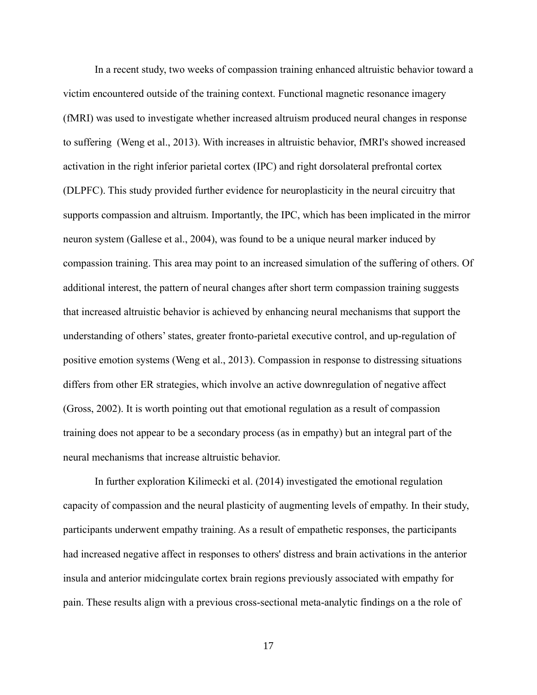In a recent study, two weeks of compassion training enhanced altruistic behavior toward a victim encountered outside of the training context. Functional magnetic resonance imagery (fMRI) was used to investigate whether increased altruism produced neural changes in response to suffering (Weng et al., 2013). With increases in altruistic behavior, fMRI's showed increased activation in the right inferior parietal cortex (IPC) and right dorsolateral prefrontal cortex (DLPFC). This study provided further evidence for neuroplasticity in the neural circuitry that supports compassion and altruism. Importantly, the IPC, which has been implicated in the mirror neuron system (Gallese et al., 2004), was found to be a unique neural marker induced by compassion training. This area may point to an increased simulation of the suffering of others. Of additional interest, the pattern of neural changes after short term compassion training suggests that increased altruistic behavior is achieved by enhancing neural mechanisms that support the understanding of others' states, greater fronto-parietal executive control, and up-regulation of positive emotion systems (Weng et al., 2013). Compassion in response to distressing situations differs from other ER strategies, which involve an active downregulation of negative affect (Gross, 2002). It is worth pointing out that emotional regulation as a result of compassion training does not appear to be a secondary process (as in empathy) but an integral part of the neural mechanisms that increase altruistic behavior.

In further exploration Kilimecki et al. (2014) investigated the emotional regulation capacity of compassion and the neural plasticity of augmenting levels of empathy. In their study, participants underwent empathy training. As a result of empathetic responses, the participants had increased negative affect in responses to others' distress and brain activations in the anterior insula and anterior midcingulate cortex brain regions previously associated with empathy for pain. These results align with a previous cross-sectional meta-analytic findings on a the role of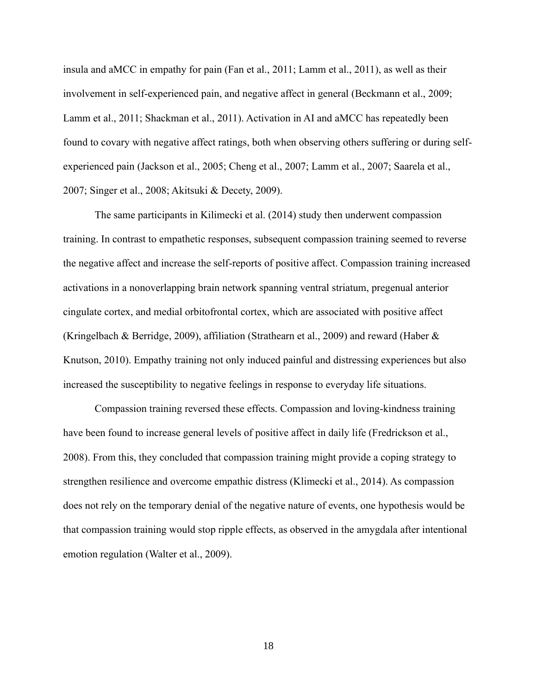insula and aMCC in empathy for pain (Fan et al., 2011; Lamm et al., 2011), as well as their involvement in self-experienced pain, and negative affect in general (Beckmann et al., 2009; Lamm et al., 2011; Shackman et al., 2011). Activation in AI and aMCC has repeatedly been found to covary with negative affect ratings, both when observing others suffering or during selfexperienced pain (Jackson et al., 2005; Cheng et al., 2007; Lamm et al., 2007; Saarela et al., 2007; Singer et al., 2008; Akitsuki & Decety, 2009).

The same participants in Kilimecki et al. (2014) study then underwent compassion training. In contrast to empathetic responses, subsequent compassion training seemed to reverse the negative affect and increase the self-reports of positive affect. Compassion training increased activations in a nonoverlapping brain network spanning ventral striatum, pregenual anterior cingulate cortex, and medial orbitofrontal cortex, which are associated with positive affect (Kringelbach & Berridge, 2009), affiliation (Strathearn et al., 2009) and reward (Haber & Knutson, 2010). Empathy training not only induced painful and distressing experiences but also increased the susceptibility to negative feelings in response to everyday life situations.

Compassion training reversed these effects. Compassion and loving-kindness training have been found to increase general levels of positive affect in daily life (Fredrickson et al., 2008). From this, they concluded that compassion training might provide a coping strategy to strengthen resilience and overcome empathic distress (Klimecki et al., 2014). As compassion does not rely on the temporary denial of the negative nature of events, one hypothesis would be that compassion training would stop ripple effects, as observed in the amygdala after intentional emotion regulation (Walter et al., 2009).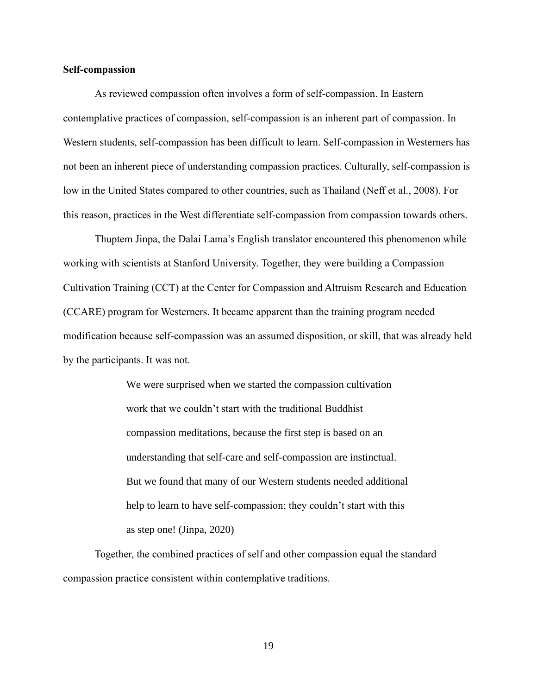#### **Self-compassion**

As reviewed compassion often involves a form of self-compassion. In Eastern contemplative practices of compassion, self-compassion is an inherent part of compassion. In Western students, self-compassion has been difficult to learn. Self-compassion in Westerners has not been an inherent piece of understanding compassion practices. Culturally, self-compassion is low in the United States compared to other countries, such as Thailand (Neff et al., 2008). For this reason, practices in the West differentiate self-compassion from compassion towards others.

Thuptem Jinpa, the Dalai Lama's English translator encountered this phenomenon while working with scientists at Stanford University. Together, they were building a Compassion Cultivation Training (CCT) at the Center for Compassion and Altruism Research and Education (CCARE) program for Westerners. It became apparent than the training program needed modification because self-compassion was an assumed disposition, or skill, that was already held by the participants. It was not.

> We were surprised when we started the compassion cultivation work that we couldn't start with the traditional Buddhist compassion meditations, because the first step is based on an understanding that self-care and self-compassion are instinctual. But we found that many of our Western students needed additional help to learn to have self-compassion; they couldn't start with this as step one! (Jinpa, 2020)

Together, the combined practices of self and other compassion equal the standard compassion practice consistent within contemplative traditions.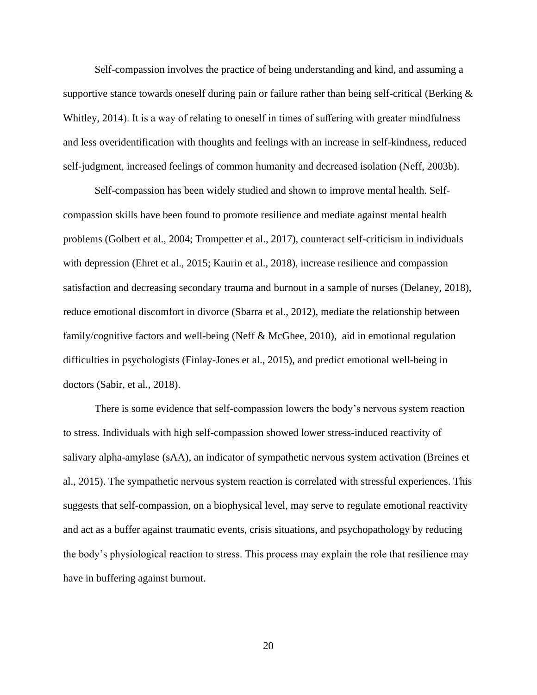Self-compassion involves the practice of being understanding and kind, and assuming a supportive stance towards oneself during pain or failure rather than being self-critical (Berking  $\&$ Whitley, 2014). It is a way of relating to oneself in times of suffering with greater mindfulness and less overidentification with thoughts and feelings with an increase in self-kindness, reduced self-judgment, increased feelings of common humanity and decreased isolation (Neff, 2003b).

Self-compassion has been widely studied and shown to improve mental health. Selfcompassion skills have been found to promote resilience and mediate against mental health problems (Golbert et al., 2004; Trompetter et al., 2017), counteract self-criticism in individuals with depression (Ehret et al., 2015; Kaurin et al., 2018), increase resilience and compassion satisfaction and decreasing secondary trauma and burnout in a sample of nurses (Delaney, 2018), reduce emotional discomfort in divorce (Sbarra et al., 2012), mediate the relationship between family/cognitive factors and well-being (Neff & McGhee, 2010), aid in emotional regulation difficulties in psychologists (Finlay-Jones et al., 2015), and predict emotional well-being in doctors (Sabir, et al., 2018).

There is some evidence that self-compassion lowers the body's nervous system reaction to stress. Individuals with high self-compassion showed lower stress-induced reactivity of salivary alpha-amylase (sAA), an indicator of sympathetic nervous system activation (Breines et al., 2015). The sympathetic nervous system reaction is correlated with stressful experiences. This suggests that self-compassion, on a biophysical level, may serve to regulate emotional reactivity and act as a buffer against traumatic events, crisis situations, and psychopathology by reducing the body's physiological reaction to stress. This process may explain the role that resilience may have in buffering against burnout.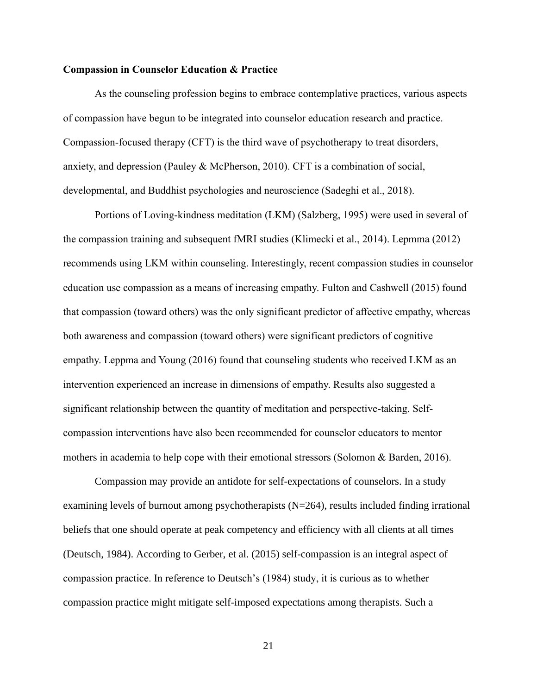#### **Compassion in Counselor Education & Practice**

As the counseling profession begins to embrace contemplative practices, various aspects of compassion have begun to be integrated into counselor education research and practice. Compassion-focused therapy (CFT) is the third wave of psychotherapy to treat disorders, anxiety, and depression (Pauley & McPherson, 2010). CFT is a combination of social, developmental, and Buddhist psychologies and neuroscience (Sadeghi et al., 2018).

Portions of Loving-kindness meditation (LKM) (Salzberg, 1995) were used in several of the compassion training and subsequent fMRI studies (Klimecki et al., 2014). Lepmma (2012) recommends using LKM within counseling. Interestingly, recent compassion studies in counselor education use compassion as a means of increasing empathy. Fulton and Cashwell (2015) found that compassion (toward others) was the only significant predictor of affective empathy, whereas both awareness and compassion (toward others) were significant predictors of cognitive empathy. Leppma and Young (2016) found that counseling students who received LKM as an intervention experienced an increase in dimensions of empathy. Results also suggested a significant relationship between the quantity of meditation and perspective-taking. Selfcompassion interventions have also been recommended for counselor educators to mentor mothers in academia to help cope with their emotional stressors (Solomon & Barden, 2016).

Compassion may provide an antidote for self-expectations of counselors. In a study examining levels of burnout among psychotherapists (N=264), results included finding irrational beliefs that one should operate at peak competency and efficiency with all clients at all times (Deutsch, 1984). According to Gerber, et al. (2015) self-compassion is an integral aspect of compassion practice. In reference to Deutsch's (1984) study, it is curious as to whether compassion practice might mitigate self-imposed expectations among therapists. Such a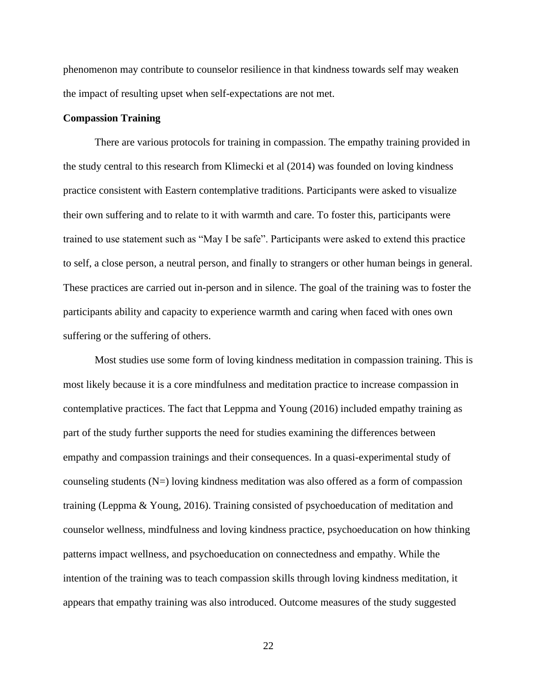phenomenon may contribute to counselor resilience in that kindness towards self may weaken the impact of resulting upset when self-expectations are not met.

#### **Compassion Training**

There are various protocols for training in compassion. The empathy training provided in the study central to this research from Klimecki et al (2014) was founded on loving kindness practice consistent with Eastern contemplative traditions. Participants were asked to visualize their own suffering and to relate to it with warmth and care. To foster this, participants were trained to use statement such as "May I be safe". Participants were asked to extend this practice to self, a close person, a neutral person, and finally to strangers or other human beings in general. These practices are carried out in-person and in silence. The goal of the training was to foster the participants ability and capacity to experience warmth and caring when faced with ones own suffering or the suffering of others.

Most studies use some form of loving kindness meditation in compassion training. This is most likely because it is a core mindfulness and meditation practice to increase compassion in contemplative practices. The fact that Leppma and Young (2016) included empathy training as part of the study further supports the need for studies examining the differences between empathy and compassion trainings and their consequences. In a quasi-experimental study of counseling students  $(N=)$  loving kindness meditation was also offered as a form of compassion training (Leppma & Young, 2016). Training consisted of psychoeducation of meditation and counselor wellness, mindfulness and loving kindness practice, psychoeducation on how thinking patterns impact wellness, and psychoeducation on connectedness and empathy. While the intention of the training was to teach compassion skills through loving kindness meditation, it appears that empathy training was also introduced. Outcome measures of the study suggested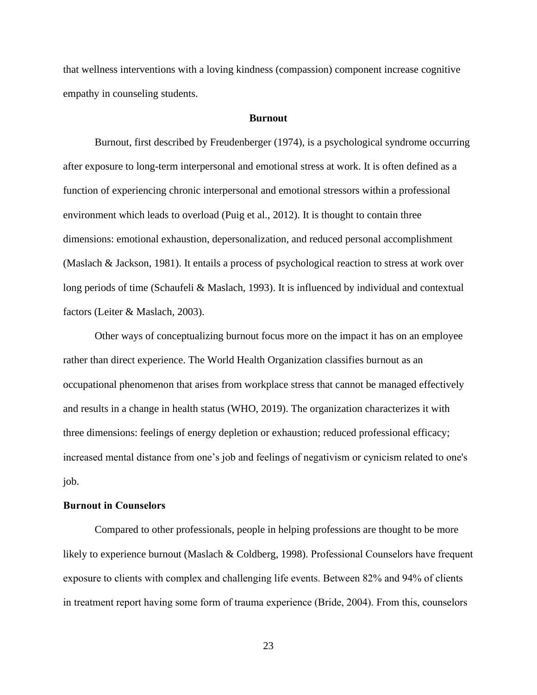that wellness interventions with a loving kindness (compassion) component increase cognitive empathy in counseling students.

#### **Burnout**

Burnout, first described by Freudenberger (1974), is a psychological syndrome occurring after exposure to long-term interpersonal and emotional stress at work. It is often defined as a function of experiencing chronic interpersonal and emotional stressors within a professional environment which leads to overload (Puig et al., 2012). It is thought to contain three dimensions: emotional exhaustion, depersonalization, and reduced personal accomplishment (Maslach & Jackson, 1981). It entails a process of psychological reaction to stress at work over long periods of time (Schaufeli & Maslach, 1993). It is influenced by individual and contextual factors (Leiter & Maslach, 2003).

Other ways of conceptualizing burnout focus more on the impact it has on an employee rather than direct experience. The World Health Organization classifies burnout as an occupational phenomenon that arises from workplace stress that cannot be managed effectively and results in a change in health status (WHO, 2019). The organization characterizes it with three dimensions: feelings of energy depletion or exhaustion; reduced professional efficacy; increased mental distance from one's job and feelings of negativism or cynicism related to one's job.

#### **Burnout in Counselors**

Compared to other professionals, people in helping professions are thought to be more likely to experience burnout (Maslach & Coldberg, 1998). Professional Counselors have frequent exposure to clients with complex and challenging life events. Between 82% and 94% of clients in treatment report having some form of trauma experience (Bride, 2004). From this, counselors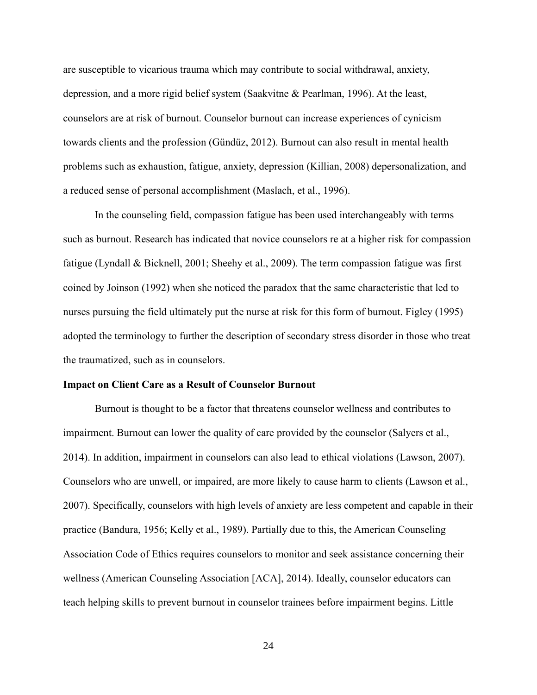are susceptible to vicarious trauma which may contribute to social withdrawal, anxiety, depression, and a more rigid belief system (Saakvitne & Pearlman, 1996). At the least, counselors are at risk of burnout. Counselor burnout can increase experiences of cynicism towards clients and the profession (Gündüz, 2012). Burnout can also result in mental health problems such as exhaustion, fatigue, anxiety, depression (Killian, 2008) depersonalization, and a reduced sense of personal accomplishment (Maslach, et al., 1996).

In the counseling field, compassion fatigue has been used interchangeably with terms such as burnout. Research has indicated that novice counselors re at a higher risk for compassion fatigue (Lyndall & Bicknell, 2001; Sheehy et al., 2009). The term compassion fatigue was first coined by Joinson (1992) when she noticed the paradox that the same characteristic that led to nurses pursuing the field ultimately put the nurse at risk for this form of burnout. Figley (1995) adopted the terminology to further the description of secondary stress disorder in those who treat the traumatized, such as in counselors.

#### **Impact on Client Care as a Result of Counselor Burnout**

Burnout is thought to be a factor that threatens counselor wellness and contributes to impairment. Burnout can lower the quality of care provided by the counselor (Salyers et al., 2014). In addition, impairment in counselors can also lead to ethical violations (Lawson, 2007). Counselors who are unwell, or impaired, are more likely to cause harm to clients (Lawson et al., 2007). Specifically, counselors with high levels of anxiety are less competent and capable in their practice (Bandura, 1956; Kelly et al., 1989). Partially due to this, the American Counseling Association Code of Ethics requires counselors to monitor and seek assistance concerning their wellness (American Counseling Association [ACA], 2014). Ideally, counselor educators can teach helping skills to prevent burnout in counselor trainees before impairment begins. Little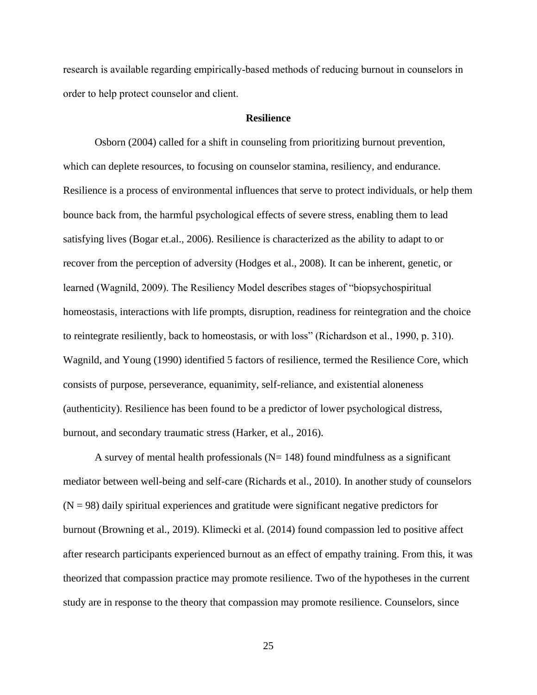research is available regarding empirically-based methods of reducing burnout in counselors in order to help protect counselor and client.

### **Resilience**

Osborn (2004) called for a shift in counseling from prioritizing burnout prevention, which can deplete resources, to focusing on counselor stamina, resiliency, and endurance. Resilience is a process of environmental influences that serve to protect individuals, or help them bounce back from, the harmful psychological effects of severe stress, enabling them to lead satisfying lives (Bogar et.al., 2006). Resilience is characterized as the ability to adapt to or recover from the perception of adversity (Hodges et al., 2008). It can be inherent, genetic, or learned (Wagnild, 2009). The Resiliency Model describes stages of "biopsychospiritual homeostasis, interactions with life prompts, disruption, readiness for reintegration and the choice to reintegrate resiliently, back to homeostasis, or with loss" (Richardson et al., 1990, p. 310). Wagnild, and Young (1990) identified 5 factors of resilience, termed the Resilience Core, which consists of purpose, perseverance, equanimity, self-reliance, and existential aloneness (authenticity). Resilience has been found to be a predictor of lower psychological distress, burnout, and secondary traumatic stress (Harker, et al., 2016).

A survey of mental health professionals ( $N = 148$ ) found mindfulness as a significant mediator between well-being and self-care (Richards et al., 2010). In another study of counselors  $(N = 98)$  daily spiritual experiences and gratitude were significant negative predictors for burnout (Browning et al., 2019). Klimecki et al. (2014) found compassion led to positive affect after research participants experienced burnout as an effect of empathy training. From this, it was theorized that compassion practice may promote resilience. Two of the hypotheses in the current study are in response to the theory that compassion may promote resilience. Counselors, since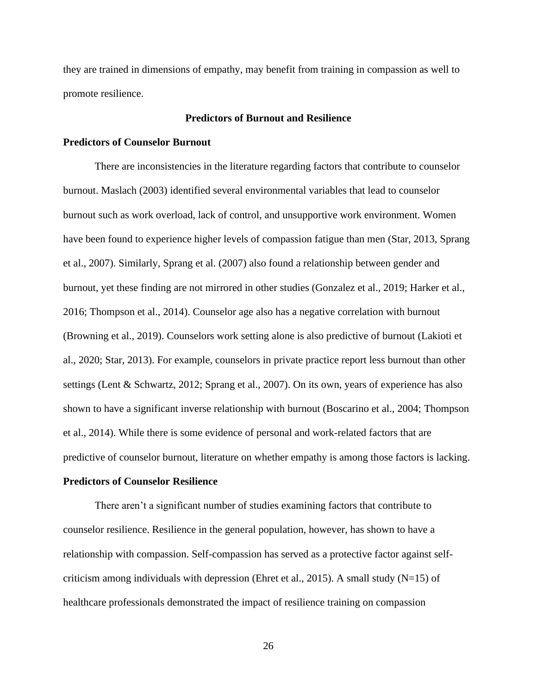they are trained in dimensions of empathy, may benefit from training in compassion as well to promote resilience.

### **Predictors of Burnout and Resilience**

### **Predictors of Counselor Burnout**

There are inconsistencies in the literature regarding factors that contribute to counselor burnout. Maslach (2003) identified several environmental variables that lead to counselor burnout such as work overload, lack of control, and unsupportive work environment. Women have been found to experience higher levels of compassion fatigue than men (Star, 2013, Sprang et al., 2007). Similarly, Sprang et al. (2007) also found a relationship between gender and burnout, yet these finding are not mirrored in other studies (Gonzalez et al., 2019; Harker et al., 2016; Thompson et al., 2014). Counselor age also has a negative correlation with burnout (Browning et al., 2019). Counselors work setting alone is also predictive of burnout (Lakioti et al., 2020; Star, 2013). For example, counselors in private practice report less burnout than other settings (Lent & Schwartz, 2012; Sprang et al., 2007). On its own, years of experience has also shown to have a significant inverse relationship with burnout (Boscarino et al., 2004; Thompson et al., 2014). While there is some evidence of personal and work-related factors that are predictive of counselor burnout, literature on whether empathy is among those factors is lacking.

### **Predictors of Counselor Resilience**

There aren't a significant number of studies examining factors that contribute to counselor resilience. Resilience in the general population, however, has shown to have a relationship with compassion. Self-compassion has served as a protective factor against selfcriticism among individuals with depression (Ehret et al., 2015). A small study ( $N=15$ ) of healthcare professionals demonstrated the impact of resilience training on compassion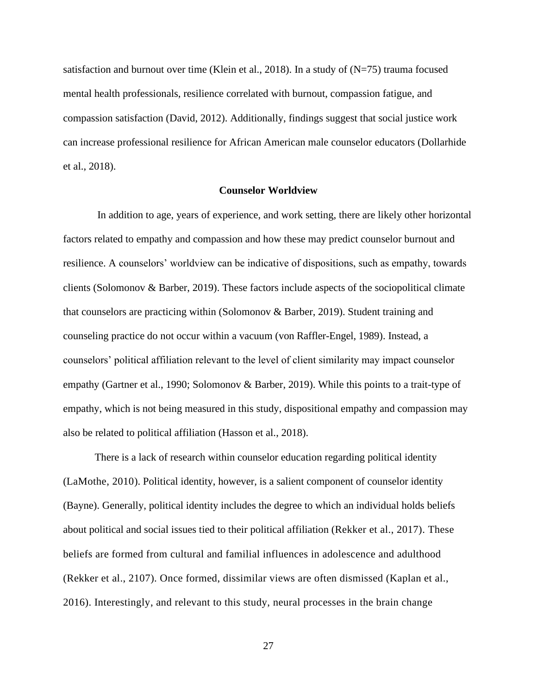satisfaction and burnout over time (Klein et al., 2018). In a study of  $(N=75)$  trauma focused mental health professionals, resilience correlated with burnout, compassion fatigue, and compassion satisfaction (David, 2012). Additionally, findings suggest that social justice work can increase professional resilience for African American male counselor educators (Dollarhide et al., 2018).

#### **Counselor Worldview**

In addition to age, years of experience, and work setting, there are likely other horizontal factors related to empathy and compassion and how these may predict counselor burnout and resilience. A counselors' worldview can be indicative of dispositions, such as empathy, towards clients (Solomonov & Barber, 2019). These factors include aspects of the sociopolitical climate that counselors are practicing within (Solomonov & Barber, 2019). Student training and counseling practice do not occur within a vacuum (von Raffler-Engel, 1989). Instead, a counselors' political affiliation relevant to the level of client similarity may impact counselor empathy (Gartner et al., 1990; Solomonov & Barber, 2019). While this points to a trait-type of empathy, which is not being measured in this study, dispositional empathy and compassion may also be related to political affiliation (Hasson et al., 2018).

There is a lack of research within counselor education regarding political identity (LaMothe, 2010). Political identity, however, is a salient component of counselor identity (Bayne). Generally, political identity includes the degree to which an individual holds beliefs about political and social issues tied to their political affiliation (Rekker et al., 2017). These beliefs are formed from cultural and familial influences in adolescence and adulthood (Rekker et al., 2107). Once formed, dissimilar views are often dismissed (Kaplan et al., 2016). Interestingly, and relevant to this study, neural processes in the brain change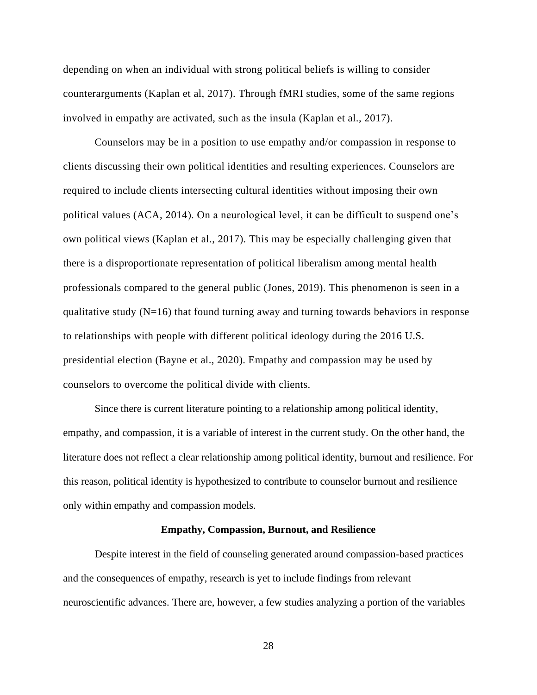depending on when an individual with strong political beliefs is willing to consider counterarguments (Kaplan et al, 2017). Through fMRI studies, some of the same regions involved in empathy are activated, such as the insula (Kaplan et al., 2017).

Counselors may be in a position to use empathy and/or compassion in response to clients discussing their own political identities and resulting experiences. Counselors are required to include clients intersecting cultural identities without imposing their own political values (ACA, 2014). On a neurological level, it can be difficult to suspend one's own political views (Kaplan et al., 2017). This may be especially challenging given that there is a disproportionate representation of political liberalism among mental health professionals compared to the general public (Jones, 2019). This phenomenon is seen in a qualitative study  $(N=16)$  that found turning away and turning towards behaviors in response to relationships with people with different political ideology during the 2016 U.S. presidential election (Bayne et al., 2020). Empathy and compassion may be used by counselors to overcome the political divide with clients.

Since there is current literature pointing to a relationship among political identity, empathy, and compassion, it is a variable of interest in the current study. On the other hand, the literature does not reflect a clear relationship among political identity, burnout and resilience. For this reason, political identity is hypothesized to contribute to counselor burnout and resilience only within empathy and compassion models.

#### **Empathy, Compassion, Burnout, and Resilience**

Despite interest in the field of counseling generated around compassion-based practices and the consequences of empathy, research is yet to include findings from relevant neuroscientific advances. There are, however, a few studies analyzing a portion of the variables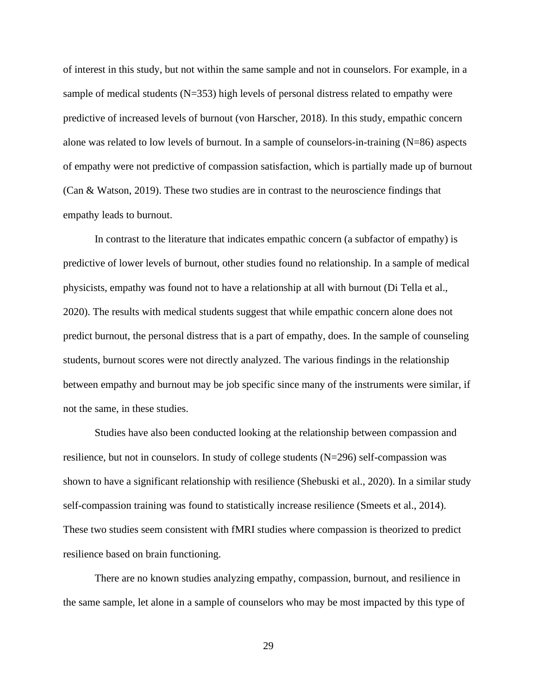of interest in this study, but not within the same sample and not in counselors. For example, in a sample of medical students (N=353) high levels of personal distress related to empathy were predictive of increased levels of burnout (von Harscher, 2018). In this study, empathic concern alone was related to low levels of burnout. In a sample of counselors-in-training (N=86) aspects of empathy were not predictive of compassion satisfaction, which is partially made up of burnout (Can & Watson, 2019). These two studies are in contrast to the neuroscience findings that empathy leads to burnout.

In contrast to the literature that indicates empathic concern (a subfactor of empathy) is predictive of lower levels of burnout, other studies found no relationship. In a sample of medical physicists, empathy was found not to have a relationship at all with burnout (Di Tella et al., 2020). The results with medical students suggest that while empathic concern alone does not predict burnout, the personal distress that is a part of empathy, does. In the sample of counseling students, burnout scores were not directly analyzed. The various findings in the relationship between empathy and burnout may be job specific since many of the instruments were similar, if not the same, in these studies.

Studies have also been conducted looking at the relationship between compassion and resilience, but not in counselors. In study of college students (N=296) self-compassion was shown to have a significant relationship with resilience (Shebuski et al., 2020). In a similar study self-compassion training was found to statistically increase resilience (Smeets et al., 2014). These two studies seem consistent with fMRI studies where compassion is theorized to predict resilience based on brain functioning.

There are no known studies analyzing empathy, compassion, burnout, and resilience in the same sample, let alone in a sample of counselors who may be most impacted by this type of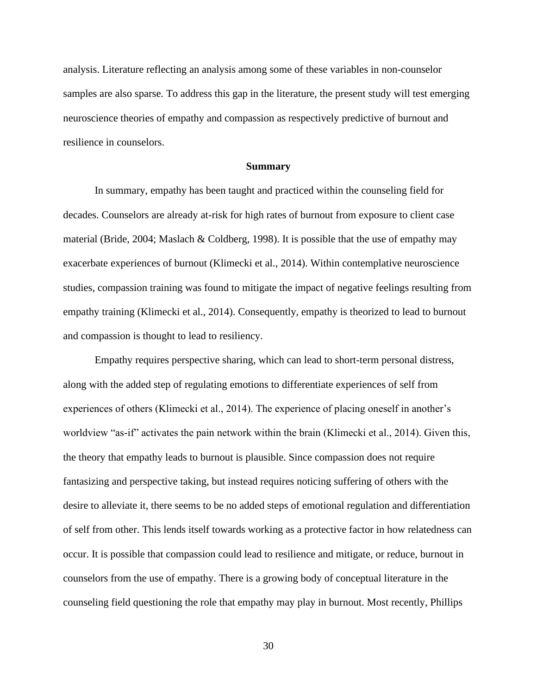analysis. Literature reflecting an analysis among some of these variables in non-counselor samples are also sparse. To address this gap in the literature, the present study will test emerging neuroscience theories of empathy and compassion as respectively predictive of burnout and resilience in counselors.

#### **Summary**

In summary, empathy has been taught and practiced within the counseling field for decades. Counselors are already at-risk for high rates of burnout from exposure to client case material (Bride, 2004; Maslach & Coldberg, 1998). It is possible that the use of empathy may exacerbate experiences of burnout (Klimecki et al., 2014). Within contemplative neuroscience studies, compassion training was found to mitigate the impact of negative feelings resulting from empathy training (Klimecki et al., 2014). Consequently, empathy is theorized to lead to burnout and compassion is thought to lead to resiliency.

Empathy requires perspective sharing, which can lead to short-term personal distress, along with the added step of regulating emotions to differentiate experiences of self from experiences of others (Klimecki et al., 2014). The experience of placing oneself in another's worldview "as-if" activates the pain network within the brain (Klimecki et al., 2014). Given this, the theory that empathy leads to burnout is plausible. Since compassion does not require fantasizing and perspective taking, but instead requires noticing suffering of others with the desire to alleviate it, there seems to be no added steps of emotional regulation and differentiation of self from other. This lends itself towards working as a protective factor in how relatedness can occur. It is possible that compassion could lead to resilience and mitigate, or reduce, burnout in counselors from the use of empathy. There is a growing body of conceptual literature in the counseling field questioning the role that empathy may play in burnout. Most recently, Phillips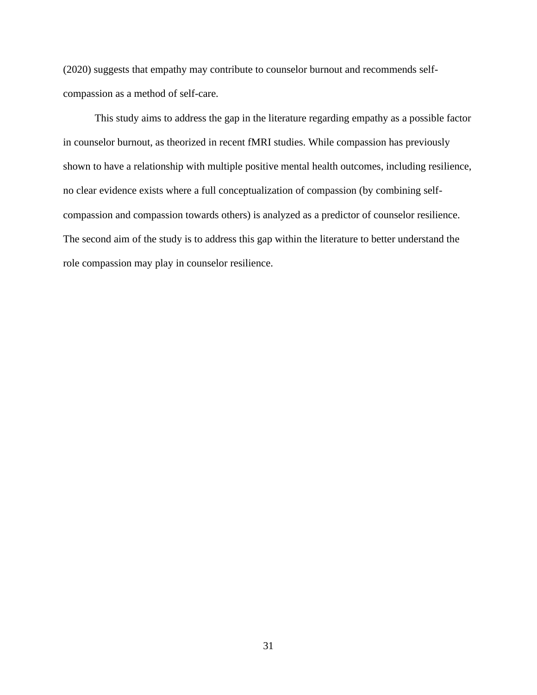(2020) suggests that empathy may contribute to counselor burnout and recommends selfcompassion as a method of self-care.

This study aims to address the gap in the literature regarding empathy as a possible factor in counselor burnout, as theorized in recent fMRI studies. While compassion has previously shown to have a relationship with multiple positive mental health outcomes, including resilience, no clear evidence exists where a full conceptualization of compassion (by combining selfcompassion and compassion towards others) is analyzed as a predictor of counselor resilience. The second aim of the study is to address this gap within the literature to better understand the role compassion may play in counselor resilience.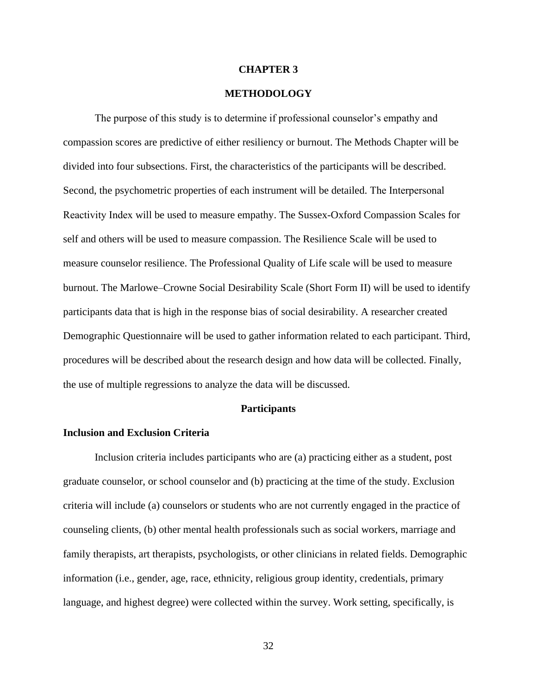#### **CHAPTER 3**

# **METHODOLOGY**

The purpose of this study is to determine if professional counselor's empathy and compassion scores are predictive of either resiliency or burnout. The Methods Chapter will be divided into four subsections. First, the characteristics of the participants will be described. Second, the psychometric properties of each instrument will be detailed. The Interpersonal Reactivity Index will be used to measure empathy. The Sussex-Oxford Compassion Scales for self and others will be used to measure compassion. The Resilience Scale will be used to measure counselor resilience. The Professional Quality of Life scale will be used to measure burnout. The Marlowe–Crowne Social Desirability Scale (Short Form II) will be used to identify participants data that is high in the response bias of social desirability. A researcher created Demographic Questionnaire will be used to gather information related to each participant. Third, procedures will be described about the research design and how data will be collected. Finally, the use of multiple regressions to analyze the data will be discussed.

### **Participants**

## **Inclusion and Exclusion Criteria**

Inclusion criteria includes participants who are (a) practicing either as a student, post graduate counselor, or school counselor and (b) practicing at the time of the study. Exclusion criteria will include (a) counselors or students who are not currently engaged in the practice of counseling clients, (b) other mental health professionals such as social workers, marriage and family therapists, art therapists, psychologists, or other clinicians in related fields. Demographic information (i.e., gender, age, race, ethnicity, religious group identity, credentials, primary language, and highest degree) were collected within the survey. Work setting, specifically, is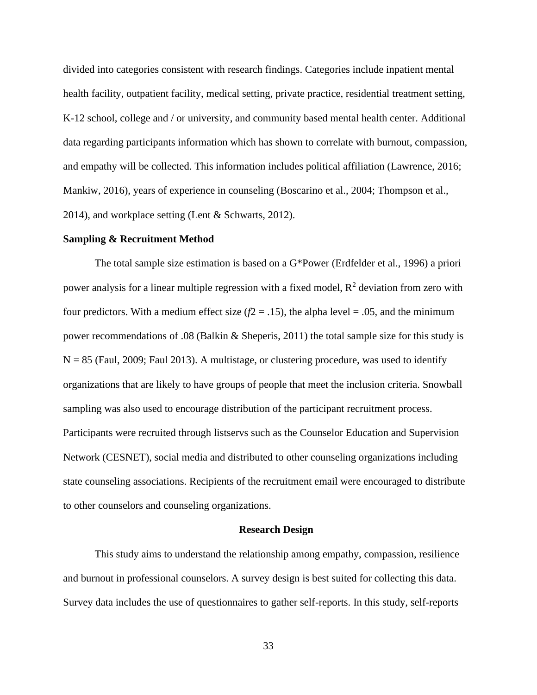divided into categories consistent with research findings. Categories include inpatient mental health facility, outpatient facility, medical setting, private practice, residential treatment setting, K-12 school, college and / or university, and community based mental health center. Additional data regarding participants information which has shown to correlate with burnout, compassion, and empathy will be collected. This information includes political affiliation (Lawrence, 2016; Mankiw, 2016), years of experience in counseling (Boscarino et al., 2004; Thompson et al., 2014), and workplace setting (Lent & Schwarts, 2012).

#### **Sampling & Recruitment Method**

The total sample size estimation is based on a G\*Power (Erdfelder et al., 1996) a priori power analysis for a linear multiple regression with a fixed model,  $R^2$  deviation from zero with four predictors. With a medium effect size  $(f2 = .15)$ , the alpha level = .05, and the minimum power recommendations of .08 (Balkin & Sheperis, 2011) the total sample size for this study is  $N = 85$  (Faul, 2009; Faul 2013). A multistage, or clustering procedure, was used to identify organizations that are likely to have groups of people that meet the inclusion criteria. Snowball sampling was also used to encourage distribution of the participant recruitment process. Participants were recruited through listservs such as the Counselor Education and Supervision Network (CESNET), social media and distributed to other counseling organizations including state counseling associations. Recipients of the recruitment email were encouraged to distribute to other counselors and counseling organizations.

#### **Research Design**

This study aims to understand the relationship among empathy, compassion, resilience and burnout in professional counselors. A survey design is best suited for collecting this data. Survey data includes the use of questionnaires to gather self-reports. In this study, self-reports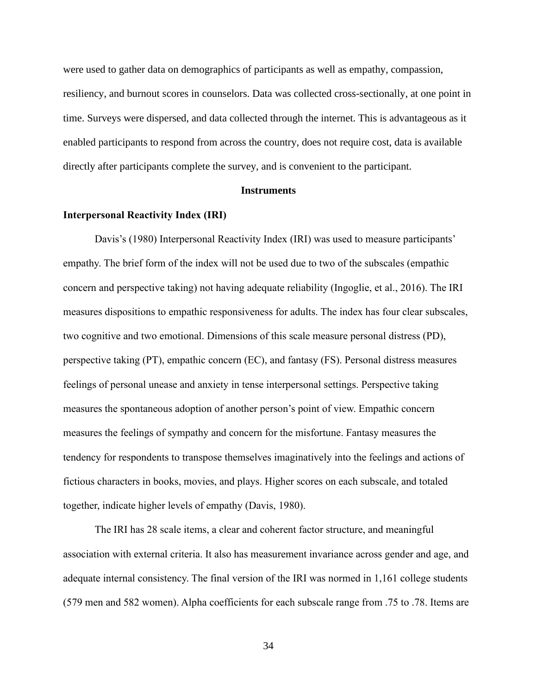were used to gather data on demographics of participants as well as empathy, compassion, resiliency, and burnout scores in counselors. Data was collected cross-sectionally, at one point in time. Surveys were dispersed, and data collected through the internet. This is advantageous as it enabled participants to respond from across the country, does not require cost, data is available directly after participants complete the survey, and is convenient to the participant.

#### **Instruments**

## **Interpersonal Reactivity Index (IRI)**

Davis's (1980) Interpersonal Reactivity Index (IRI) was used to measure participants' empathy. The brief form of the index will not be used due to two of the subscales (empathic concern and perspective taking) not having adequate reliability (Ingoglie, et al., 2016). The IRI measures dispositions to empathic responsiveness for adults. The index has four clear subscales, two cognitive and two emotional. Dimensions of this scale measure personal distress (PD), perspective taking (PT), empathic concern (EC), and fantasy (FS). Personal distress measures feelings of personal unease and anxiety in tense interpersonal settings. Perspective taking measures the spontaneous adoption of another person's point of view. Empathic concern measures the feelings of sympathy and concern for the misfortune. Fantasy measures the tendency for respondents to transpose themselves imaginatively into the feelings and actions of fictious characters in books, movies, and plays. Higher scores on each subscale, and totaled together, indicate higher levels of empathy (Davis, 1980).

The IRI has 28 scale items, a clear and coherent factor structure, and meaningful association with external criteria. It also has measurement invariance across gender and age, and adequate internal consistency. The final version of the IRI was normed in 1,161 college students (579 men and 582 women). Alpha coefficients for each subscale range from .75 to .78. Items are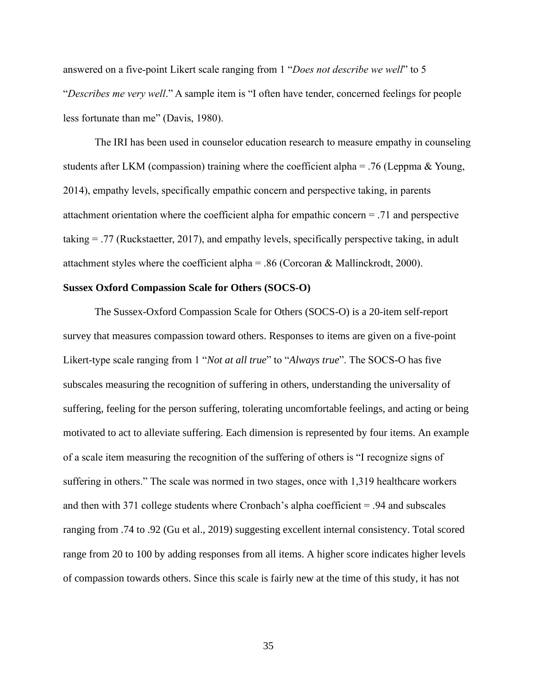answered on a five-point Likert scale ranging from 1 "*Does not describe we well*" to 5 "*Describes me very well*." A sample item is "I often have tender, concerned feelings for people less fortunate than me" (Davis, 1980).

The IRI has been used in counselor education research to measure empathy in counseling students after LKM (compassion) training where the coefficient alpha = .76 (Leppma & Young, 2014), empathy levels, specifically empathic concern and perspective taking, in parents attachment orientation where the coefficient alpha for empathic concern = .71 and perspective taking = .77 (Ruckstaetter, 2017), and empathy levels, specifically perspective taking, in adult attachment styles where the coefficient alpha = .86 (Corcoran & Mallinckrodt, 2000).

## **Sussex Oxford Compassion Scale for Others (SOCS-O)**

The Sussex-Oxford Compassion Scale for Others (SOCS-O) is a 20-item self-report survey that measures compassion toward others. Responses to items are given on a five-point Likert-type scale ranging from 1 "*Not at all true*" to "*Always true*". The SOCS-O has five subscales measuring the recognition of suffering in others, understanding the universality of suffering, feeling for the person suffering, tolerating uncomfortable feelings, and acting or being motivated to act to alleviate suffering. Each dimension is represented by four items. An example of a scale item measuring the recognition of the suffering of others is "I recognize signs of suffering in others." The scale was normed in two stages, once with 1,319 healthcare workers and then with 371 college students where Cronbach's alpha coefficient = .94 and subscales ranging from .74 to .92 (Gu et al., 2019) suggesting excellent internal consistency. Total scored range from 20 to 100 by adding responses from all items. A higher score indicates higher levels of compassion towards others. Since this scale is fairly new at the time of this study, it has not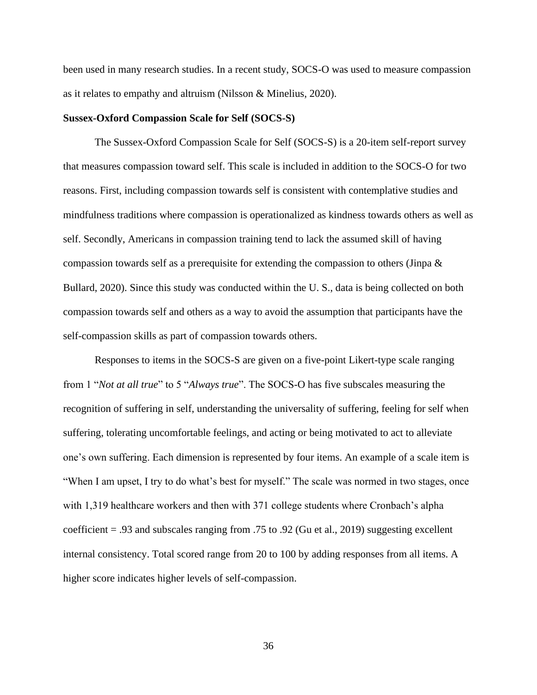been used in many research studies. In a recent study, SOCS-O was used to measure compassion as it relates to empathy and altruism (Nilsson & Minelius, 2020).

#### **Sussex-Oxford Compassion Scale for Self (SOCS-S)**

The Sussex-Oxford Compassion Scale for Self (SOCS-S) is a 20-item self-report survey that measures compassion toward self. This scale is included in addition to the SOCS-O for two reasons. First, including compassion towards self is consistent with contemplative studies and mindfulness traditions where compassion is operationalized as kindness towards others as well as self. Secondly, Americans in compassion training tend to lack the assumed skill of having compassion towards self as a prerequisite for extending the compassion to others (Jinpa  $\&$ Bullard, 2020). Since this study was conducted within the U. S., data is being collected on both compassion towards self and others as a way to avoid the assumption that participants have the self-compassion skills as part of compassion towards others.

Responses to items in the SOCS-S are given on a five-point Likert-type scale ranging from 1 "*Not at all true*" to 5 "*Always true*". The SOCS-O has five subscales measuring the recognition of suffering in self, understanding the universality of suffering, feeling for self when suffering, tolerating uncomfortable feelings, and acting or being motivated to act to alleviate one's own suffering. Each dimension is represented by four items. An example of a scale item is "When I am upset, I try to do what's best for myself." The scale was normed in two stages, once with 1,319 healthcare workers and then with 371 college students where Cronbach's alpha coefficient = .93 and subscales ranging from .75 to .92 (Gu et al., 2019) suggesting excellent internal consistency. Total scored range from 20 to 100 by adding responses from all items. A higher score indicates higher levels of self-compassion.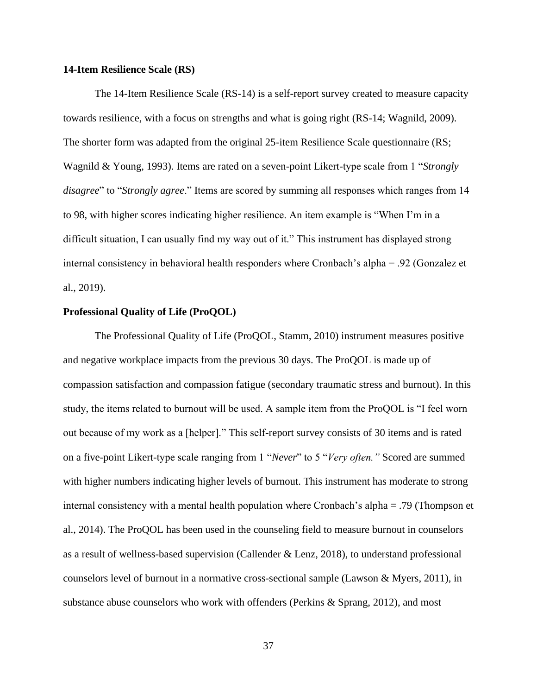### **14-Item Resilience Scale (RS)**

The 14-Item Resilience Scale (RS-14) is a self-report survey created to measure capacity towards resilience, with a focus on strengths and what is going right (RS-14; Wagnild, 2009). The shorter form was adapted from the original 25-item Resilience Scale questionnaire (RS; Wagnild & Young, 1993). Items are rated on a seven-point Likert-type scale from 1 "*Strongly disagree*" to "*Strongly agree*." Items are scored by summing all responses which ranges from 14 to 98, with higher scores indicating higher resilience. An item example is "When I'm in a difficult situation, I can usually find my way out of it." This instrument has displayed strong internal consistency in behavioral health responders where Cronbach's alpha = .92 (Gonzalez et al., 2019).

## **Professional Quality of Life (ProQOL)**

The Professional Quality of Life (ProQOL, Stamm, 2010) instrument measures positive and negative workplace impacts from the previous 30 days. The ProQOL is made up of compassion satisfaction and compassion fatigue (secondary traumatic stress and burnout). In this study, the items related to burnout will be used. A sample item from the ProQOL is "I feel worn out because of my work as a [helper]." This self-report survey consists of 30 items and is rated on a five-point Likert-type scale ranging from 1 "*Never*" to 5 "*Very often."* Scored are summed with higher numbers indicating higher levels of burnout. This instrument has moderate to strong internal consistency with a mental health population where Cronbach's alpha = .79 (Thompson et al., 2014). The ProQOL has been used in the counseling field to measure burnout in counselors as a result of wellness-based supervision (Callender & Lenz, 2018), to understand professional counselors level of burnout in a normative cross-sectional sample (Lawson & Myers, 2011), in substance abuse counselors who work with offenders (Perkins & Sprang, 2012), and most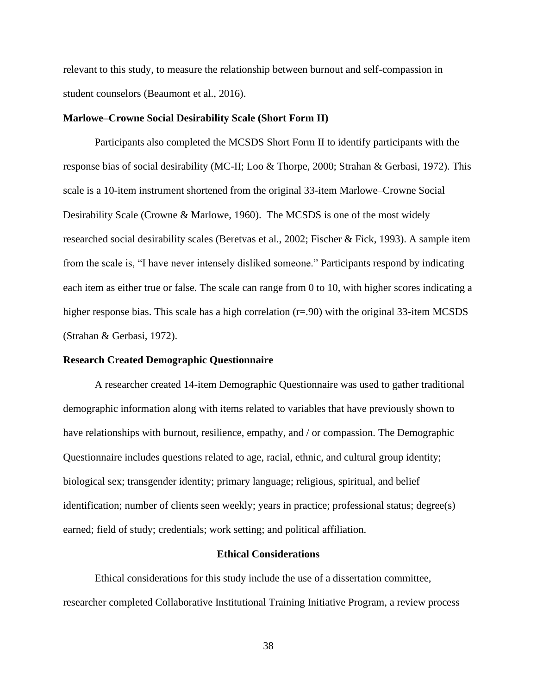relevant to this study, to measure the relationship between burnout and self-compassion in student counselors (Beaumont et al., 2016).

#### **Marlowe–Crowne Social Desirability Scale (Short Form II)**

Participants also completed the MCSDS Short Form II to identify participants with the response bias of social desirability (MC-II; Loo & Thorpe, 2000; Strahan & Gerbasi, 1972). This scale is a 10-item instrument shortened from the original 33-item Marlowe–Crowne Social Desirability Scale (Crowne & Marlowe, 1960). The MCSDS is one of the most widely researched social desirability scales (Beretvas et al., 2002; Fischer & Fick, 1993). A sample item from the scale is, "I have never intensely disliked someone." Participants respond by indicating each item as either true or false. The scale can range from 0 to 10, with higher scores indicating a higher response bias. This scale has a high correlation (r=.90) with the original 33-item MCSDS (Strahan & Gerbasi, 1972).

## **Research Created Demographic Questionnaire**

A researcher created 14-item Demographic Questionnaire was used to gather traditional demographic information along with items related to variables that have previously shown to have relationships with burnout, resilience, empathy, and / or compassion. The Demographic Questionnaire includes questions related to age, racial, ethnic, and cultural group identity; biological sex; transgender identity; primary language; religious, spiritual, and belief identification; number of clients seen weekly; years in practice; professional status; degree(s) earned; field of study; credentials; work setting; and political affiliation.

#### **Ethical Considerations**

Ethical considerations for this study include the use of a dissertation committee, researcher completed Collaborative Institutional Training Initiative Program, a review process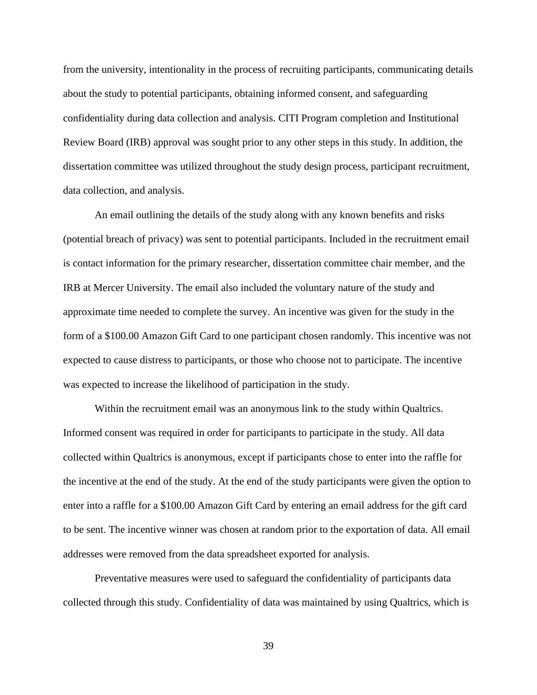from the university, intentionality in the process of recruiting participants, communicating details about the study to potential participants, obtaining informed consent, and safeguarding confidentiality during data collection and analysis. CITI Program completion and Institutional Review Board (IRB) approval was sought prior to any other steps in this study. In addition, the dissertation committee was utilized throughout the study design process, participant recruitment, data collection, and analysis.

An email outlining the details of the study along with any known benefits and risks (potential breach of privacy) was sent to potential participants. Included in the recruitment email is contact information for the primary researcher, dissertation committee chair member, and the IRB at Mercer University. The email also included the voluntary nature of the study and approximate time needed to complete the survey. An incentive was given for the study in the form of a \$100.00 Amazon Gift Card to one participant chosen randomly. This incentive was not expected to cause distress to participants, or those who choose not to participate. The incentive was expected to increase the likelihood of participation in the study.

Within the recruitment email was an anonymous link to the study within Qualtrics. Informed consent was required in order for participants to participate in the study. All data collected within Qualtrics is anonymous, except if participants chose to enter into the raffle for the incentive at the end of the study. At the end of the study participants were given the option to enter into a raffle for a \$100.00 Amazon Gift Card by entering an email address for the gift card to be sent. The incentive winner was chosen at random prior to the exportation of data. All email addresses were removed from the data spreadsheet exported for analysis.

Preventative measures were used to safeguard the confidentiality of participants data collected through this study. Confidentiality of data was maintained by using Qualtrics, which is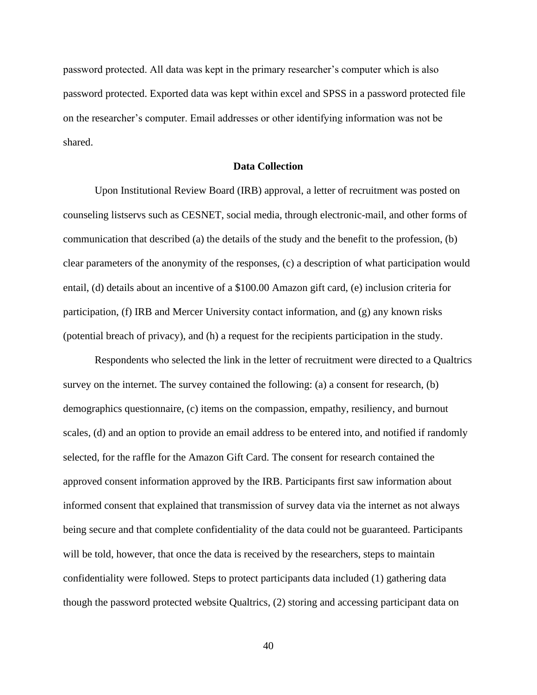password protected. All data was kept in the primary researcher's computer which is also password protected. Exported data was kept within excel and SPSS in a password protected file on the researcher's computer. Email addresses or other identifying information was not be shared.

## **Data Collection**

Upon Institutional Review Board (IRB) approval, a letter of recruitment was posted on counseling listservs such as CESNET, social media, through electronic-mail, and other forms of communication that described (a) the details of the study and the benefit to the profession, (b) clear parameters of the anonymity of the responses, (c) a description of what participation would entail, (d) details about an incentive of a \$100.00 Amazon gift card, (e) inclusion criteria for participation, (f) IRB and Mercer University contact information, and (g) any known risks (potential breach of privacy), and (h) a request for the recipients participation in the study.

Respondents who selected the link in the letter of recruitment were directed to a Qualtrics survey on the internet. The survey contained the following: (a) a consent for research, (b) demographics questionnaire, (c) items on the compassion, empathy, resiliency, and burnout scales, (d) and an option to provide an email address to be entered into, and notified if randomly selected, for the raffle for the Amazon Gift Card. The consent for research contained the approved consent information approved by the IRB. Participants first saw information about informed consent that explained that transmission of survey data via the internet as not always being secure and that complete confidentiality of the data could not be guaranteed. Participants will be told, however, that once the data is received by the researchers, steps to maintain confidentiality were followed. Steps to protect participants data included (1) gathering data though the password protected website Qualtrics, (2) storing and accessing participant data on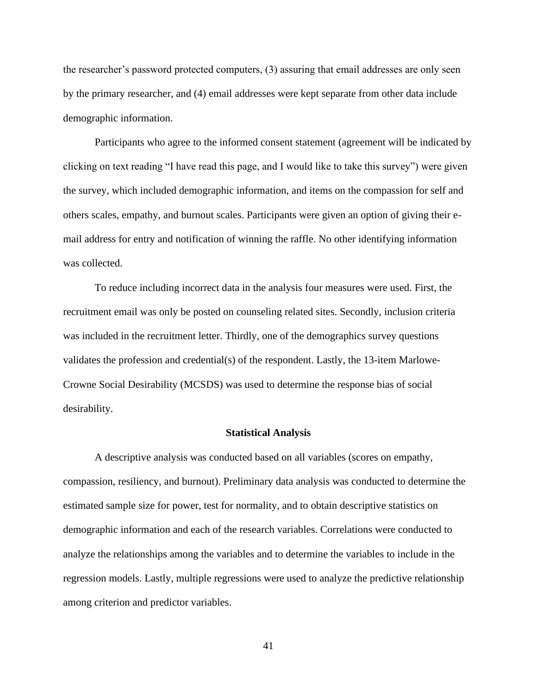the researcher's password protected computers, (3) assuring that email addresses are only seen by the primary researcher, and (4) email addresses were kept separate from other data include demographic information.

Participants who agree to the informed consent statement (agreement will be indicated by clicking on text reading "I have read this page, and I would like to take this survey") were given the survey, which included demographic information, and items on the compassion for self and others scales, empathy, and burnout scales. Participants were given an option of giving their email address for entry and notification of winning the raffle. No other identifying information was collected.

To reduce including incorrect data in the analysis four measures were used. First, the recruitment email was only be posted on counseling related sites. Secondly, inclusion criteria was included in the recruitment letter. Thirdly, one of the demographics survey questions validates the profession and credential(s) of the respondent. Lastly, the 13-item Marlowe-Crowne Social Desirability (MCSDS) was used to determine the response bias of social desirability.

#### **Statistical Analysis**

A descriptive analysis was conducted based on all variables (scores on empathy, compassion, resiliency, and burnout). Preliminary data analysis was conducted to determine the estimated sample size for power, test for normality, and to obtain descriptive statistics on demographic information and each of the research variables. Correlations were conducted to analyze the relationships among the variables and to determine the variables to include in the regression models. Lastly, multiple regressions were used to analyze the predictive relationship among criterion and predictor variables.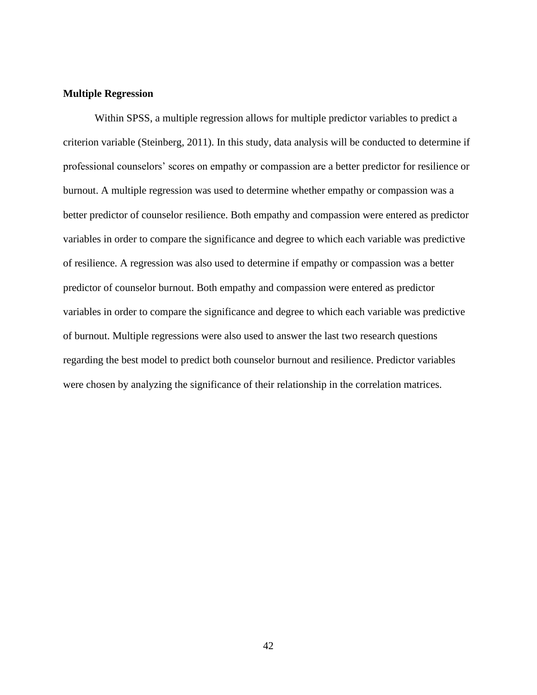## **Multiple Regression**

Within SPSS, a multiple regression allows for multiple predictor variables to predict a criterion variable (Steinberg, 2011). In this study, data analysis will be conducted to determine if professional counselors' scores on empathy or compassion are a better predictor for resilience or burnout. A multiple regression was used to determine whether empathy or compassion was a better predictor of counselor resilience. Both empathy and compassion were entered as predictor variables in order to compare the significance and degree to which each variable was predictive of resilience. A regression was also used to determine if empathy or compassion was a better predictor of counselor burnout. Both empathy and compassion were entered as predictor variables in order to compare the significance and degree to which each variable was predictive of burnout. Multiple regressions were also used to answer the last two research questions regarding the best model to predict both counselor burnout and resilience. Predictor variables were chosen by analyzing the significance of their relationship in the correlation matrices.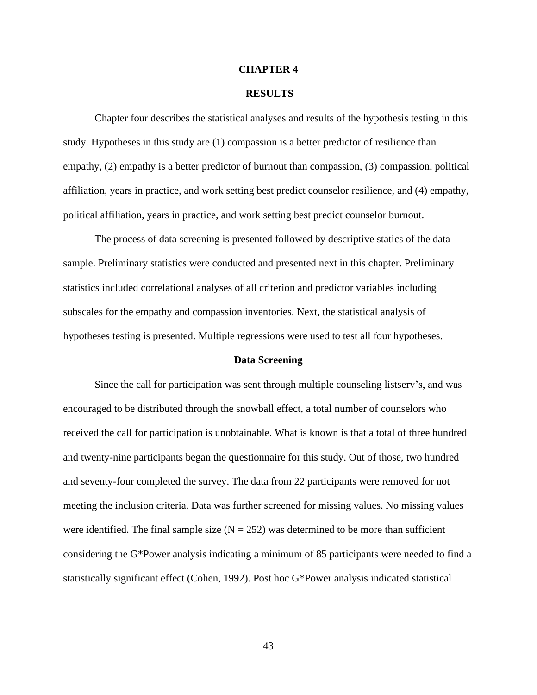#### **CHAPTER 4**

#### **RESULTS**

Chapter four describes the statistical analyses and results of the hypothesis testing in this study. Hypotheses in this study are (1) compassion is a better predictor of resilience than empathy, (2) empathy is a better predictor of burnout than compassion, (3) compassion, political affiliation, years in practice, and work setting best predict counselor resilience, and (4) empathy, political affiliation, years in practice, and work setting best predict counselor burnout.

The process of data screening is presented followed by descriptive statics of the data sample. Preliminary statistics were conducted and presented next in this chapter. Preliminary statistics included correlational analyses of all criterion and predictor variables including subscales for the empathy and compassion inventories. Next, the statistical analysis of hypotheses testing is presented. Multiple regressions were used to test all four hypotheses.

#### **Data Screening**

Since the call for participation was sent through multiple counseling listserv's, and was encouraged to be distributed through the snowball effect, a total number of counselors who received the call for participation is unobtainable. What is known is that a total of three hundred and twenty-nine participants began the questionnaire for this study. Out of those, two hundred and seventy-four completed the survey. The data from 22 participants were removed for not meeting the inclusion criteria. Data was further screened for missing values. No missing values were identified. The final sample size  $(N = 252)$  was determined to be more than sufficient considering the G\*Power analysis indicating a minimum of 85 participants were needed to find a statistically significant effect (Cohen, 1992). Post hoc G\*Power analysis indicated statistical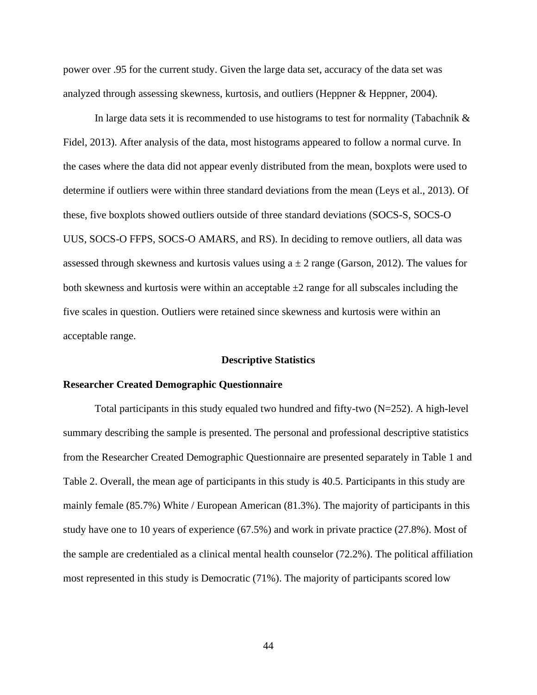power over .95 for the current study. Given the large data set, accuracy of the data set was analyzed through assessing skewness, kurtosis, and outliers (Heppner & Heppner, 2004).

In large data sets it is recommended to use histograms to test for normality (Tabachnik & Fidel, 2013). After analysis of the data, most histograms appeared to follow a normal curve. In the cases where the data did not appear evenly distributed from the mean, boxplots were used to determine if outliers were within three standard deviations from the mean (Leys et al., 2013). Of these, five boxplots showed outliers outside of three standard deviations (SOCS-S, SOCS-O UUS, SOCS-O FFPS, SOCS-O AMARS, and RS). In deciding to remove outliers, all data was assessed through skewness and kurtosis values using  $a \pm 2$  range (Garson, 2012). The values for both skewness and kurtosis were within an acceptable  $\pm 2$  range for all subscales including the five scales in question. Outliers were retained since skewness and kurtosis were within an acceptable range.

#### **Descriptive Statistics**

#### **Researcher Created Demographic Questionnaire**

Total participants in this study equaled two hundred and fifty-two  $(N=252)$ . A high-level summary describing the sample is presented. The personal and professional descriptive statistics from the Researcher Created Demographic Questionnaire are presented separately in Table 1 and Table 2. Overall, the mean age of participants in this study is 40.5. Participants in this study are mainly female (85.7%) White / European American (81.3%). The majority of participants in this study have one to 10 years of experience (67.5%) and work in private practice (27.8%). Most of the sample are credentialed as a clinical mental health counselor (72.2%). The political affiliation most represented in this study is Democratic (71%). The majority of participants scored low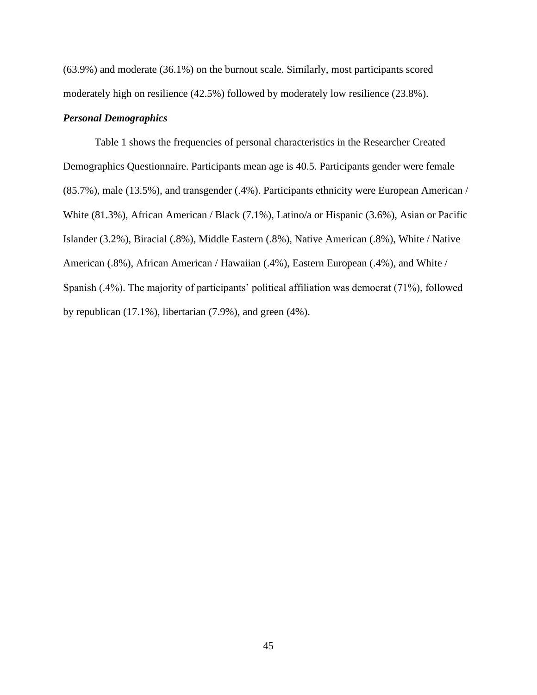(63.9%) and moderate (36.1%) on the burnout scale. Similarly, most participants scored moderately high on resilience (42.5%) followed by moderately low resilience (23.8%).

#### *Personal Demographics*

Table 1 shows the frequencies of personal characteristics in the Researcher Created Demographics Questionnaire. Participants mean age is 40.5. Participants gender were female (85.7%), male (13.5%), and transgender (.4%). Participants ethnicity were European American / White (81.3%), African American / Black (7.1%), Latino/a or Hispanic (3.6%), Asian or Pacific Islander (3.2%), Biracial (.8%), Middle Eastern (.8%), Native American (.8%), White / Native American (.8%), African American / Hawaiian (.4%), Eastern European (.4%), and White / Spanish (.4%). The majority of participants' political affiliation was democrat (71%), followed by republican (17.1%), libertarian (7.9%), and green (4%).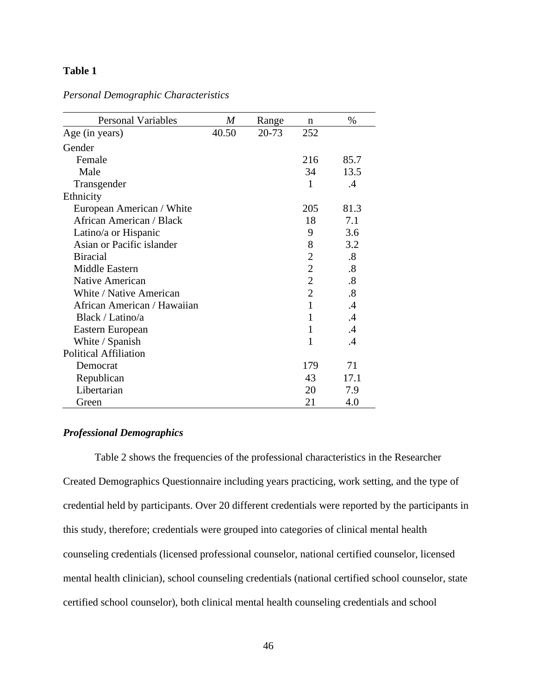# **Table 1**

| <b>Personal Variables</b>    | $\boldsymbol{M}$ | Range | n              | $\%$              |
|------------------------------|------------------|-------|----------------|-------------------|
| Age (in years)               | 40.50            | 20-73 | 252            |                   |
| Gender                       |                  |       |                |                   |
| Female                       |                  |       | 216            | 85.7              |
| Male                         |                  |       | 34             | 13.5              |
| Transgender                  |                  |       | $\mathbf{1}$   | $\cdot$           |
| Ethnicity                    |                  |       |                |                   |
| European American / White    |                  |       | 205            | 81.3              |
| African American / Black     |                  |       | 18             | 7.1               |
| Latino/a or Hispanic         |                  |       | 9              | 3.6               |
| Asian or Pacific islander    |                  |       | 8              | 3.2               |
| <b>Biracial</b>              |                  |       | $\overline{2}$ | $\boldsymbol{.8}$ |
| Middle Eastern               |                  |       | $\overline{2}$ | $\boldsymbol{.8}$ |
| <b>Native American</b>       |                  |       | $\overline{2}$ | .8                |
| White / Native American      |                  |       | $\overline{2}$ | .8                |
| African American / Hawaiian  |                  |       | 1              | $\cdot$           |
| Black / Latino/a             |                  |       | $\mathbf{1}$   | $\cdot$           |
| Eastern European             |                  |       | $\mathbf{1}$   | $\cdot$           |
| White / Spanish              |                  |       | 1              | $\cdot$           |
| <b>Political Affiliation</b> |                  |       |                |                   |
| Democrat                     |                  |       | 179            | 71                |
| Republican                   |                  |       | 43             | 17.1              |
| Libertarian                  |                  |       | 20             | 7.9               |
| Green                        |                  |       | 21             | 4.0               |

*Personal Demographic Characteristics*

# *Professional Demographics*

Table 2 shows the frequencies of the professional characteristics in the Researcher Created Demographics Questionnaire including years practicing, work setting, and the type of credential held by participants. Over 20 different credentials were reported by the participants in this study, therefore; credentials were grouped into categories of clinical mental health counseling credentials (licensed professional counselor, national certified counselor, licensed mental health clinician), school counseling credentials (national certified school counselor, state certified school counselor), both clinical mental health counseling credentials and school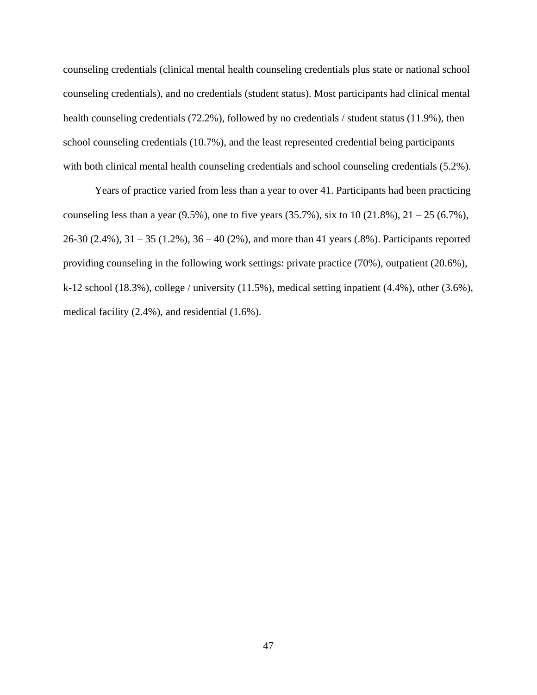counseling credentials (clinical mental health counseling credentials plus state or national school counseling credentials), and no credentials (student status). Most participants had clinical mental health counseling credentials (72.2%), followed by no credentials / student status (11.9%), then school counseling credentials (10.7%), and the least represented credential being participants with both clinical mental health counseling credentials and school counseling credentials (5.2%).

Years of practice varied from less than a year to over 41. Participants had been practicing counseling less than a year  $(9.5\%)$ , one to five years  $(35.7\%)$ , six to  $10 (21.8\%)$ ,  $21 - 25 (6.7\%)$ , 26-30 (2.4%), 31 – 35 (1.2%), 36 – 40 (2%), and more than 41 years (.8%). Participants reported providing counseling in the following work settings: private practice (70%), outpatient (20.6%), k-12 school (18.3%), college / university (11.5%), medical setting inpatient (4.4%), other (3.6%), medical facility (2.4%), and residential (1.6%).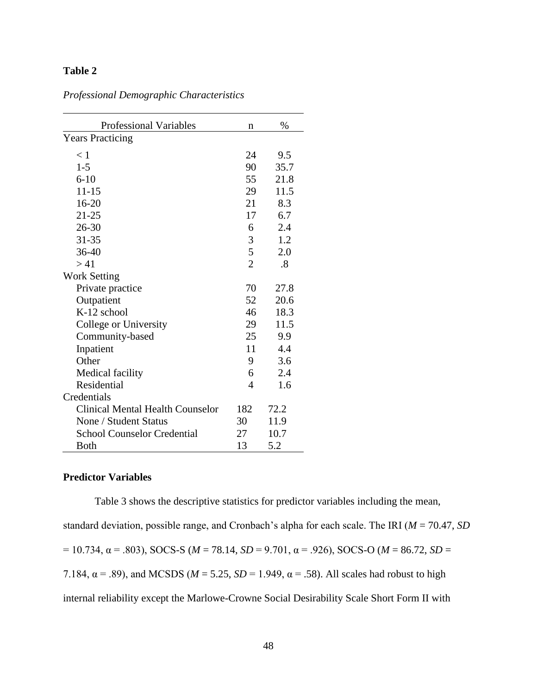# **Table 2**

| <b>Professional Variables</b>           | n              | $\%$ |
|-----------------------------------------|----------------|------|
| <b>Years Practicing</b>                 |                |      |
| < 1                                     | 24             | 9.5  |
| $1 - 5$                                 | 90             | 35.7 |
| $6 - 10$                                | 55             | 21.8 |
| $11 - 15$                               | 29             | 11.5 |
| 16-20                                   | 21             | 8.3  |
| $21 - 25$                               | 17             | 6.7  |
| 26-30                                   | 6              | 2.4  |
| 31-35                                   | 3              | 1.2  |
| 36-40                                   | 5              | 2.0  |
| > 41                                    | $\overline{2}$ | .8   |
| <b>Work Setting</b>                     |                |      |
| Private practice                        | 70             | 27.8 |
| Outpatient                              | 52             | 20.6 |
| K-12 school                             | 46             | 18.3 |
| College or University                   | 29             | 11.5 |
| Community-based                         | 25             | 9.9  |
| Inpatient                               | 11             | 4.4  |
| Other                                   | 9              | 3.6  |
| Medical facility                        | 6              | 2.4  |
| Residential                             | 4              | 1.6  |
| Credentials                             |                |      |
| <b>Clinical Mental Health Counselor</b> | 182            | 72.2 |
| None / Student Status                   | 30             | 11.9 |
| <b>School Counselor Credential</b>      | 27             | 10.7 |
| <b>Both</b>                             | 13             | 5.2  |

# *Professional Demographic Characteristics*

# **Predictor Variables**

Table 3 shows the descriptive statistics for predictor variables including the mean, standard deviation, possible range, and Cronbach's alpha for each scale. The IRI (*M* = 70.47, *SD* = 10.734, α = .803), SOCS-S (*M* = 78.14, *SD* = 9.701, α = .926), SOCS-O (*M* = 86.72, *SD* = 7.184,  $\alpha$  = .89), and MCSDS ( $M = 5.25$ ,  $SD = 1.949$ ,  $\alpha$  = .58). All scales had robust to high internal reliability except the Marlowe-Crowne Social Desirability Scale Short Form II with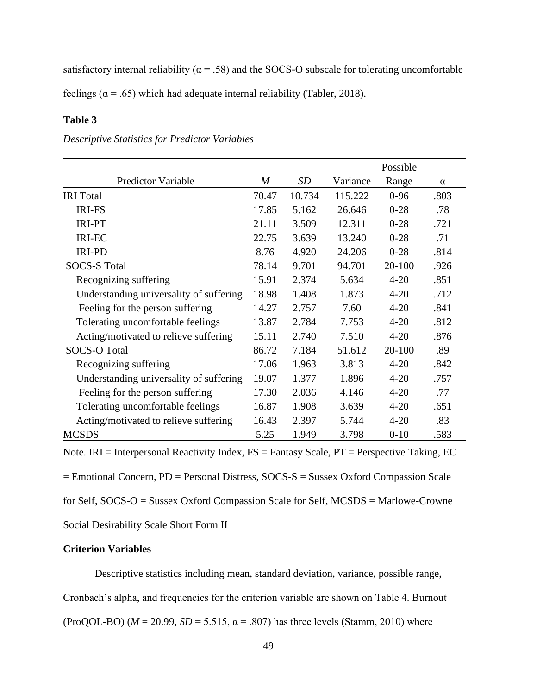satisfactory internal reliability ( $\alpha = .58$ ) and the SOCS-O subscale for tolerating uncomfortable

feelings ( $\alpha$  = .65) which had adequate internal reliability (Tabler, 2018).

# **Table 3**

|                                         |                  |           |          | Possible   |          |
|-----------------------------------------|------------------|-----------|----------|------------|----------|
| <b>Predictor Variable</b>               | $\boldsymbol{M}$ | <i>SD</i> | Variance | Range      | $\alpha$ |
| <b>IRI</b> Total                        | 70.47            | 10.734    | 115.222  | $0 - 96$   | .803     |
| <b>IRI-FS</b>                           | 17.85            | 5.162     | 26.646   | $0-28$     | .78      |
| <b>IRI-PT</b>                           | 21.11            | 3.509     | 12.311   | $0 - 28$   | .721     |
| <b>IRI-EC</b>                           | 22.75            | 3.639     | 13.240   | $0-28$     | .71      |
| <b>IRI-PD</b>                           | 8.76             | 4.920     | 24.206   | $0-28$     | .814     |
| <b>SOCS-S Total</b>                     | 78.14            | 9.701     | 94.701   | $20 - 100$ | .926     |
| Recognizing suffering                   | 15.91            | 2.374     | 5.634    | $4 - 20$   | .851     |
| Understanding universality of suffering | 18.98            | 1.408     | 1.873    | $4 - 20$   | .712     |
| Feeling for the person suffering        | 14.27            | 2.757     | 7.60     | $4 - 20$   | .841     |
| Tolerating uncomfortable feelings       | 13.87            | 2.784     | 7.753    | $4 - 20$   | .812     |
| Acting/motivated to relieve suffering   | 15.11            | 2.740     | 7.510    | $4 - 20$   | .876     |
| <b>SOCS-O Total</b>                     | 86.72            | 7.184     | 51.612   | 20-100     | .89      |
| Recognizing suffering                   | 17.06            | 1.963     | 3.813    | $4 - 20$   | .842     |
| Understanding universality of suffering | 19.07            | 1.377     | 1.896    | $4 - 20$   | .757     |
| Feeling for the person suffering        | 17.30            | 2.036     | 4.146    | $4 - 20$   | .77      |
| Tolerating uncomfortable feelings       | 16.87            | 1.908     | 3.639    | $4 - 20$   | .651     |
| Acting/motivated to relieve suffering   | 16.43            | 2.397     | 5.744    | $4 - 20$   | .83      |
| <b>MCSDS</b>                            | 5.25             | 1.949     | 3.798    | $0 - 10$   | .583     |

*Descriptive Statistics for Predictor Variables*

Note. IRI = Interpersonal Reactivity Index,  $FS = F$ antasy Scale,  $PT =$  Perspective Taking, EC

= Emotional Concern, PD = Personal Distress, SOCS-S = Sussex Oxford Compassion Scale

for Self, SOCS-O = Sussex Oxford Compassion Scale for Self, MCSDS = Marlowe-Crowne

Social Desirability Scale Short Form II

# **Criterion Variables**

Descriptive statistics including mean, standard deviation, variance, possible range,

Cronbach's alpha, and frequencies for the criterion variable are shown on Table 4. Burnout

(ProQOL-BO) ( $M = 20.99$ ,  $SD = 5.515$ ,  $\alpha = .807$ ) has three levels (Stamm, 2010) where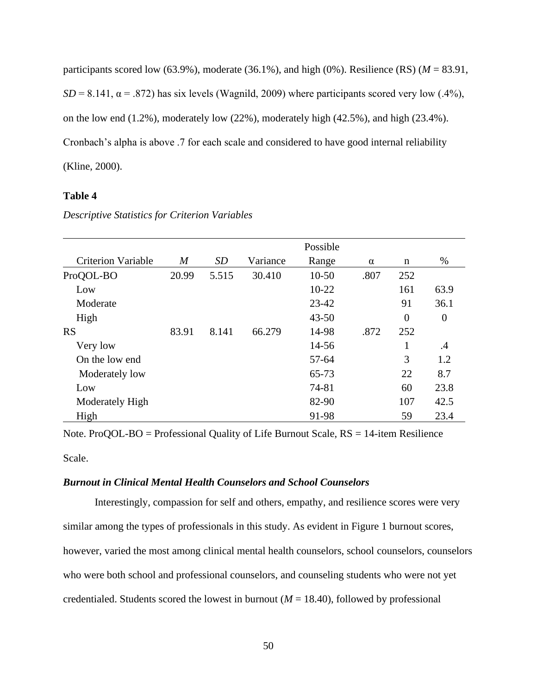participants scored low (63.9%), moderate (36.1%), and high (0%). Resilience (RS) ( $M = 83.91$ ,  $SD = 8.141$ ,  $\alpha = .872$ ) has six levels (Wagnild, 2009) where participants scored very low (.4%), on the low end  $(1.2\%)$ , moderately low  $(22\%)$ , moderately high  $(42.5\%)$ , and high  $(23.4\%)$ . Cronbach's alpha is above .7 for each scale and considered to have good internal reliability (Kline, 2000).

# **Table 4**

|                           |                  |       |          | Possible  |          |                |          |
|---------------------------|------------------|-------|----------|-----------|----------|----------------|----------|
| <b>Criterion Variable</b> | $\boldsymbol{M}$ | SD    | Variance | Range     | $\alpha$ | n              | %        |
| ProQOL-BO                 | 20.99            | 5.515 | 30.410   | $10-50$   | .807     | 252            |          |
| Low                       |                  |       |          | $10 - 22$ |          | 161            | 63.9     |
| Moderate                  |                  |       |          | $23 - 42$ |          | 91             | 36.1     |
| High                      |                  |       |          | $43 - 50$ |          | $\overline{0}$ | $\theta$ |
| <b>RS</b>                 | 83.91            | 8.141 | 66.279   | 14-98     | .872     | 252            |          |
| Very low                  |                  |       |          | 14-56     |          | 1              | .4       |
| On the low end            |                  |       |          | 57-64     |          | 3              | 1.2      |
| Moderately low            |                  |       |          | 65-73     |          | 22             | 8.7      |
| Low                       |                  |       |          | 74-81     |          | 60             | 23.8     |
| Moderately High           |                  |       |          | 82-90     |          | 107            | 42.5     |
| High                      |                  |       |          | 91-98     |          | 59             | 23.4     |

*Descriptive Statistics for Criterion Variables*

Note. ProQOL-BO = Professional Quality of Life Burnout Scale, RS = 14-item Resilience

Scale.

## *Burnout in Clinical Mental Health Counselors and School Counselors*

Interestingly, compassion for self and others, empathy, and resilience scores were very similar among the types of professionals in this study. As evident in Figure 1 burnout scores, however, varied the most among clinical mental health counselors, school counselors, counselors who were both school and professional counselors, and counseling students who were not yet credentialed. Students scored the lowest in burnout ( $M = 18.40$ ), followed by professional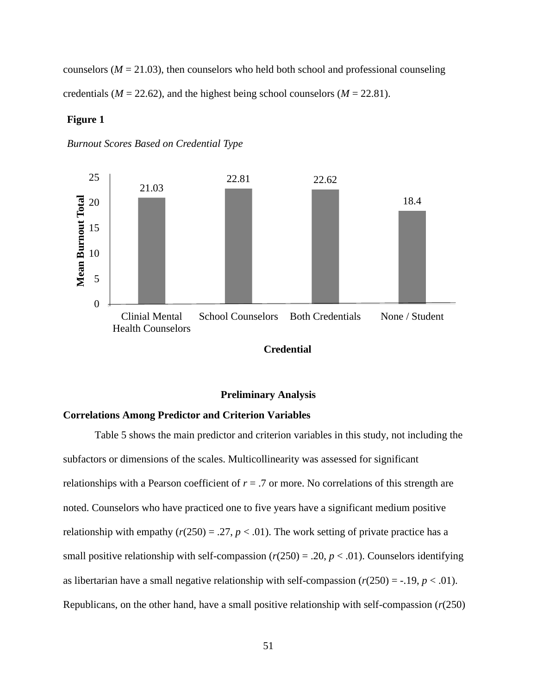counselors ( $M = 21.03$ ), then counselors who held both school and professional counseling credentials ( $M = 22.62$ ), and the highest being school counselors ( $M = 22.81$ ).

### **Figure 1**







## **Preliminary Analysis**

### **Correlations Among Predictor and Criterion Variables**

Table 5 shows the main predictor and criterion variables in this study, not including the subfactors or dimensions of the scales. Multicollinearity was assessed for significant relationships with a Pearson coefficient of  $r = .7$  or more. No correlations of this strength are noted. Counselors who have practiced one to five years have a significant medium positive relationship with empathy  $(r(250) = .27, p < .01)$ . The work setting of private practice has a small positive relationship with self-compassion  $(r(250) = .20, p < .01)$ . Counselors identifying as libertarian have a small negative relationship with self-compassion  $(r(250) = -0.19, p < 0.01)$ . Republicans, on the other hand, have a small positive relationship with self-compassion  $(r(250))$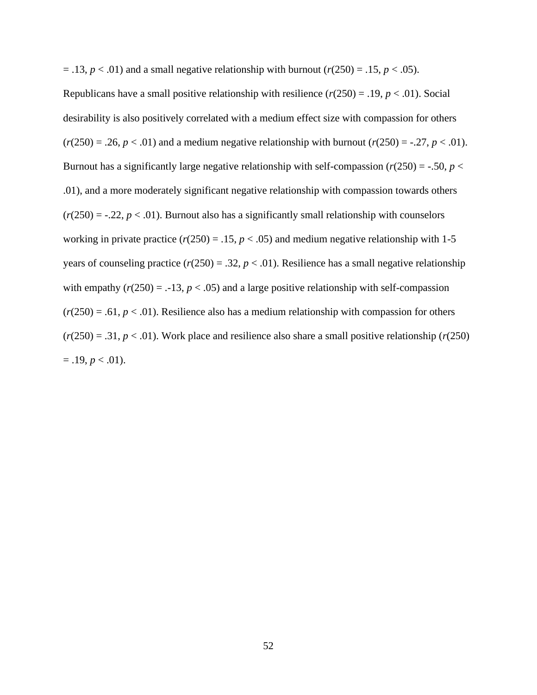$=$  .13,  $p < .01$ ) and a small negative relationship with burnout ( $r(250) = .15$ ,  $p < .05$ ).

Republicans have a small positive relationship with resilience  $(r(250) = .19, p < .01)$ . Social desirability is also positively correlated with a medium effect size with compassion for others  $(r(250) = .26, p < .01)$  and a medium negative relationship with burnout  $(r(250) = .27, p < .01)$ . Burnout has a significantly large negative relationship with self-compassion  $(r(250) = -.50, p <$ .01), and a more moderately significant negative relationship with compassion towards others  $(r(250) = -.22, p < .01)$ . Burnout also has a significantly small relationship with counselors working in private practice ( $r(250) = .15$ ,  $p < .05$ ) and medium negative relationship with 1-5 years of counseling practice  $(r(250) = .32, p < .01)$ . Resilience has a small negative relationship with empathy  $(r(250) = -13, p < .05)$  and a large positive relationship with self-compassion  $(r(250) = .61, p < .01)$ . Resilience also has a medium relationship with compassion for others  $(r(250) = .31, p < .01)$ . Work place and resilience also share a small positive relationship  $(r(250)$  $= .19, p < .01$ ).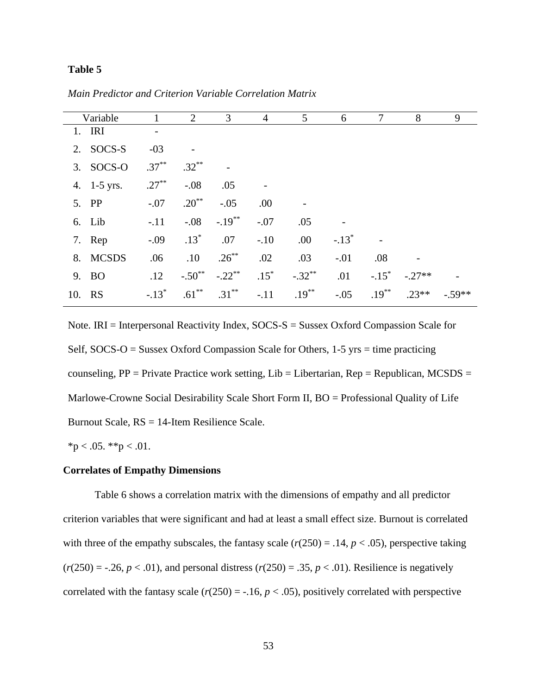### **Table 5**

|        | Variable    |          | 2          | 3         | $\overline{4}$ | 5         | 6       | 7                   | 8        | 9        |
|--------|-------------|----------|------------|-----------|----------------|-----------|---------|---------------------|----------|----------|
|        | $1.$ IRI    |          |            |           |                |           |         |                     |          |          |
|        | 2. SOCS-S   | $-03$    |            |           |                |           |         |                     |          |          |
|        | 3. SOCS-O   | $.37***$ | $.32***$   |           |                |           |         |                     |          |          |
|        | 4. 1-5 yrs. | $.27***$ | $-.08$     | .05       |                |           |         |                     |          |          |
|        | 5. PP       | $-.07$   | $.20^{**}$ | $-.05$    | .00.           |           |         |                     |          |          |
|        | 6. Lib      | $-.11$   | $-0.08$    | $-.19***$ | $-.07$         | .05       |         |                     |          |          |
|        | 7. Rep      | $-.09$   | $.13*$     | .07       | $-.10$         | .00       | $-.13*$ |                     |          |          |
|        | 8. MCSDS    | .06      | .10        | $.26***$  | .02            | .03       | $-.01$  | .08                 |          |          |
|        | 9. BO       | .12      | $-.50**$   | $-.22$ ** | $.15*$         | $-.32***$ | .01     | $-.15$ <sup>*</sup> | $-.27**$ |          |
| 10. RS |             | $-.13*$  | $.61***$   | $.31***$  | $-.11$         | $.19***$  | $-.05$  | $.19***$            | $.23**$  | $-.59**$ |

*Main Predictor and Criterion Variable Correlation Matrix*

Note. IRI = Interpersonal Reactivity Index, SOCS-S = Sussex Oxford Compassion Scale for Self, SOCS-O = Sussex Oxford Compassion Scale for Others, 1-5 yrs = time practicing counseling,  $PP = Private Practice$  work setting,  $Lib = Libertarian$ ,  $Rep = Republican$ ,  $MCSDS =$ Marlowe-Crowne Social Desirability Scale Short Form II, BO = Professional Quality of Life Burnout Scale, RS = 14-Item Resilience Scale.

 $*<sub>p</sub> < .05.$   $*<sub>p</sub> < .01.$ 

## **Correlates of Empathy Dimensions**

Table 6 shows a correlation matrix with the dimensions of empathy and all predictor criterion variables that were significant and had at least a small effect size. Burnout is correlated with three of the empathy subscales, the fantasy scale  $(r(250) = .14, p < .05)$ , perspective taking  $(r(250) = -.26, p < .01)$ , and personal distress  $(r(250) = .35, p < .01)$ . Resilience is negatively correlated with the fantasy scale  $(r(250) = -.16, p < .05)$ , positively correlated with perspective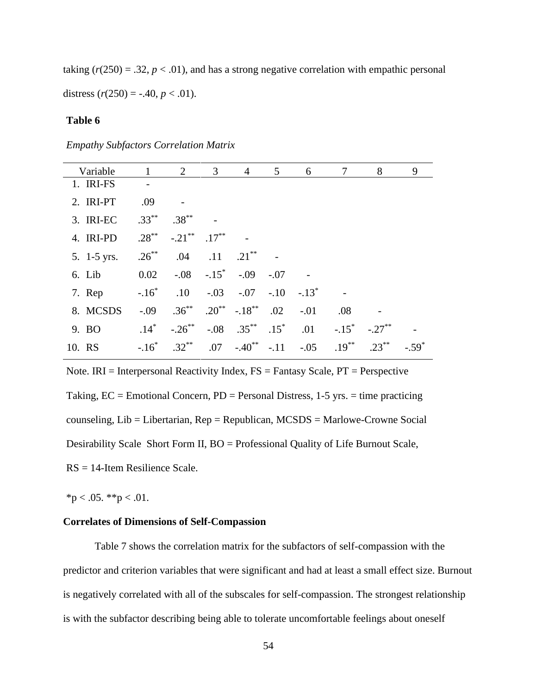taking  $(r(250) = .32, p < .01)$ , and has a strong negative correlation with empathic personal distress  $(r(250) = -.40, p < .01)$ .

# **Table 6**

*Empathy Subfactors Correlation Matrix*

| Variable      | $\overline{1}$ | $\overline{2}$                           | $\overline{3}$ | $\overline{4}$                                 | 5 <sup>5</sup> | 6      | $\tau$            | 8         | 9 |
|---------------|----------------|------------------------------------------|----------------|------------------------------------------------|----------------|--------|-------------------|-----------|---|
| 1. IRI-FS     |                |                                          |                |                                                |                |        |                   |           |   |
| 2. IRI-PT     | .09            |                                          |                |                                                |                |        |                   |           |   |
| 3. IRI-EC     | $.33***$       | $.38***$                                 |                |                                                |                |        |                   |           |   |
| 4. IRI-PD     | $.28***$       | $-.21$ <sup>**</sup> $.17$ <sup>**</sup> |                |                                                |                |        |                   |           |   |
| 5. $1-5$ yrs. | $.26***$       | .04                                      |                | $.11 \t .21$                                   |                |        |                   |           |   |
| 6. Lib        | 0.02           |                                          |                | $-.08-.15$ $-.09-.07$                          |                |        |                   |           |   |
| 7. Rep        | $-.16*$        |                                          |                | $.10$ $-.03$ $-.07$ $-.10$ $-.13$ <sup>*</sup> |                |        |                   |           |   |
| 8. MCSDS      | $-0.09$        |                                          |                | $.36^{**}$ $.20^{**}$ $-.18^{**}$              | .02            | $-.01$ | .08               |           |   |
| 9. BO         | $.14*$         | $-.26***$                                |                | $-.08$ .35 <sup>**</sup>                       | $.15^*$        | .01    | $-.15$ *          | $-.27***$ |   |
| 10. RS        | $-.16*$        | $.32***$                                 |                | $.07 - .40^{**} - .11$                         |                |        | $-.05$ $.19^{**}$ | $.23***$  |   |

Note. IRI = Interpersonal Reactivity Index,  $FS =$  Fantasy Scale,  $PT =$  Perspective Taking,  $EC =$  Emotional Concern,  $PD =$  Personal Distress, 1-5 yrs.  $=$  time practicing counseling, Lib = Libertarian, Rep = Republican, MCSDS = Marlowe-Crowne Social Desirability Scale Short Form II, BO = Professional Quality of Life Burnout Scale, RS = 14-Item Resilience Scale.

 $*<sub>p</sub> < .05.$   $*<sub>p</sub> < .01.$ 

## **Correlates of Dimensions of Self-Compassion**

Table 7 shows the correlation matrix for the subfactors of self-compassion with the predictor and criterion variables that were significant and had at least a small effect size. Burnout is negatively correlated with all of the subscales for self-compassion. The strongest relationship is with the subfactor describing being able to tolerate uncomfortable feelings about oneself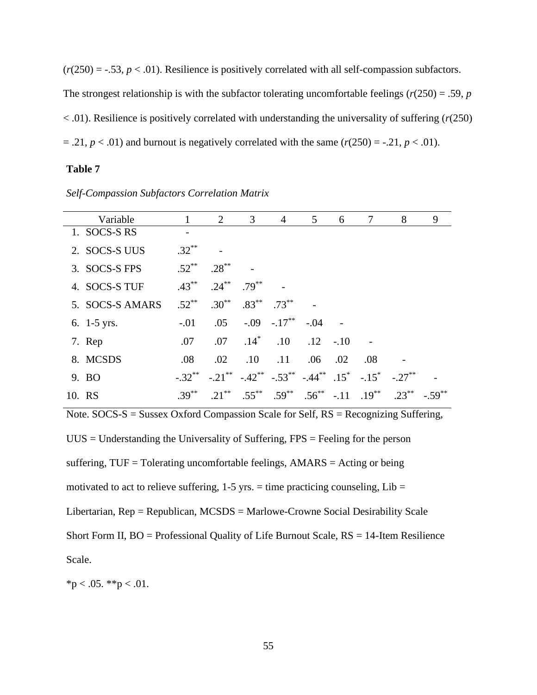$(r(250) = -.53, p < .01)$ . Resilience is positively correlated with all self-compassion subfactors. The strongest relationship is with the subfactor tolerating uncomfortable feelings ( $r(250) = .59$ ,  $p$ < .01). Resilience is positively correlated with understanding the universality of suffering (*r*(250)  $= .21, p < .01$ ) and burnout is negatively correlated with the same  $(r(250) = -.21, p < .01)$ .

# **Table 7**

| Variable        |           | 2          | 3        | $\overline{4}$                | 5   | 6      | 7                                                                                                                          | 8         | 9 |
|-----------------|-----------|------------|----------|-------------------------------|-----|--------|----------------------------------------------------------------------------------------------------------------------------|-----------|---|
| 1. SOCS-S RS    |           |            |          |                               |     |        |                                                                                                                            |           |   |
| 2. SOCS-S UUS   | $.32***$  |            |          |                               |     |        |                                                                                                                            |           |   |
| 3. SOCS-S FPS   | $.52***$  | $.28***$   |          |                               |     |        |                                                                                                                            |           |   |
| 4. SOCS-S TUF   | $.43***$  | $.24***$   | $.79***$ |                               |     |        |                                                                                                                            |           |   |
| 5. SOCS-S AMARS | $.52***$  | $.30^{**}$ |          | $.83^{**}$ .73**              |     |        |                                                                                                                            |           |   |
| 6. $1-5$ yrs.   | $-.01$    |            |          | $.05 \t-.09 \t-.17*** \t-.04$ |     |        |                                                                                                                            |           |   |
| 7. Rep          | .07       | .07        | $.14*$   | .10                           | .12 | $-.10$ |                                                                                                                            |           |   |
| 8. MCSDS        | .08       | $.02\,$    | .10      | .11                           | .06 | .02    | .08                                                                                                                        |           |   |
| 9. BO           | $-.32***$ |            |          |                               |     |        | $-.21$ <sup>**</sup> $-.42$ <sup>**</sup> $-.53$ <sup>**</sup> $-.44$ <sup>**</sup> $.15$ <sup>*</sup> $-.15$ <sup>*</sup> | $-.27***$ |   |
| 10. RS          | $.39***$  | $.21***$   | $.55***$ | $.59***$                      |     |        | $.56^{**}$ -.11 $.19^{**}$                                                                                                 | $.23***$  |   |

*Self-Compassion Subfactors Correlation Matrix*

Note. SOCS-S = Sussex Oxford Compassion Scale for Self, RS = Recognizing Suffering,  $UUS =$  Understanding the Universality of Suffering, FPS = Feeling for the person suffering, TUF = Tolerating uncomfortable feelings, AMARS = Acting or being motivated to act to relieve suffering,  $1-5$  yrs. = time practicing counseling,  $Lib =$ Libertarian, Rep = Republican, MCSDS = Marlowe-Crowne Social Desirability Scale Short Form II,  $BO =$  Professional Quality of Life Burnout Scale,  $RS = 14$ -Item Resilience Scale.

 $*p < .05.$  \*\*p  $< .01.$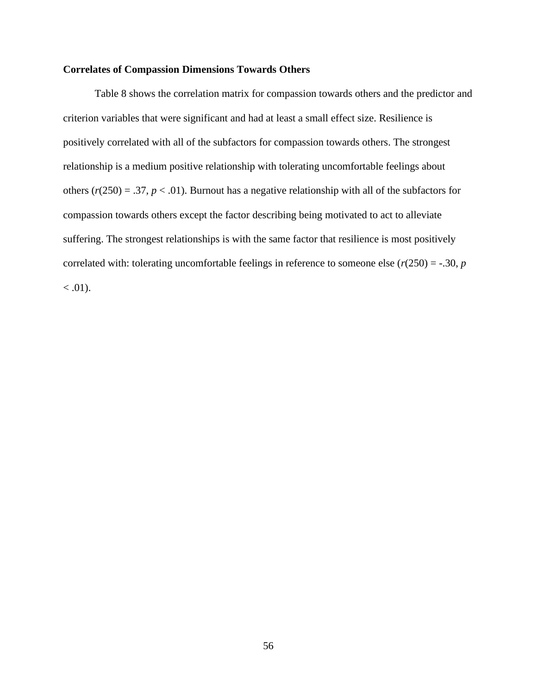## **Correlates of Compassion Dimensions Towards Others**

Table 8 shows the correlation matrix for compassion towards others and the predictor and criterion variables that were significant and had at least a small effect size. Resilience is positively correlated with all of the subfactors for compassion towards others. The strongest relationship is a medium positive relationship with tolerating uncomfortable feelings about others  $(r(250) = .37, p < .01)$ . Burnout has a negative relationship with all of the subfactors for compassion towards others except the factor describing being motivated to act to alleviate suffering. The strongest relationships is with the same factor that resilience is most positively correlated with: tolerating uncomfortable feelings in reference to someone else  $(r(250) = -.30, p)$  $< .01$ ).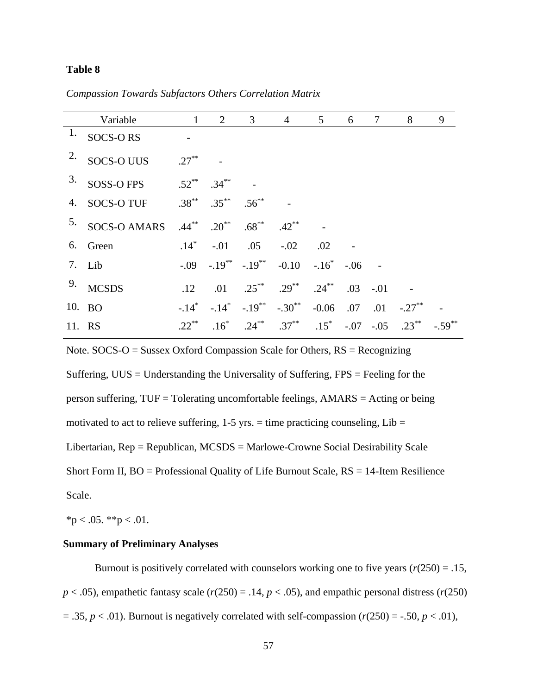# **Table 8**

*Compassion Towards Subfactors Others Correlation Matrix*

|        | Variable                                       | $\mathbf{1}$        | $\overline{2}$        | $\overline{3}$                                                   | $\overline{4}$ | 5 <sup>5</sup> | 6 | $\overline{7}$ | 8                                                                       | 9 |
|--------|------------------------------------------------|---------------------|-----------------------|------------------------------------------------------------------|----------------|----------------|---|----------------|-------------------------------------------------------------------------|---|
| 1.     | <b>SOCS-ORS</b>                                |                     |                       |                                                                  |                |                |   |                |                                                                         |   |
| 2.     | <b>SOCS-O UUS</b>                              | $.27***$            |                       |                                                                  |                |                |   |                |                                                                         |   |
| 3.     | SOSS-O FPS                                     |                     | $.52^{**}$ $.34^{**}$ |                                                                  |                |                |   |                |                                                                         |   |
|        | 4. SOCS-O TUF $.38^{**}$ $.35^{**}$ $.56^{**}$ |                     |                       |                                                                  |                |                |   |                |                                                                         |   |
|        | <sup>5.</sup> SOCS-O AMARS                     |                     |                       | $.44^{**}$ $.20^{**}$ $.68^{**}$ $.42^{**}$                      |                |                |   |                |                                                                         |   |
|        | 6. Green                                       |                     |                       | $.14^*$ $-.01$ $.05$ $-.02$                                      |                | .02            |   |                |                                                                         |   |
|        | 7. Lib                                         |                     |                       | $-0.09$ $-0.19^{**}$ $-0.10$ $-0.10^{*}$ $-0.06$ $-0.10^{*}$     |                |                |   |                |                                                                         |   |
|        | 9. MCSDS                                       | .12                 |                       | .01 .25** .29** .24** .03 -.01                                   |                |                |   |                |                                                                         |   |
|        | 10. BO                                         | $-.14$ <sup>*</sup> |                       | $-.14^*$ $-.19^{**}$ $-.30^{**}$ $-0.06$ $.07$ $.01$ $-.27^{**}$ |                |                |   |                |                                                                         |   |
| 11. RS |                                                | $.22***$            |                       |                                                                  |                |                |   |                | $.16^*$ $.24^{**}$ $.37^{**}$ $.15^*$ $.07$ $.05$ $.23^{**}$ $.59^{**}$ |   |

Note.  $SOCS-O = S$ ussex Oxford Compassion Scale for Others,  $RS = Recognizing$ 

Suffering, UUS = Understanding the Universality of Suffering, FPS = Feeling for the person suffering, TUF = Tolerating uncomfortable feelings, AMARS = Acting or being motivated to act to relieve suffering,  $1-5$  yrs. = time practicing counseling,  $Lib =$ Libertarian, Rep = Republican, MCSDS = Marlowe-Crowne Social Desirability Scale Short Form II,  $BO =$  Professional Quality of Life Burnout Scale,  $RS = 14$ -Item Resilience Scale.

 $*<sub>p</sub> < .05. *<sub>p</sub> < .01.$ 

# **Summary of Preliminary Analyses**

Burnout is positively correlated with counselors working one to five years  $(r(250) = .15,$  $p < .05$ ), empathetic fantasy scale ( $r(250) = .14$ ,  $p < .05$ ), and empathic personal distress ( $r(250)$ )  $= .35, p < .01$ ). Burnout is negatively correlated with self-compassion ( $r(250) = -.50, p < .01$ ),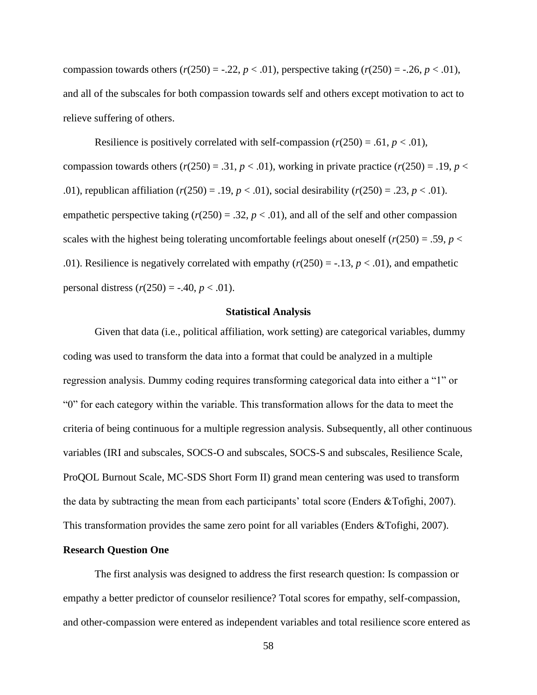compassion towards others  $(r(250) = -.22, p < .01)$ , perspective taking  $(r(250) = -.26, p < .01)$ , and all of the subscales for both compassion towards self and others except motivation to act to relieve suffering of others.

Resilience is positively correlated with self-compassion  $(r(250) = .61, p < .01)$ , compassion towards others  $(r(250) = .31, p < .01)$ , working in private practice  $(r(250) = .19, p <$ .01), republican affiliation ( $r(250) = .19$ ,  $p < .01$ ), social desirability ( $r(250) = .23$ ,  $p < .01$ ). empathetic perspective taking  $(r(250) = .32, p < .01)$ , and all of the self and other compassion scales with the highest being tolerating uncomfortable feelings about oneself  $(r(250) = .59, p <$ .01). Resilience is negatively correlated with empathy  $(r(250) = -13, p < .01)$ , and empathetic personal distress  $(r(250) = -.40, p < .01)$ .

#### **Statistical Analysis**

Given that data (i.e., political affiliation, work setting) are categorical variables, dummy coding was used to transform the data into a format that could be analyzed in a multiple regression analysis. Dummy coding requires transforming categorical data into either a "1" or "0" for each category within the variable. This transformation allows for the data to meet the criteria of being continuous for a multiple regression analysis. Subsequently, all other continuous variables (IRI and subscales, SOCS-O and subscales, SOCS-S and subscales, Resilience Scale, ProQOL Burnout Scale, MC-SDS Short Form II) grand mean centering was used to transform the data by subtracting the mean from each participants' total score (Enders &Tofighi, 2007). This transformation provides the same zero point for all variables (Enders &Tofighi, 2007).

### **Research Question One**

The first analysis was designed to address the first research question: Is compassion or empathy a better predictor of counselor resilience? Total scores for empathy, self-compassion, and other-compassion were entered as independent variables and total resilience score entered as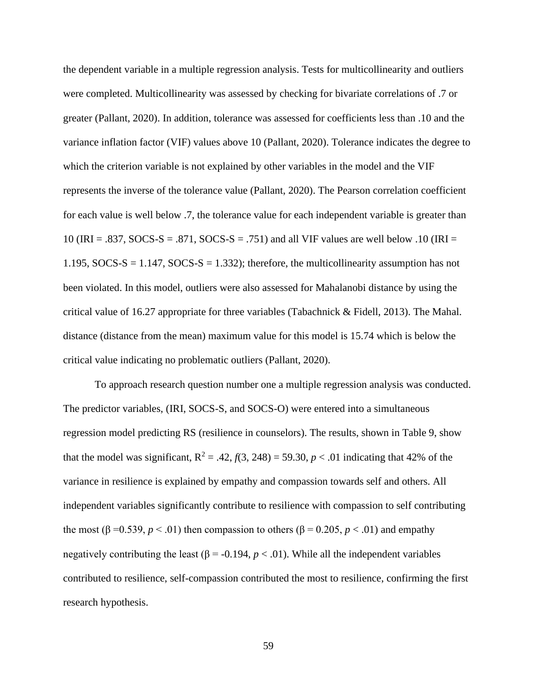the dependent variable in a multiple regression analysis. Tests for multicollinearity and outliers were completed. Multicollinearity was assessed by checking for bivariate correlations of .7 or greater (Pallant, 2020). In addition, tolerance was assessed for coefficients less than .10 and the variance inflation factor (VIF) values above 10 (Pallant, 2020). Tolerance indicates the degree to which the criterion variable is not explained by other variables in the model and the VIF represents the inverse of the tolerance value (Pallant, 2020). The Pearson correlation coefficient for each value is well below .7, the tolerance value for each independent variable is greater than 10 (IRI = .837, SOCS-S = .871, SOCS-S = .751) and all VIF values are well below .10 (IRI = 1.195, SOCS-S = 1.147, SOCS-S = 1.332); therefore, the multicollinearity assumption has not been violated. In this model, outliers were also assessed for Mahalanobi distance by using the critical value of 16.27 appropriate for three variables (Tabachnick & Fidell, 2013). The Mahal. distance (distance from the mean) maximum value for this model is 15.74 which is below the critical value indicating no problematic outliers (Pallant, 2020).

To approach research question number one a multiple regression analysis was conducted. The predictor variables, (IRI, SOCS-S, and SOCS-O) were entered into a simultaneous regression model predicting RS (resilience in counselors). The results, shown in Table 9, show that the model was significant,  $R^2 = .42$ ,  $f(3, 248) = 59.30$ ,  $p < .01$  indicating that 42% of the variance in resilience is explained by empathy and compassion towards self and others. All independent variables significantly contribute to resilience with compassion to self contributing the most ( $\beta = 0.539$ ,  $p < .01$ ) then compassion to others ( $\beta = 0.205$ ,  $p < .01$ ) and empathy negatively contributing the least ( $\beta$  = -0.194,  $p < .01$ ). While all the independent variables contributed to resilience, self-compassion contributed the most to resilience, confirming the first research hypothesis.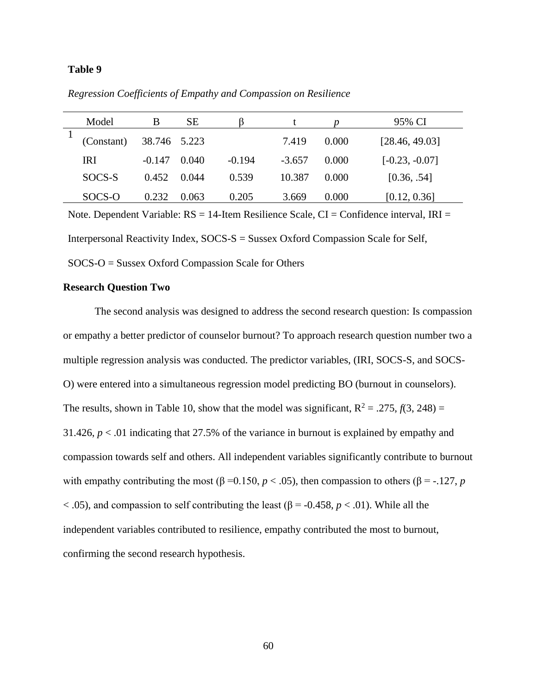### **Table 9**

| Model      | B            | SЕ    |          |          |       | 95% CI           |
|------------|--------------|-------|----------|----------|-------|------------------|
| (Constant) | 38.746 5.223 |       |          | 7.419    | 0.000 | [28.46, 49.03]   |
| <b>IRI</b> | $-0.147$     | 0.040 | $-0.194$ | $-3.657$ | 0.000 | $[-0.23, -0.07]$ |
| SOCS-S     | 0.452        | 0.044 | 0.539    | 10.387   | 0.000 | [0.36, .54]      |
| SOCS-O     | 0.232        | 0.063 | 0.205    | 3.669    | 0.000 | [0.12, 0.36]     |

*Regression Coefficients of Empathy and Compassion on Resilience*

Note. Dependent Variable:  $RS = 14$ -Item Resilience Scale,  $CI =$ Confidence interval, IRI = Interpersonal Reactivity Index, SOCS-S = Sussex Oxford Compassion Scale for Self, SOCS-O = Sussex Oxford Compassion Scale for Others

### **Research Question Two**

The second analysis was designed to address the second research question: Is compassion or empathy a better predictor of counselor burnout? To approach research question number two a multiple regression analysis was conducted. The predictor variables, (IRI, SOCS-S, and SOCS-O) were entered into a simultaneous regression model predicting BO (burnout in counselors). The results, shown in Table 10, show that the model was significant,  $R^2 = .275$ ,  $f(3, 248) =$ 31.426,  $p < 0.01$  indicating that 27.5% of the variance in burnout is explained by empathy and compassion towards self and others. All independent variables significantly contribute to burnout with empathy contributing the most ( $\beta = 0.150$ ,  $p < .05$ ), then compassion to others ( $\beta = .127$ , *p*  $<$  0.05), and compassion to self contributing the least ( $\beta$  = -0.458,  $p$  < 0.01). While all the independent variables contributed to resilience, empathy contributed the most to burnout, confirming the second research hypothesis.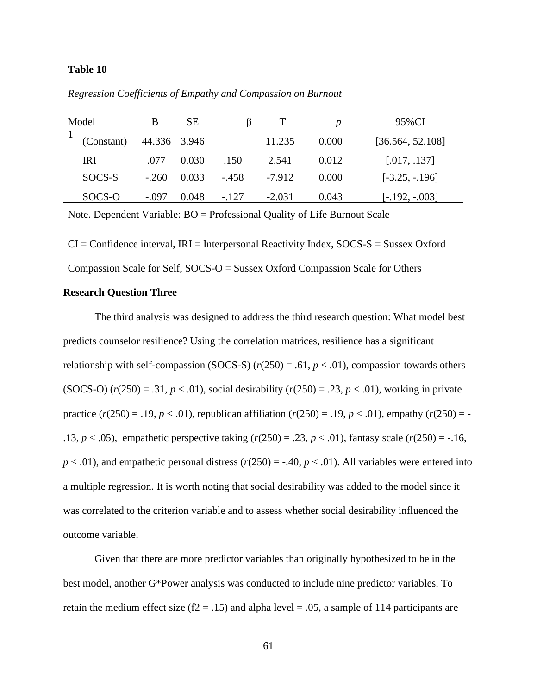## **Table 10**

| Model |            | В            | SЕ    |        |          |       | 95%CI            |
|-------|------------|--------------|-------|--------|----------|-------|------------------|
|       | (Constant) | 44.336 3.946 |       |        | 11.235   | 0.000 | [36.564, 52.108] |
|       | IRI        | .077         | 0.030 | .150   | 2.541    | 0.012 | [.017, .137]     |
|       | SOCS-S     | $-.260$      | 0.033 | $-458$ | $-7.912$ | 0.000 | $[-3.25, -196]$  |
|       | SOCS-O     | $-.097$      | 0.048 | $-127$ | $-2.031$ | 0.043 | $[-.192, -0.03]$ |

*Regression Coefficients of Empathy and Compassion on Burnout*

Note. Dependent Variable: BO = Professional Quality of Life Burnout Scale

 $CI =$  Confidence interval,  $IRI =$  Interpersonal Reactivity Index,  $SOCS - S =$  Sussex Oxford Compassion Scale for Self, SOCS-O = Sussex Oxford Compassion Scale for Others

## **Research Question Three**

The third analysis was designed to address the third research question: What model best predicts counselor resilience? Using the correlation matrices, resilience has a significant relationship with self-compassion (SOCS-S)  $(r(250) = .61, p < .01)$ , compassion towards others (SOCS-O)  $(r(250) = .31, p < .01)$ , social desirability  $(r(250) = .23, p < .01)$ , working in private practice  $(r(250) = .19, p < .01)$ , republican affiliation  $(r(250) = .19, p < .01)$ , empathy  $(r(250) = -$ .13,  $p < .05$ ), empathetic perspective taking  $(r(250) = .23, p < .01)$ , fantasy scale  $(r(250) = .16,$  $p < .01$ ), and empathetic personal distress ( $r(250) = -.40$ ,  $p < .01$ ). All variables were entered into a multiple regression. It is worth noting that social desirability was added to the model since it was correlated to the criterion variable and to assess whether social desirability influenced the outcome variable.

Given that there are more predictor variables than originally hypothesized to be in the best model, another G\*Power analysis was conducted to include nine predictor variables. To retain the medium effect size ( $f2 = .15$ ) and alpha level = .05, a sample of 114 participants are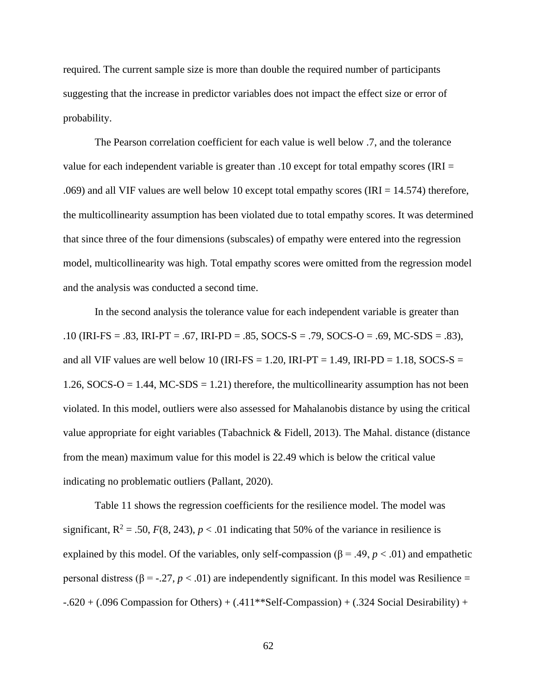required. The current sample size is more than double the required number of participants suggesting that the increase in predictor variables does not impact the effect size or error of probability.

The Pearson correlation coefficient for each value is well below .7, and the tolerance value for each independent variable is greater than .10 except for total empathy scores (IRI  $=$ .069) and all VIF values are well below 10 except total empathy scores (IRI = 14.574) therefore, the multicollinearity assumption has been violated due to total empathy scores. It was determined that since three of the four dimensions (subscales) of empathy were entered into the regression model, multicollinearity was high. Total empathy scores were omitted from the regression model and the analysis was conducted a second time.

In the second analysis the tolerance value for each independent variable is greater than .10 (IRI-FS = .83, IRI-PT = .67, IRI-PD = .85, SOCS-S = .79, SOCS-O = .69, MC-SDS = .83), and all VIF values are well below 10 (IRI-FS = 1.20, IRI-PT = 1.49, IRI-PD = 1.18, SOCS-S = 1.26, SOCS-O = 1.44, MC-SDS = 1.21) therefore, the multicollinearity assumption has not been violated. In this model, outliers were also assessed for Mahalanobis distance by using the critical value appropriate for eight variables (Tabachnick & Fidell, 2013). The Mahal. distance (distance from the mean) maximum value for this model is 22.49 which is below the critical value indicating no problematic outliers (Pallant, 2020).

Table 11 shows the regression coefficients for the resilience model. The model was significant,  $R^2 = .50$ ,  $F(8, 243)$ ,  $p < .01$  indicating that 50% of the variance in resilience is explained by this model. Of the variables, only self-compassion ( $\beta$  = .49,  $p$  < .01) and empathetic personal distress (β = -.27, *p* < .01) are independently significant. In this model was Resilience = -.620 + (.096 Compassion for Others) + (.411\*\*Self-Compassion) + (.324 Social Desirability) +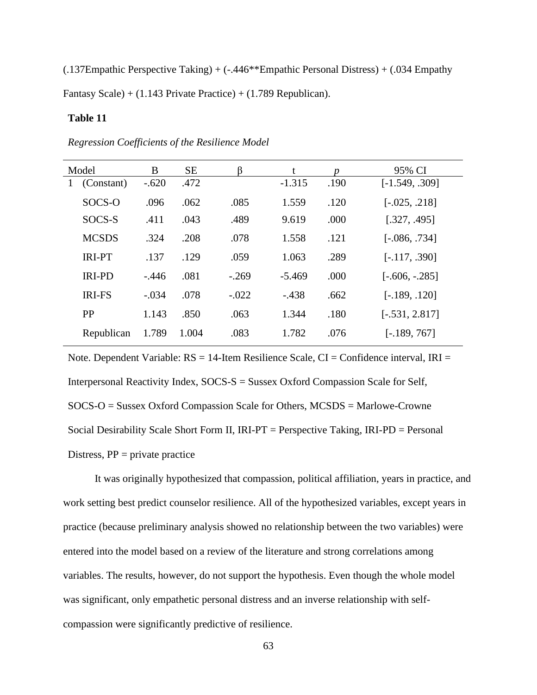(.137Empathic Perspective Taking) + (-.446\*\*Empathic Personal Distress) + (.034 Empathy Fantasy Scale) + (1.143 Private Practice) + (1.789 Republican).

# **Table 11**

| Model           | B       | <b>SE</b> |         | t        | n    | 95% CI           |
|-----------------|---------|-----------|---------|----------|------|------------------|
| (Constant)<br>1 | $-.620$ | .472      |         | $-1.315$ | .190 | $[-1.549, .309]$ |
| SOCS-O          | .096    | .062      | .085    | 1.559    | .120 | $[-.025, .218]$  |
| SOCS-S          | .411    | .043      | .489    | 9.619    | .000 | [.327, .495]     |
| <b>MCSDS</b>    | .324    | .208      | .078    | 1.558    | .121 | $[-.086, .734]$  |
| <b>IRI-PT</b>   | .137    | .129      | .059    | 1.063    | .289 | $[-.117, .390]$  |
| <b>IRI-PD</b>   | $-.446$ | .081      | $-.269$ | $-5.469$ | .000 | $[-.606, -.285]$ |
| <b>IRI-FS</b>   | $-.034$ | .078      | $-.022$ | $-.438$  | .662 | $[-.189, .120]$  |
| PP              | 1.143   | .850      | .063    | 1.344    | .180 | $[-.531, 2.817]$ |
| Republican      | 1.789   | 1.004     | .083    | 1.782    | .076 | $[-.189, 767]$   |

*Regression Coefficients of the Resilience Model*

Note. Dependent Variable:  $RS = 14$ -Item Resilience Scale,  $CI =$ Confidence interval, IRI = Interpersonal Reactivity Index, SOCS-S = Sussex Oxford Compassion Scale for Self, SOCS-O = Sussex Oxford Compassion Scale for Others, MCSDS = Marlowe-Crowne Social Desirability Scale Short Form II, IRI-PT = Perspective Taking, IRI-PD = Personal Distress,  $PP = private$  practice

It was originally hypothesized that compassion, political affiliation, years in practice, and work setting best predict counselor resilience. All of the hypothesized variables, except years in practice (because preliminary analysis showed no relationship between the two variables) were entered into the model based on a review of the literature and strong correlations among variables. The results, however, do not support the hypothesis. Even though the whole model was significant, only empathetic personal distress and an inverse relationship with selfcompassion were significantly predictive of resilience.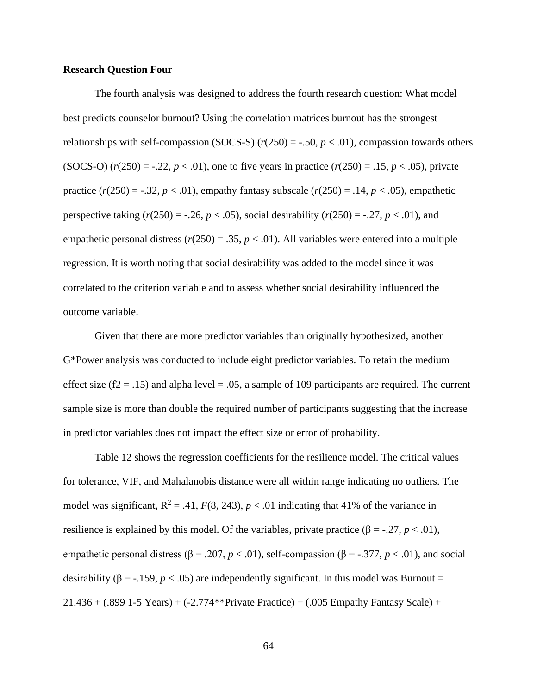## **Research Question Four**

The fourth analysis was designed to address the fourth research question: What model best predicts counselor burnout? Using the correlation matrices burnout has the strongest relationships with self-compassion (SOCS-S)  $(r(250) = -.50, p < .01)$ , compassion towards others (SOCS-O)  $(r(250) = -.22, p < .01)$ , one to five years in practice  $(r(250) = .15, p < .05)$ , private practice  $(r(250) = -.32, p < .01)$ , empathy fantasy subscale  $(r(250) = .14, p < .05)$ , empathetic perspective taking  $(r(250) = -.26, p < .05)$ , social desirability  $(r(250) = .27, p < .01)$ , and empathetic personal distress  $(r(250) = .35, p < .01)$ . All variables were entered into a multiple regression. It is worth noting that social desirability was added to the model since it was correlated to the criterion variable and to assess whether social desirability influenced the outcome variable.

Given that there are more predictor variables than originally hypothesized, another G\*Power analysis was conducted to include eight predictor variables. To retain the medium effect size ( $f2 = .15$ ) and alpha level = .05, a sample of 109 participants are required. The current sample size is more than double the required number of participants suggesting that the increase in predictor variables does not impact the effect size or error of probability.

Table 12 shows the regression coefficients for the resilience model. The critical values for tolerance, VIF, and Mahalanobis distance were all within range indicating no outliers. The model was significant,  $R^2 = .41$ ,  $F(8, 243)$ ,  $p < .01$  indicating that 41% of the variance in resilience is explained by this model. Of the variables, private practice (β = -.27, *p* < .01), empathetic personal distress ( $\beta$  = .207, *p* < .01), self-compassion ( $\beta$  = -.377, *p* < .01), and social desirability ( $\beta$  = -.159,  $p < .05$ ) are independently significant. In this model was Burnout = 21.436 + (.899 1-5 Years) + (-2.774\*\*Private Practice) + (.005 Empathy Fantasy Scale) +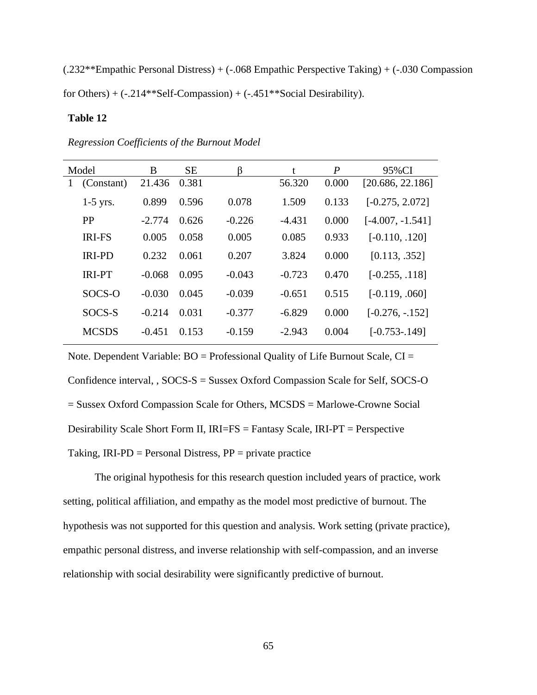(.232\*\*Empathic Personal Distress) + (-.068 Empathic Perspective Taking) + (-.030 Compassion for Others) +  $(-.214**Set$ -Compassion) +  $(-.451**Social Desirability)$ .

## **Table 12**

| Model        |               | B        | <b>SE</b> | ß        | t        | P     | 95%CI              |
|--------------|---------------|----------|-----------|----------|----------|-------|--------------------|
| $\mathbf{I}$ | (Constant)    | 21.436   | 0.381     |          | 56.320   | 0.000 | [20.686, 22.186]   |
|              | $1-5$ yrs.    | 0.899    | 0.596     | 0.078    | 1.509    | 0.133 | $[-0.275, 2.072]$  |
|              | <b>PP</b>     | $-2.774$ | 0.626     | $-0.226$ | $-4.431$ | 0.000 | $[-4.007, -1.541]$ |
|              | <b>IRI-FS</b> | 0.005    | 0.058     | 0.005    | 0.085    | 0.933 | $[-0.110, .120]$   |
|              | <b>IRI-PD</b> | 0.232    | 0.061     | 0.207    | 3.824    | 0.000 | [0.113, .352]      |
|              | <b>IRI-PT</b> | $-0.068$ | 0.095     | $-0.043$ | $-0.723$ | 0.470 | $[-0.255, .118]$   |
|              | SOCS-O        | $-0.030$ | 0.045     | $-0.039$ | $-0.651$ | 0.515 | $[-0.119, .060]$   |
|              | SOCS-S        | $-0.214$ | 0.031     | $-0.377$ | $-6.829$ | 0.000 | $[-0.276, -0.152]$ |
|              | <b>MCSDS</b>  | $-0.451$ | 0.153     | $-0.159$ | $-2.943$ | 0.004 | $[-0.753-0.149]$   |

*Regression Coefficients of the Burnout Model*

Note. Dependent Variable:  $BO =$  Professional Quality of Life Burnout Scale,  $CI =$ Confidence interval, , SOCS-S = Sussex Oxford Compassion Scale for Self, SOCS-O = Sussex Oxford Compassion Scale for Others, MCSDS = Marlowe-Crowne Social Desirability Scale Short Form II, IRI=FS = Fantasy Scale, IRI-PT = Perspective Taking,  $IRI-PD = Personal Distress, PP = private practice$ 

The original hypothesis for this research question included years of practice, work setting, political affiliation, and empathy as the model most predictive of burnout. The hypothesis was not supported for this question and analysis. Work setting (private practice), empathic personal distress, and inverse relationship with self-compassion, and an inverse relationship with social desirability were significantly predictive of burnout.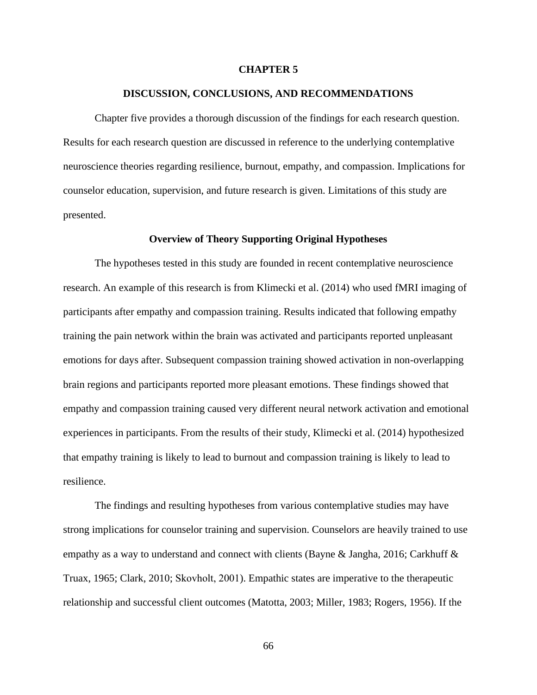### **CHAPTER 5**

## **DISCUSSION, CONCLUSIONS, AND RECOMMENDATIONS**

Chapter five provides a thorough discussion of the findings for each research question. Results for each research question are discussed in reference to the underlying contemplative neuroscience theories regarding resilience, burnout, empathy, and compassion. Implications for counselor education, supervision, and future research is given. Limitations of this study are presented.

### **Overview of Theory Supporting Original Hypotheses**

The hypotheses tested in this study are founded in recent contemplative neuroscience research. An example of this research is from Klimecki et al. (2014) who used fMRI imaging of participants after empathy and compassion training. Results indicated that following empathy training the pain network within the brain was activated and participants reported unpleasant emotions for days after. Subsequent compassion training showed activation in non-overlapping brain regions and participants reported more pleasant emotions. These findings showed that empathy and compassion training caused very different neural network activation and emotional experiences in participants. From the results of their study, Klimecki et al. (2014) hypothesized that empathy training is likely to lead to burnout and compassion training is likely to lead to resilience.

The findings and resulting hypotheses from various contemplative studies may have strong implications for counselor training and supervision. Counselors are heavily trained to use empathy as a way to understand and connect with clients (Bayne & Jangha, 2016; Carkhuff & Truax, 1965; Clark, 2010; Skovholt, 2001). Empathic states are imperative to the therapeutic relationship and successful client outcomes (Matotta, 2003; Miller, 1983; Rogers, 1956). If the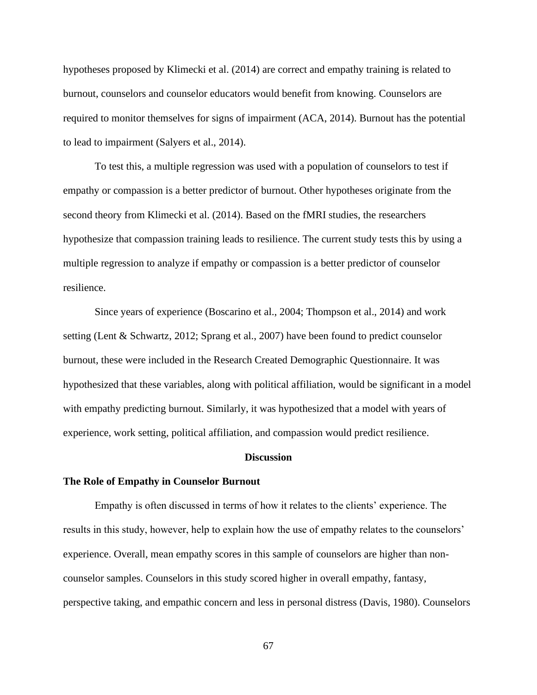hypotheses proposed by Klimecki et al. (2014) are correct and empathy training is related to burnout, counselors and counselor educators would benefit from knowing. Counselors are required to monitor themselves for signs of impairment (ACA, 2014). Burnout has the potential to lead to impairment (Salyers et al., 2014).

To test this, a multiple regression was used with a population of counselors to test if empathy or compassion is a better predictor of burnout. Other hypotheses originate from the second theory from Klimecki et al. (2014). Based on the fMRI studies, the researchers hypothesize that compassion training leads to resilience. The current study tests this by using a multiple regression to analyze if empathy or compassion is a better predictor of counselor resilience.

Since years of experience (Boscarino et al., 2004; Thompson et al., 2014) and work setting (Lent & Schwartz, 2012; Sprang et al., 2007) have been found to predict counselor burnout, these were included in the Research Created Demographic Questionnaire. It was hypothesized that these variables, along with political affiliation, would be significant in a model with empathy predicting burnout. Similarly, it was hypothesized that a model with years of experience, work setting, political affiliation, and compassion would predict resilience.

#### **Discussion**

#### **The Role of Empathy in Counselor Burnout**

Empathy is often discussed in terms of how it relates to the clients' experience. The results in this study, however, help to explain how the use of empathy relates to the counselors' experience. Overall, mean empathy scores in this sample of counselors are higher than noncounselor samples. Counselors in this study scored higher in overall empathy, fantasy, perspective taking, and empathic concern and less in personal distress (Davis, 1980). Counselors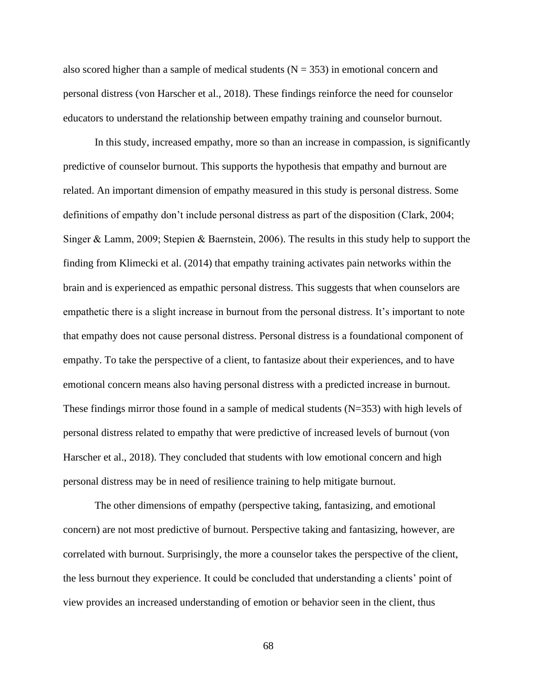also scored higher than a sample of medical students  $(N = 353)$  in emotional concern and personal distress (von Harscher et al., 2018). These findings reinforce the need for counselor educators to understand the relationship between empathy training and counselor burnout.

In this study, increased empathy, more so than an increase in compassion, is significantly predictive of counselor burnout. This supports the hypothesis that empathy and burnout are related. An important dimension of empathy measured in this study is personal distress. Some definitions of empathy don't include personal distress as part of the disposition (Clark, 2004; Singer & Lamm, 2009; Stepien & Baernstein, 2006). The results in this study help to support the finding from Klimecki et al. (2014) that empathy training activates pain networks within the brain and is experienced as empathic personal distress. This suggests that when counselors are empathetic there is a slight increase in burnout from the personal distress. It's important to note that empathy does not cause personal distress. Personal distress is a foundational component of empathy. To take the perspective of a client, to fantasize about their experiences, and to have emotional concern means also having personal distress with a predicted increase in burnout. These findings mirror those found in a sample of medical students  $(N=353)$  with high levels of personal distress related to empathy that were predictive of increased levels of burnout (von Harscher et al., 2018). They concluded that students with low emotional concern and high personal distress may be in need of resilience training to help mitigate burnout.

The other dimensions of empathy (perspective taking, fantasizing, and emotional concern) are not most predictive of burnout. Perspective taking and fantasizing, however, are correlated with burnout. Surprisingly, the more a counselor takes the perspective of the client, the less burnout they experience. It could be concluded that understanding a clients' point of view provides an increased understanding of emotion or behavior seen in the client, thus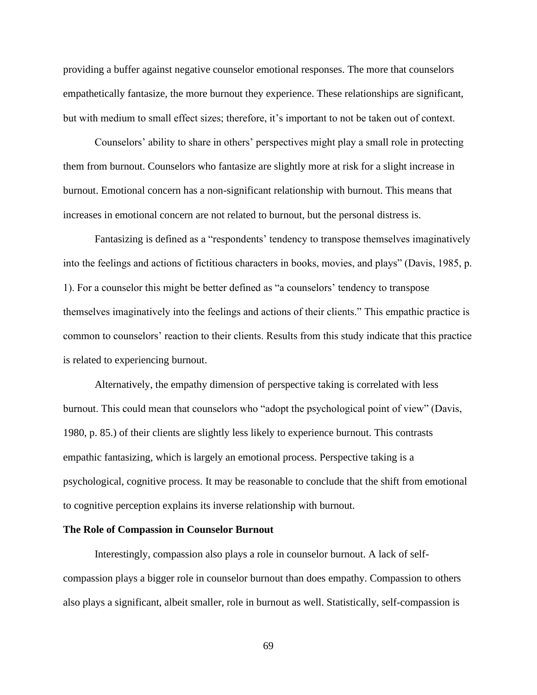providing a buffer against negative counselor emotional responses. The more that counselors empathetically fantasize, the more burnout they experience. These relationships are significant, but with medium to small effect sizes; therefore, it's important to not be taken out of context.

Counselors' ability to share in others' perspectives might play a small role in protecting them from burnout. Counselors who fantasize are slightly more at risk for a slight increase in burnout. Emotional concern has a non-significant relationship with burnout. This means that increases in emotional concern are not related to burnout, but the personal distress is.

Fantasizing is defined as a "respondents' tendency to transpose themselves imaginatively into the feelings and actions of fictitious characters in books, movies, and plays" (Davis, 1985, p. 1). For a counselor this might be better defined as "a counselors' tendency to transpose themselves imaginatively into the feelings and actions of their clients." This empathic practice is common to counselors' reaction to their clients. Results from this study indicate that this practice is related to experiencing burnout.

Alternatively, the empathy dimension of perspective taking is correlated with less burnout. This could mean that counselors who "adopt the psychological point of view" (Davis, 1980, p. 85.) of their clients are slightly less likely to experience burnout. This contrasts empathic fantasizing, which is largely an emotional process. Perspective taking is a psychological, cognitive process. It may be reasonable to conclude that the shift from emotional to cognitive perception explains its inverse relationship with burnout.

#### **The Role of Compassion in Counselor Burnout**

Interestingly, compassion also plays a role in counselor burnout. A lack of selfcompassion plays a bigger role in counselor burnout than does empathy. Compassion to others also plays a significant, albeit smaller, role in burnout as well. Statistically, self-compassion is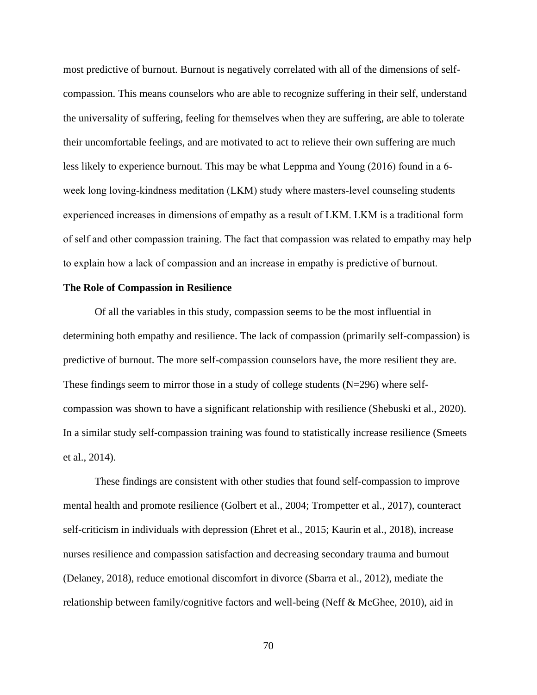most predictive of burnout. Burnout is negatively correlated with all of the dimensions of selfcompassion. This means counselors who are able to recognize suffering in their self, understand the universality of suffering, feeling for themselves when they are suffering, are able to tolerate their uncomfortable feelings, and are motivated to act to relieve their own suffering are much less likely to experience burnout. This may be what Leppma and Young (2016) found in a 6 week long loving-kindness meditation (LKM) study where masters-level counseling students experienced increases in dimensions of empathy as a result of LKM. LKM is a traditional form of self and other compassion training. The fact that compassion was related to empathy may help to explain how a lack of compassion and an increase in empathy is predictive of burnout.

#### **The Role of Compassion in Resilience**

Of all the variables in this study, compassion seems to be the most influential in determining both empathy and resilience. The lack of compassion (primarily self-compassion) is predictive of burnout. The more self-compassion counselors have, the more resilient they are. These findings seem to mirror those in a study of college students  $(N=296)$  where selfcompassion was shown to have a significant relationship with resilience (Shebuski et al., 2020). In a similar study self-compassion training was found to statistically increase resilience (Smeets et al., 2014).

These findings are consistent with other studies that found self-compassion to improve mental health and promote resilience (Golbert et al., 2004; Trompetter et al., 2017), counteract self-criticism in individuals with depression (Ehret et al., 2015; Kaurin et al., 2018), increase nurses resilience and compassion satisfaction and decreasing secondary trauma and burnout (Delaney, 2018), reduce emotional discomfort in divorce (Sbarra et al., 2012), mediate the relationship between family/cognitive factors and well-being (Neff & McGhee, 2010), aid in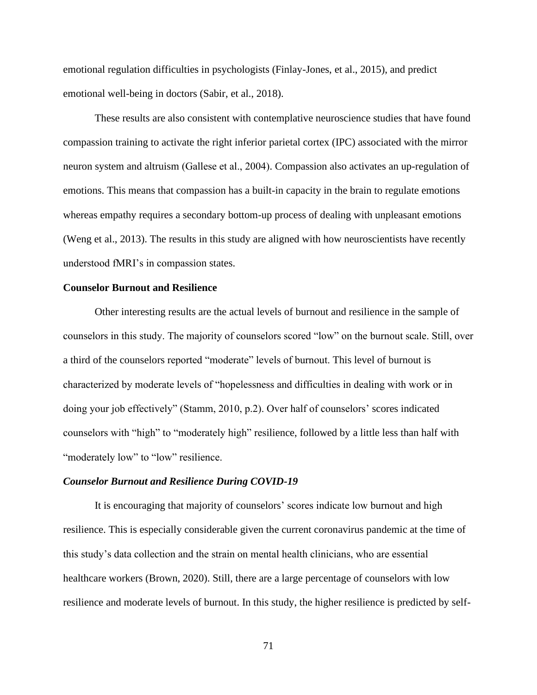emotional regulation difficulties in psychologists (Finlay-Jones, et al., 2015), and predict emotional well-being in doctors (Sabir, et al., 2018).

These results are also consistent with contemplative neuroscience studies that have found compassion training to activate the right inferior parietal cortex (IPC) associated with the mirror neuron system and altruism (Gallese et al., 2004). Compassion also activates an up-regulation of emotions. This means that compassion has a built-in capacity in the brain to regulate emotions whereas empathy requires a secondary bottom-up process of dealing with unpleasant emotions (Weng et al., 2013). The results in this study are aligned with how neuroscientists have recently understood fMRI's in compassion states.

## **Counselor Burnout and Resilience**

Other interesting results are the actual levels of burnout and resilience in the sample of counselors in this study. The majority of counselors scored "low" on the burnout scale. Still, over a third of the counselors reported "moderate" levels of burnout. This level of burnout is characterized by moderate levels of "hopelessness and difficulties in dealing with work or in doing your job effectively" (Stamm, 2010, p.2). Over half of counselors' scores indicated counselors with "high" to "moderately high" resilience, followed by a little less than half with "moderately low" to "low" resilience.

## *Counselor Burnout and Resilience During COVID-19*

It is encouraging that majority of counselors' scores indicate low burnout and high resilience. This is especially considerable given the current coronavirus pandemic at the time of this study's data collection and the strain on mental health clinicians, who are essential healthcare workers (Brown, 2020). Still, there are a large percentage of counselors with low resilience and moderate levels of burnout. In this study, the higher resilience is predicted by self-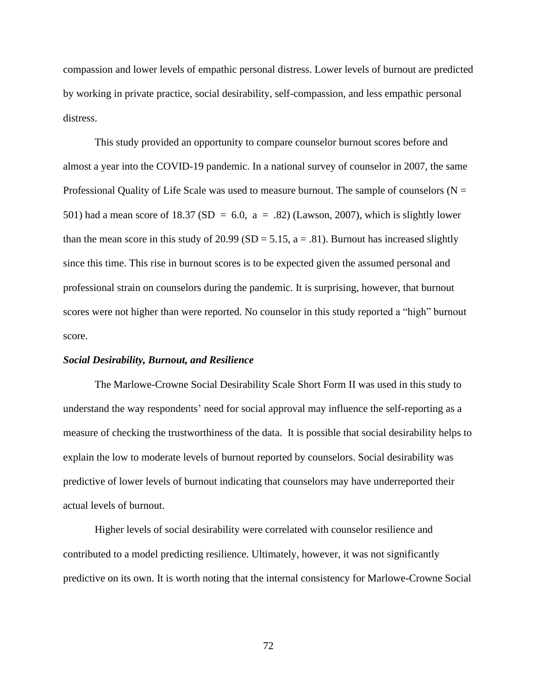compassion and lower levels of empathic personal distress. Lower levels of burnout are predicted by working in private practice, social desirability, self-compassion, and less empathic personal distress.

This study provided an opportunity to compare counselor burnout scores before and almost a year into the COVID-19 pandemic. In a national survey of counselor in 2007, the same Professional Quality of Life Scale was used to measure burnout. The sample of counselors ( $N =$ 501) had a mean score of 18.37 (SD = 6.0,  $a = .82$ ) (Lawson, 2007), which is slightly lower than the mean score in this study of 20.99 (SD = 5.15,  $a = .81$ ). Burnout has increased slightly since this time. This rise in burnout scores is to be expected given the assumed personal and professional strain on counselors during the pandemic. It is surprising, however, that burnout scores were not higher than were reported. No counselor in this study reported a "high" burnout score.

### *Social Desirability, Burnout, and Resilience*

The Marlowe-Crowne Social Desirability Scale Short Form II was used in this study to understand the way respondents' need for social approval may influence the self-reporting as a measure of checking the trustworthiness of the data. It is possible that social desirability helps to explain the low to moderate levels of burnout reported by counselors. Social desirability was predictive of lower levels of burnout indicating that counselors may have underreported their actual levels of burnout.

Higher levels of social desirability were correlated with counselor resilience and contributed to a model predicting resilience. Ultimately, however, it was not significantly predictive on its own. It is worth noting that the internal consistency for Marlowe-Crowne Social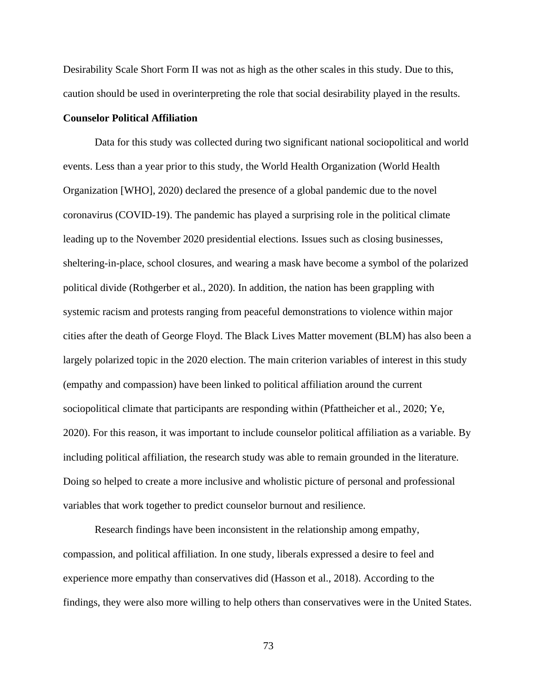Desirability Scale Short Form II was not as high as the other scales in this study. Due to this, caution should be used in overinterpreting the role that social desirability played in the results.

## **Counselor Political Affiliation**

Data for this study was collected during two significant national sociopolitical and world events. Less than a year prior to this study, the World Health Organization (World Health Organization [WHO], 2020) declared the presence of a global pandemic due to the novel coronavirus (COVID-19). The pandemic has played a surprising role in the political climate leading up to the November 2020 presidential elections. Issues such as closing businesses, sheltering-in-place, school closures, and wearing a mask have become a symbol of the polarized political divide (Rothgerber et al., 2020). In addition, the nation has been grappling with systemic racism and protests ranging from peaceful demonstrations to violence within major cities after the death of George Floyd. The Black Lives Matter movement (BLM) has also been a largely polarized topic in the 2020 election. The main criterion variables of interest in this study (empathy and compassion) have been linked to political affiliation around the current sociopolitical climate that participants are responding within (Pfattheicher et al., 2020; Ye, 2020). For this reason, it was important to include counselor political affiliation as a variable. By including political affiliation, the research study was able to remain grounded in the literature. Doing so helped to create a more inclusive and wholistic picture of personal and professional variables that work together to predict counselor burnout and resilience.

Research findings have been inconsistent in the relationship among empathy, compassion, and political affiliation. In one study, liberals expressed a desire to feel and experience more empathy than conservatives did (Hasson et al., 2018). According to the findings, they were also more willing to help others than conservatives were in the United States.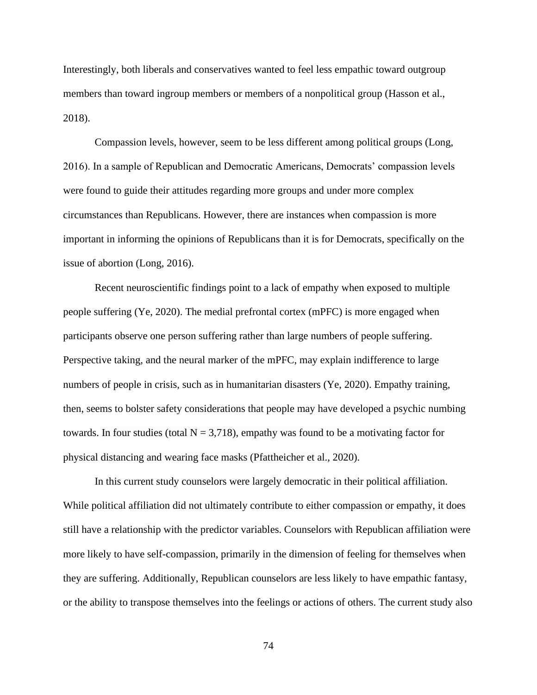Interestingly, both liberals and conservatives wanted to feel less empathic toward outgroup members than toward ingroup members or members of a nonpolitical group (Hasson et al., 2018).

Compassion levels, however, seem to be less different among political groups (Long, 2016). In a sample of Republican and Democratic Americans, Democrats' compassion levels were found to guide their attitudes regarding more groups and under more complex circumstances than Republicans. However, there are instances when compassion is more important in informing the opinions of Republicans than it is for Democrats, specifically on the issue of abortion (Long, 2016).

Recent neuroscientific findings point to a lack of empathy when exposed to multiple people suffering (Ye, 2020). The medial prefrontal cortex (mPFC) is more engaged when participants observe one person suffering rather than large numbers of people suffering. Perspective taking, and the neural marker of the mPFC, may explain indifference to large numbers of people in crisis, such as in humanitarian disasters (Ye, 2020). Empathy training, then, seems to bolster safety considerations that people may have developed a psychic numbing towards. In four studies (total  $N = 3,718$ ), empathy was found to be a motivating factor for physical distancing and wearing face masks (Pfattheicher et al., 2020).

In this current study counselors were largely democratic in their political affiliation. While political affiliation did not ultimately contribute to either compassion or empathy, it does still have a relationship with the predictor variables. Counselors with Republican affiliation were more likely to have self-compassion, primarily in the dimension of feeling for themselves when they are suffering. Additionally, Republican counselors are less likely to have empathic fantasy, or the ability to transpose themselves into the feelings or actions of others. The current study also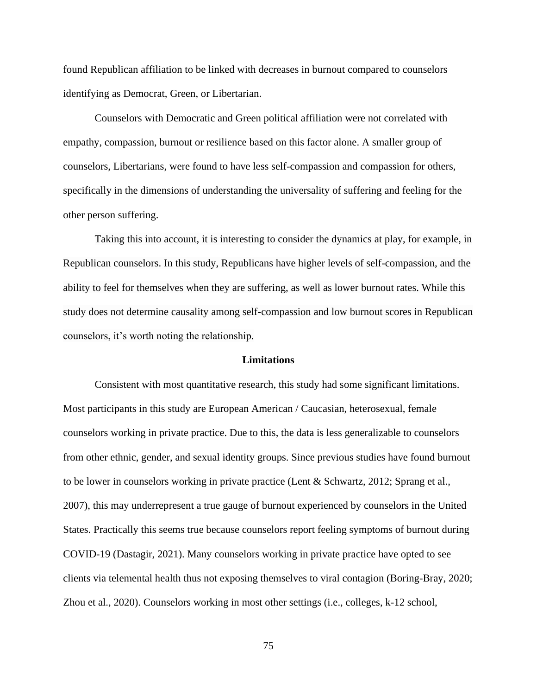found Republican affiliation to be linked with decreases in burnout compared to counselors identifying as Democrat, Green, or Libertarian.

Counselors with Democratic and Green political affiliation were not correlated with empathy, compassion, burnout or resilience based on this factor alone. A smaller group of counselors, Libertarians, were found to have less self-compassion and compassion for others, specifically in the dimensions of understanding the universality of suffering and feeling for the other person suffering.

Taking this into account, it is interesting to consider the dynamics at play, for example, in Republican counselors. In this study, Republicans have higher levels of self-compassion, and the ability to feel for themselves when they are suffering, as well as lower burnout rates. While this study does not determine causality among self-compassion and low burnout scores in Republican counselors, it's worth noting the relationship.

#### **Limitations**

Consistent with most quantitative research, this study had some significant limitations. Most participants in this study are European American / Caucasian, heterosexual, female counselors working in private practice. Due to this, the data is less generalizable to counselors from other ethnic, gender, and sexual identity groups. Since previous studies have found burnout to be lower in counselors working in private practice (Lent & Schwartz, 2012; Sprang et al., 2007), this may underrepresent a true gauge of burnout experienced by counselors in the United States. Practically this seems true because counselors report feeling symptoms of burnout during COVID-19 (Dastagir, 2021). Many counselors working in private practice have opted to see clients via telemental health thus not exposing themselves to viral contagion (Boring-Bray, 2020; Zhou et al., 2020). Counselors working in most other settings (i.e., colleges, k-12 school,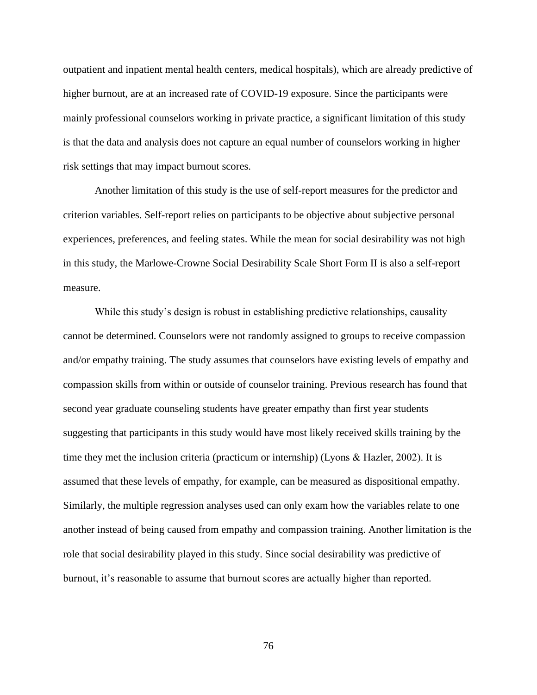outpatient and inpatient mental health centers, medical hospitals), which are already predictive of higher burnout, are at an increased rate of COVID-19 exposure. Since the participants were mainly professional counselors working in private practice, a significant limitation of this study is that the data and analysis does not capture an equal number of counselors working in higher risk settings that may impact burnout scores.

Another limitation of this study is the use of self-report measures for the predictor and criterion variables. Self-report relies on participants to be objective about subjective personal experiences, preferences, and feeling states. While the mean for social desirability was not high in this study, the Marlowe-Crowne Social Desirability Scale Short Form II is also a self-report measure.

While this study's design is robust in establishing predictive relationships, causality cannot be determined. Counselors were not randomly assigned to groups to receive compassion and/or empathy training. The study assumes that counselors have existing levels of empathy and compassion skills from within or outside of counselor training. Previous research has found that second year graduate counseling students have greater empathy than first year students suggesting that participants in this study would have most likely received skills training by the time they met the inclusion criteria (practicum or internship) (Lyons & Hazler, 2002). It is assumed that these levels of empathy, for example, can be measured as dispositional empathy. Similarly, the multiple regression analyses used can only exam how the variables relate to one another instead of being caused from empathy and compassion training. Another limitation is the role that social desirability played in this study. Since social desirability was predictive of burnout, it's reasonable to assume that burnout scores are actually higher than reported.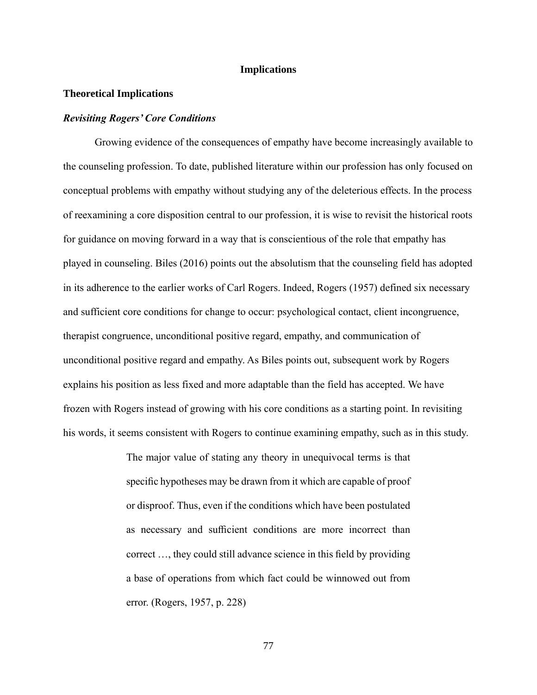## **Implications**

### **Theoretical Implications**

### *Revisiting Rogers' Core Conditions*

Growing evidence of the consequences of empathy have become increasingly available to the counseling profession. To date, published literature within our profession has only focused on conceptual problems with empathy without studying any of the deleterious effects. In the process of reexamining a core disposition central to our profession, it is wise to revisit the historical roots for guidance on moving forward in a way that is conscientious of the role that empathy has played in counseling. Biles (2016) points out the absolutism that the counseling field has adopted in its adherence to the earlier works of Carl Rogers. Indeed, Rogers (1957) defined six necessary and sufficient core conditions for change to occur: psychological contact, client incongruence, therapist congruence, unconditional positive regard, empathy, and communication of unconditional positive regard and empathy. As Biles points out, subsequent work by Rogers explains his position as less fixed and more adaptable than the field has accepted. We have frozen with Rogers instead of growing with his core conditions as a starting point. In revisiting his words, it seems consistent with Rogers to continue examining empathy, such as in this study.

> The major value of stating any theory in unequivocal terms is that specific hypotheses may be drawn from it which are capable of proof or disproof. Thus, even if the conditions which have been postulated as necessary and sufficient conditions are more incorrect than correct …, they could still advance science in this field by providing a base of operations from which fact could be winnowed out from error. (Rogers, 1957, p. 228)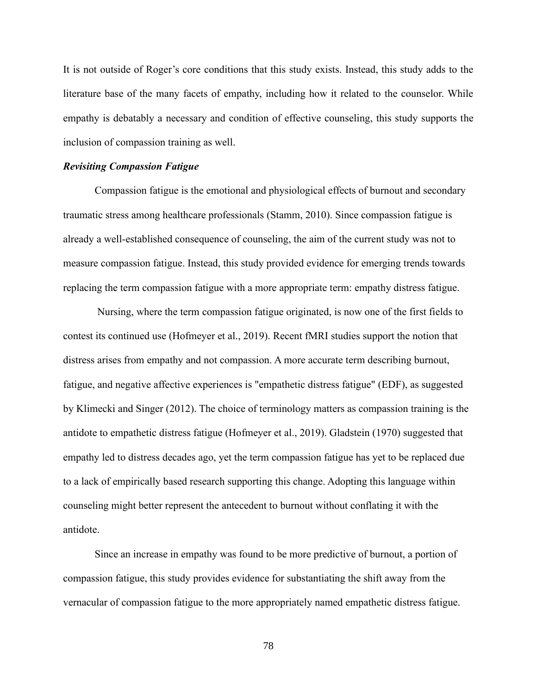It is not outside of Roger's core conditions that this study exists. Instead, this study adds to the literature base of the many facets of empathy, including how it related to the counselor. While empathy is debatably a necessary and condition of effective counseling, this study supports the inclusion of compassion training as well.

#### *Revisiting Compassion Fatigue*

Compassion fatigue is the emotional and physiological effects of burnout and secondary traumatic stress among healthcare professionals (Stamm, 2010). Since compassion fatigue is already a well-established consequence of counseling, the aim of the current study was not to measure compassion fatigue. Instead, this study provided evidence for emerging trends towards replacing the term compassion fatigue with a more appropriate term: empathy distress fatigue.

Nursing, where the term compassion fatigue originated, is now one of the first fields to contest its continued use (Hofmeyer et al., 2019). Recent fMRI studies support the notion that distress arises from empathy and not compassion. A more accurate term describing burnout, fatigue, and negative affective experiences is "empathetic distress fatigue" (EDF), as suggested by Klimecki and Singer (2012). The choice of terminology matters as compassion training is the antidote to empathetic distress fatigue (Hofmeyer et al., 2019). Gladstein (1970) suggested that empathy led to distress decades ago, yet the term compassion fatigue has yet to be replaced due to a lack of empirically based research supporting this change. Adopting this language within counseling might better represent the antecedent to burnout without conflating it with the antidote.

Since an increase in empathy was found to be more predictive of burnout, a portion of compassion fatigue, this study provides evidence for substantiating the shift away from the vernacular of compassion fatigue to the more appropriately named empathetic distress fatigue.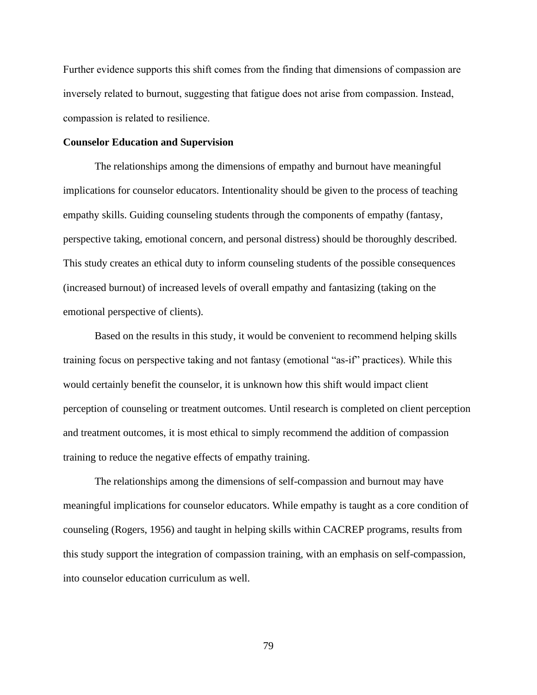Further evidence supports this shift comes from the finding that dimensions of compassion are inversely related to burnout, suggesting that fatigue does not arise from compassion. Instead, compassion is related to resilience.

## **Counselor Education and Supervision**

The relationships among the dimensions of empathy and burnout have meaningful implications for counselor educators. Intentionality should be given to the process of teaching empathy skills. Guiding counseling students through the components of empathy (fantasy, perspective taking, emotional concern, and personal distress) should be thoroughly described. This study creates an ethical duty to inform counseling students of the possible consequences (increased burnout) of increased levels of overall empathy and fantasizing (taking on the emotional perspective of clients).

Based on the results in this study, it would be convenient to recommend helping skills training focus on perspective taking and not fantasy (emotional "as-if" practices). While this would certainly benefit the counselor, it is unknown how this shift would impact client perception of counseling or treatment outcomes. Until research is completed on client perception and treatment outcomes, it is most ethical to simply recommend the addition of compassion training to reduce the negative effects of empathy training.

The relationships among the dimensions of self-compassion and burnout may have meaningful implications for counselor educators. While empathy is taught as a core condition of counseling (Rogers, 1956) and taught in helping skills within CACREP programs, results from this study support the integration of compassion training, with an emphasis on self-compassion, into counselor education curriculum as well.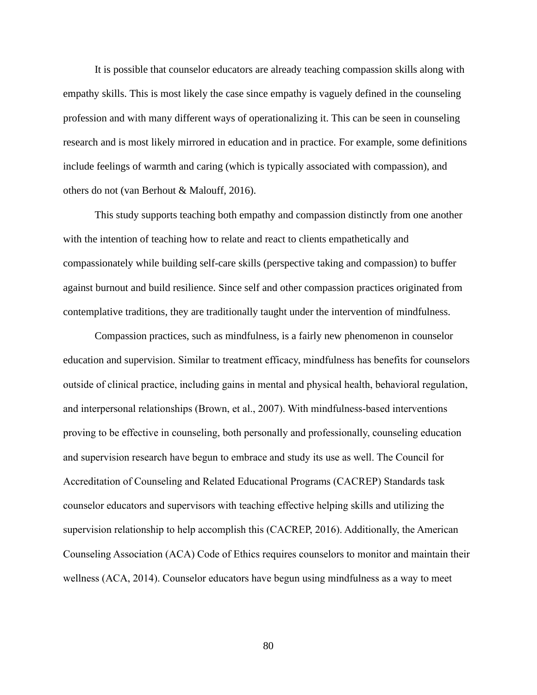It is possible that counselor educators are already teaching compassion skills along with empathy skills. This is most likely the case since empathy is vaguely defined in the counseling profession and with many different ways of operationalizing it. This can be seen in counseling research and is most likely mirrored in education and in practice. For example, some definitions include feelings of warmth and caring (which is typically associated with compassion), and others do not (van Berhout & Malouff, 2016).

This study supports teaching both empathy and compassion distinctly from one another with the intention of teaching how to relate and react to clients empathetically and compassionately while building self-care skills (perspective taking and compassion) to buffer against burnout and build resilience. Since self and other compassion practices originated from contemplative traditions, they are traditionally taught under the intervention of mindfulness.

Compassion practices, such as mindfulness, is a fairly new phenomenon in counselor education and supervision. Similar to treatment efficacy, mindfulness has benefits for counselors outside of clinical practice, including gains in mental and physical health, behavioral regulation, and interpersonal relationships (Brown, et al., 2007). With mindfulness-based interventions proving to be effective in counseling, both personally and professionally, counseling education and supervision research have begun to embrace and study its use as well. The Council for Accreditation of Counseling and Related Educational Programs (CACREP) Standards task counselor educators and supervisors with teaching effective helping skills and utilizing the supervision relationship to help accomplish this (CACREP, 2016). Additionally, the American Counseling Association (ACA) Code of Ethics requires counselors to monitor and maintain their wellness (ACA, 2014). Counselor educators have begun using mindfulness as a way to meet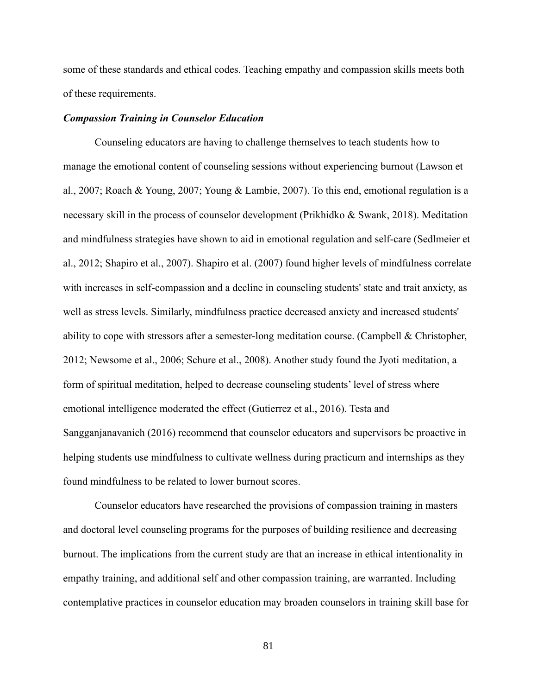some of these standards and ethical codes. Teaching empathy and compassion skills meets both of these requirements.

### *Compassion Training in Counselor Education*

Counseling educators are having to challenge themselves to teach students how to manage the emotional content of counseling sessions without experiencing burnout (Lawson et al., 2007; Roach & Young, 2007; Young & Lambie, 2007). To this end, emotional regulation is a necessary skill in the process of counselor development (Prikhidko & Swank, 2018). Meditation and mindfulness strategies have shown to aid in emotional regulation and self-care (Sedlmeier et al., 2012; Shapiro et al., 2007). Shapiro et al. (2007) found higher levels of mindfulness correlate with increases in self-compassion and a decline in counseling students' state and trait anxiety, as well as stress levels. Similarly, mindfulness practice decreased anxiety and increased students' ability to cope with stressors after a semester-long meditation course. (Campbell & Christopher, 2012; Newsome et al., 2006; Schure et al., 2008). Another study found the Jyoti meditation, a form of spiritual meditation, helped to decrease counseling students' level of stress where emotional intelligence moderated the effect (Gutierrez et al., 2016). Testa and Sangganjanavanich (2016) recommend that counselor educators and supervisors be proactive in helping students use mindfulness to cultivate wellness during practicum and internships as they found mindfulness to be related to lower burnout scores.

Counselor educators have researched the provisions of compassion training in masters and doctoral level counseling programs for the purposes of building resilience and decreasing burnout. The implications from the current study are that an increase in ethical intentionality in empathy training, and additional self and other compassion training, are warranted. Including contemplative practices in counselor education may broaden counselors in training skill base for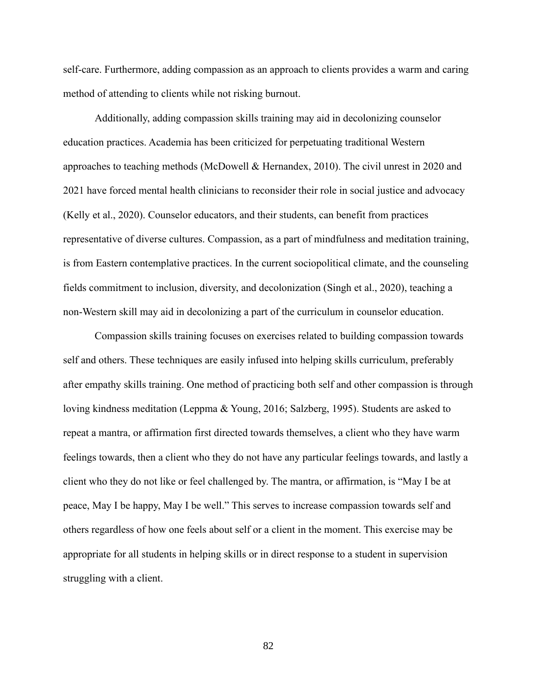self-care. Furthermore, adding compassion as an approach to clients provides a warm and caring method of attending to clients while not risking burnout.

Additionally, adding compassion skills training may aid in decolonizing counselor education practices. Academia has been criticized for perpetuating traditional Western approaches to teaching methods (McDowell & Hernandex, 2010). The civil unrest in 2020 and 2021 have forced mental health clinicians to reconsider their role in social justice and advocacy (Kelly et al., 2020). Counselor educators, and their students, can benefit from practices representative of diverse cultures. Compassion, as a part of mindfulness and meditation training, is from Eastern contemplative practices. In the current sociopolitical climate, and the counseling fields commitment to inclusion, diversity, and decolonization (Singh et al., 2020), teaching a non-Western skill may aid in decolonizing a part of the curriculum in counselor education.

Compassion skills training focuses on exercises related to building compassion towards self and others. These techniques are easily infused into helping skills curriculum, preferably after empathy skills training. One method of practicing both self and other compassion is through loving kindness meditation (Leppma & Young, 2016; Salzberg, 1995). Students are asked to repeat a mantra, or affirmation first directed towards themselves, a client who they have warm feelings towards, then a client who they do not have any particular feelings towards, and lastly a client who they do not like or feel challenged by. The mantra, or affirmation, is "May I be at peace, May I be happy, May I be well." This serves to increase compassion towards self and others regardless of how one feels about self or a client in the moment. This exercise may be appropriate for all students in helping skills or in direct response to a student in supervision struggling with a client.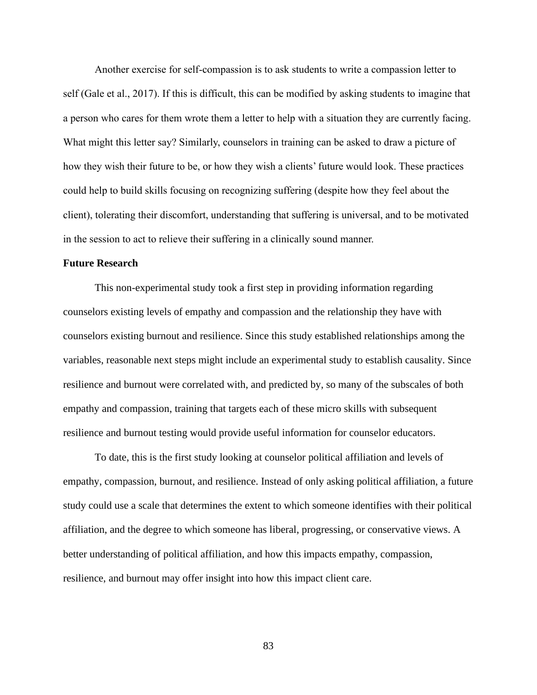Another exercise for self-compassion is to ask students to write a compassion letter to self (Gale et al., 2017). If this is difficult, this can be modified by asking students to imagine that a person who cares for them wrote them a letter to help with a situation they are currently facing. What might this letter say? Similarly, counselors in training can be asked to draw a picture of how they wish their future to be, or how they wish a clients' future would look. These practices could help to build skills focusing on recognizing suffering (despite how they feel about the client), tolerating their discomfort, understanding that suffering is universal, and to be motivated in the session to act to relieve their suffering in a clinically sound manner.

## **Future Research**

This non-experimental study took a first step in providing information regarding counselors existing levels of empathy and compassion and the relationship they have with counselors existing burnout and resilience. Since this study established relationships among the variables, reasonable next steps might include an experimental study to establish causality. Since resilience and burnout were correlated with, and predicted by, so many of the subscales of both empathy and compassion, training that targets each of these micro skills with subsequent resilience and burnout testing would provide useful information for counselor educators.

To date, this is the first study looking at counselor political affiliation and levels of empathy, compassion, burnout, and resilience. Instead of only asking political affiliation, a future study could use a scale that determines the extent to which someone identifies with their political affiliation, and the degree to which someone has liberal, progressing, or conservative views. A better understanding of political affiliation, and how this impacts empathy, compassion, resilience, and burnout may offer insight into how this impact client care.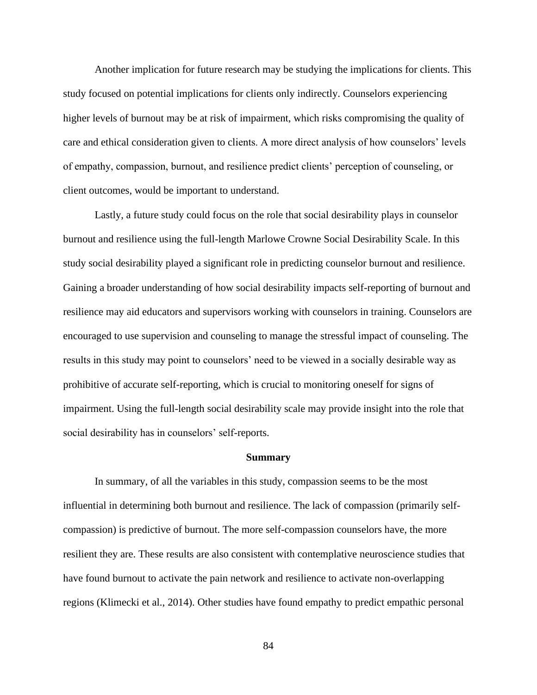Another implication for future research may be studying the implications for clients. This study focused on potential implications for clients only indirectly. Counselors experiencing higher levels of burnout may be at risk of impairment, which risks compromising the quality of care and ethical consideration given to clients. A more direct analysis of how counselors' levels of empathy, compassion, burnout, and resilience predict clients' perception of counseling, or client outcomes, would be important to understand.

Lastly, a future study could focus on the role that social desirability plays in counselor burnout and resilience using the full-length Marlowe Crowne Social Desirability Scale. In this study social desirability played a significant role in predicting counselor burnout and resilience. Gaining a broader understanding of how social desirability impacts self-reporting of burnout and resilience may aid educators and supervisors working with counselors in training. Counselors are encouraged to use supervision and counseling to manage the stressful impact of counseling. The results in this study may point to counselors' need to be viewed in a socially desirable way as prohibitive of accurate self-reporting, which is crucial to monitoring oneself for signs of impairment. Using the full-length social desirability scale may provide insight into the role that social desirability has in counselors' self-reports.

#### **Summary**

In summary, of all the variables in this study, compassion seems to be the most influential in determining both burnout and resilience. The lack of compassion (primarily selfcompassion) is predictive of burnout. The more self-compassion counselors have, the more resilient they are. These results are also consistent with contemplative neuroscience studies that have found burnout to activate the pain network and resilience to activate non-overlapping regions (Klimecki et al., 2014). Other studies have found empathy to predict empathic personal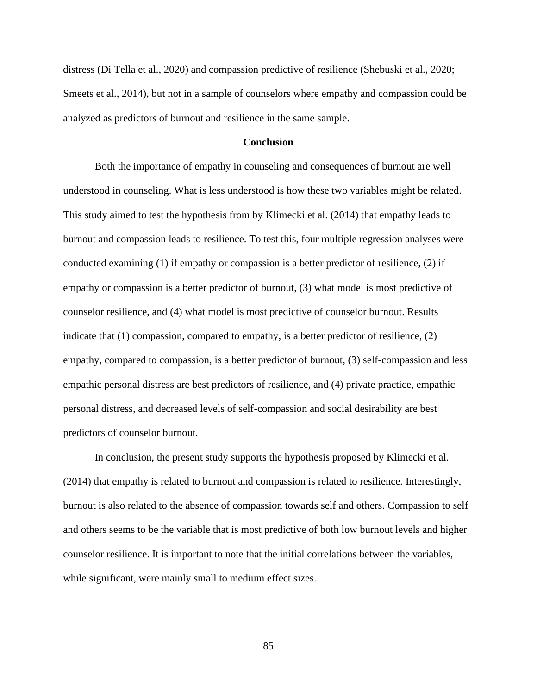distress (Di Tella et al., 2020) and compassion predictive of resilience (Shebuski et al., 2020; Smeets et al., 2014), but not in a sample of counselors where empathy and compassion could be analyzed as predictors of burnout and resilience in the same sample.

### **Conclusion**

Both the importance of empathy in counseling and consequences of burnout are well understood in counseling. What is less understood is how these two variables might be related. This study aimed to test the hypothesis from by Klimecki et al. (2014) that empathy leads to burnout and compassion leads to resilience. To test this, four multiple regression analyses were conducted examining (1) if empathy or compassion is a better predictor of resilience, (2) if empathy or compassion is a better predictor of burnout, (3) what model is most predictive of counselor resilience, and (4) what model is most predictive of counselor burnout. Results indicate that (1) compassion, compared to empathy, is a better predictor of resilience, (2) empathy, compared to compassion, is a better predictor of burnout, (3) self-compassion and less empathic personal distress are best predictors of resilience, and (4) private practice, empathic personal distress, and decreased levels of self-compassion and social desirability are best predictors of counselor burnout.

In conclusion, the present study supports the hypothesis proposed by Klimecki et al. (2014) that empathy is related to burnout and compassion is related to resilience. Interestingly, burnout is also related to the absence of compassion towards self and others. Compassion to self and others seems to be the variable that is most predictive of both low burnout levels and higher counselor resilience. It is important to note that the initial correlations between the variables, while significant, were mainly small to medium effect sizes.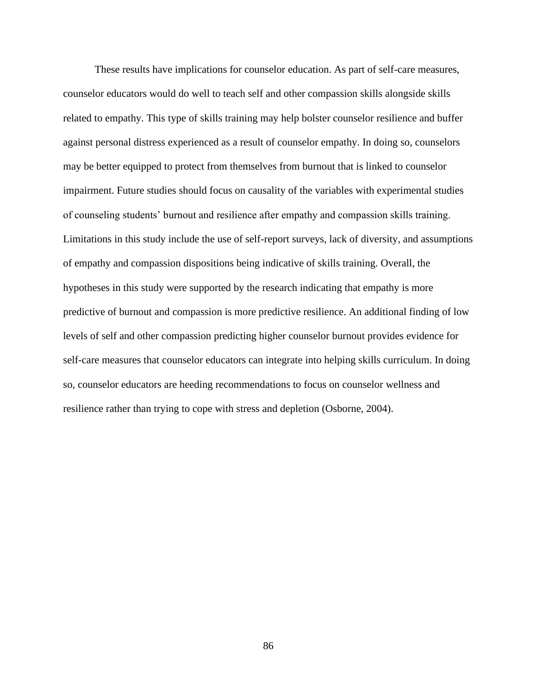These results have implications for counselor education. As part of self-care measures, counselor educators would do well to teach self and other compassion skills alongside skills related to empathy. This type of skills training may help bolster counselor resilience and buffer against personal distress experienced as a result of counselor empathy. In doing so, counselors may be better equipped to protect from themselves from burnout that is linked to counselor impairment. Future studies should focus on causality of the variables with experimental studies of counseling students' burnout and resilience after empathy and compassion skills training. Limitations in this study include the use of self-report surveys, lack of diversity, and assumptions of empathy and compassion dispositions being indicative of skills training. Overall, the hypotheses in this study were supported by the research indicating that empathy is more predictive of burnout and compassion is more predictive resilience. An additional finding of low levels of self and other compassion predicting higher counselor burnout provides evidence for self-care measures that counselor educators can integrate into helping skills curriculum. In doing so, counselor educators are heeding recommendations to focus on counselor wellness and resilience rather than trying to cope with stress and depletion (Osborne, 2004).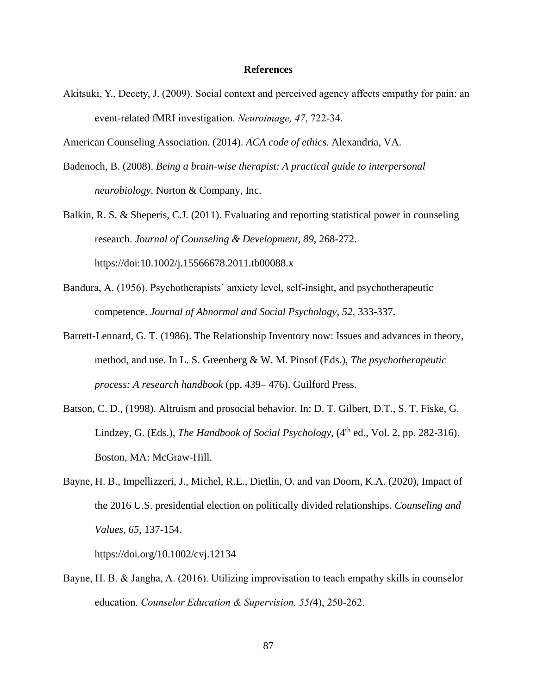### **References**

Akitsuki, Y., Decety, J. (2009). Social context and perceived agency affects empathy for pain: an event-related fMRI investigation. *Neuroimage, 47*, 722-34.

American Counseling Association. (2014). *ACA code of ethics*. Alexandria, VA.

- Badenoch, B. (2008). *Being a brain-wise therapist: A practical guide to interpersonal neurobiology*. Norton & Company, Inc.
- Balkin, R. S. & Sheperis, C.J. (2011). Evaluating and reporting statistical power in counseling research. *Journal of Counseling & Development, 89,* 268-272. https://doi:10.1002/j.15566678.2011.tb00088.x
- Bandura, A. (1956). Psychotherapists' anxiety level, self-insight, and psychotherapeutic competence. *Journal of Abnormal and Social Psychology, 52*, 333-337.
- Barrett-Lennard, G. T. (1986). The Relationship Inventory now: Issues and advances in theory, method, and use. In L. S. Greenberg & W. M. Pinsof (Eds.), *The psychotherapeutic process: A research handbook* (pp. 439– 476). Guilford Press.
- Batson, C. D., (1998). Altruism and prosocial behavior. In: D. T. Gilbert, D.T., S. T. Fiske, G. Lindzey, G. (Eds.), *The Handbook of Social Psychology*, (4<sup>th</sup> ed., Vol. 2, pp. 282-316). Boston, MA: McGraw-Hill.
- Bayne, H. B., Impellizzeri, J., Michel, R.E., Dietlin, O. and van Doorn, K.A. (2020), Impact of the 2016 U.S. presidential election on politically divided relationships. *Counseling and Values, 65*, 137-154.

<https://doi.org/10.1002/cvj.12134>

Bayne, H. B. & Jangha, A. (2016). Utilizing improvisation to teach empathy skills in counselor education. *Counselor Education & Supervision, 55(*4), 250-262.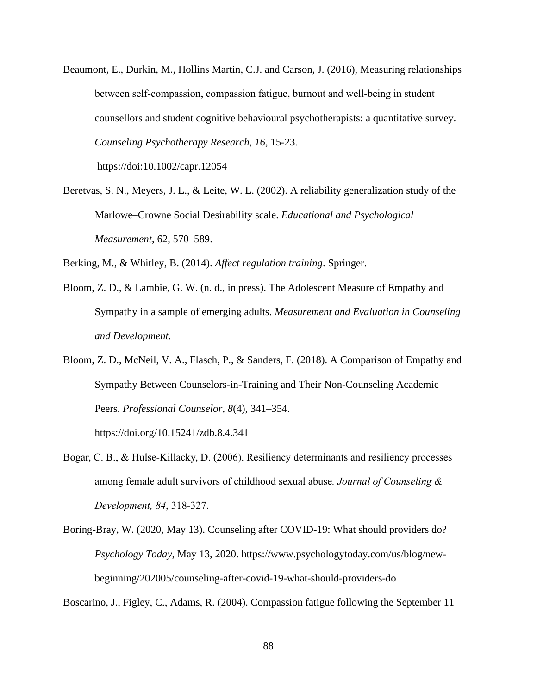Beaumont, E., Durkin, M., Hollins Martin, C.J. and Carson, J. (2016), Measuring relationships between self-compassion, compassion fatigue, burnout and well-being in student counsellors and student cognitive behavioural psychotherapists: a quantitative survey. *Counseling Psychotherapy Research, 16*, 15-23.

https://doi[:10.1002/capr.12054](https://doi.org/10.1002/capr.12054)

Beretvas, S. N., Meyers, J. L., & Leite, W. L. (2002). A reliability generalization study of the Marlowe–Crowne Social Desirability scale. *Educational and Psychological Measurement*, 62, 570–589.

Berking, M., & Whitley, B. (2014). *Affect regulation training*. Springer.

- Bloom, Z. D., & Lambie, G. W. (n. d., in press). The Adolescent Measure of Empathy and Sympathy in a sample of emerging adults. *Measurement and Evaluation in Counseling and Development.*
- Bloom, Z. D., McNeil, V. A., Flasch, P., & Sanders, F. (2018). A Comparison of Empathy and Sympathy Between Counselors-in-Training and Their Non-Counseling Academic Peers. *Professional Counselor, 8*(4), 341–354.

<https://doi.org/10.15241/zdb.8.4.341>

- Bogar, C. B., & Hulse-Killacky, D. (2006). Resiliency determinants and resiliency processes among female adult survivors of childhood sexual abuse*. Journal of Counseling & Development, 84*, 318-327.
- Boring-Bray, W. (2020, May 13). Counseling after COVID-19: What should providers do? *Psychology Today*, May 13, 2020. https://www.psychologytoday.com/us/blog/newbeginning/202005/counseling-after-covid-19-what-should-providers-do

Boscarino, J., Figley, C., Adams, R. (2004). Compassion fatigue following the September 11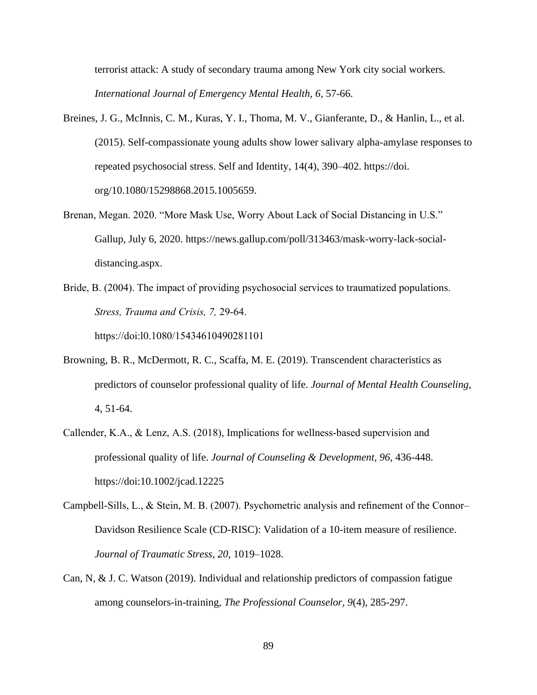terrorist attack: A study of secondary trauma among New York city social workers. *International Journal of Emergency Mental Health, 6*, 57-66.

- Breines, J. G., McInnis, C. M., Kuras, Y. I., Thoma, M. V., Gianferante, D., & Hanlin, L., et al. (2015). Self-compassionate young adults show lower salivary alpha-amylase responses to repeated psychosocial stress. Self and Identity, 14(4), 390–402. https://doi. org/10.1080/15298868.2015.1005659.
- Brenan, Megan. 2020. "More Mask Use, Worry About Lack of Social Distancing in U.S." Gallup, July 6, 2020. [https://news.gallup.com/poll/313463/mask-worry-lack-social](https://news.gallup.com/poll/313463/mask-worry-lack-social-distancing.aspx)[distancing.aspx.](https://news.gallup.com/poll/313463/mask-worry-lack-social-distancing.aspx)
- Bride, B. (2004). The impact of providing psychosocial services to traumatized populations. *Stress, Trauma and Crisis, 7,* 29-64. https://doi:l0.1080/15434610490281101
- Browning, B. R., McDermott, R. C., Scaffa, M. E. (2019). Transcendent characteristics as predictors of counselor professional quality of life. *Journal of Mental Health Counseling*, 4, 51-64.
- Callender, K.A., & Lenz, A.S. (2018), Implications for wellness‐based supervision and professional quality of life. *Journal of Counseling & Development, 96,* 436-448. https://doi[:10.1002/jcad.12225](https://doi.org/10.1002/jcad.12225)
- Campbell-Sills, L., & Stein, M. B. (2007). Psychometric analysis and refinement of the Connor– Davidson Resilience Scale (CD-RISC): Validation of a 10-item measure of resilience. *Journal of Traumatic Stress, 20*, 1019–1028.
- Can, N, & J. C. Watson (2019). Individual and relationship predictors of compassion fatigue among counselors-in-training, *The Professional Counselor, 9*(4), 285-297.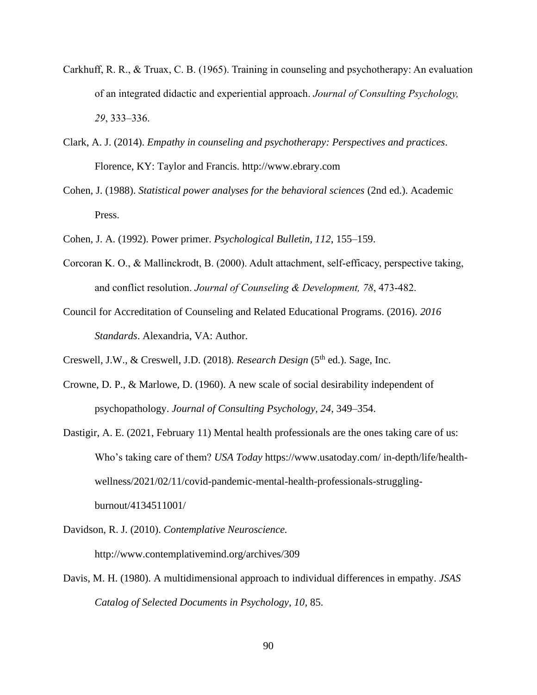- Carkhuff, R. R., & Truax, C. B. (1965). Training in counseling and psychotherapy: An evaluation of an integrated didactic and experiential approach. *Journal of Consulting Psychology, 29*, 333–336.
- Clark, A. J. (2014). *Empathy in counseling and psychotherapy: Perspectives and practices*. Florence, KY: Taylor and Francis. [http://www.ebrary.com](http://www.ebrary.com/)
- Cohen, J. (1988). *Statistical power analyses for the behavioral sciences* (2nd ed.). Academic Press.
- Cohen, J. A. (1992). Power primer. *Psychological Bulletin, 112*, 155–159.
- Corcoran K. O., & Mallinckrodt, B. (2000). Adult attachment, self-efficacy, perspective taking, and conflict resolution. *Journal of Counseling & Development, 78*, 473-482.
- Council for Accreditation of Counseling and Related Educational Programs. (2016). *2016 Standards*. Alexandria, VA: Author.
- Creswell, J.W., & Creswell, J.D. (2018). *Research Design* (5<sup>th</sup> ed.). Sage, Inc.
- Crowne, D. P., & Marlowe, D. (1960). A new scale of social desirability independent of psychopathology. *Journal of Consulting Psychology, 24*, 349–354.
- Dastigir, A. E. (2021, February 11) Mental health professionals are the ones taking care of us: Who's taking care of them? *USA Today* https://www.usatoday.com/ in-depth/life/healthwellness/2021/02/11/covid-pandemic-mental-health-professionals-strugglingburnout/4134511001/
- Davidson, R. J. (2010). *Contemplative Neuroscience.* http://www.contemplativemind.org/archives/309
- Davis, M. H. (1980). A multidimensional approach to individual differences in empathy. *JSAS Catalog of Selected Documents in Psychology, 10*, 85.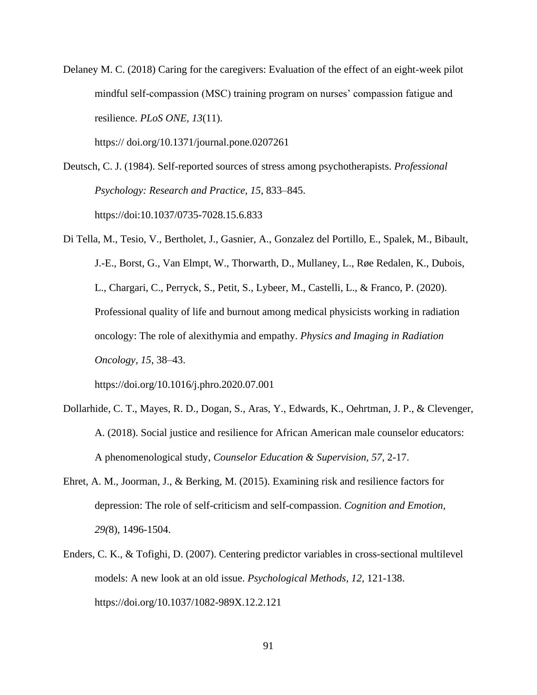Delaney M. C. (2018) Caring for the caregivers: Evaluation of the effect of an eight-week pilot mindful self-compassion (MSC) training program on nurses' compassion fatigue and resilience. *PLoS ONE, 13*(11).

https:// doi.org/10.1371/journal.pone.0207261

Deutsch, C. J. (1984). Self-reported sources of stress among psychotherapists. *Professional Psychology: Research and Practice*, *15*, 833–845. https://doi:10.1037/0735-7028.15.6.833

Di Tella, M., Tesio, V., Bertholet, J., Gasnier, A., Gonzalez del Portillo, E., Spalek, M., Bibault, J.-E., Borst, G., Van Elmpt, W., Thorwarth, D., Mullaney, L., Røe Redalen, K., Dubois, L., Chargari, C., Perryck, S., Petit, S., Lybeer, M., Castelli, L., & Franco, P. (2020). Professional quality of life and burnout among medical physicists working in radiation oncology: The role of alexithymia and empathy. *Physics and Imaging in Radiation Oncology, 15*, 38–43.

https://doi.org/10.1016/j.phro.2020.07.001

- Dollarhide, C. T., Mayes, R. D., Dogan, S., Aras, Y., Edwards, K., Oehrtman, J. P., & Clevenger, A. (2018). Social justice and resilience for African American male counselor educators: A phenomenological study, *Counselor Education & Supervision, 57*, 2-17.
- Ehret, A. M., Joorman, J., & Berking, M. (2015). Examining risk and resilience factors for depression: The role of self-criticism and self-compassion. *Cognition and Emotion, 29(*8), 1496-1504.
- Enders, C. K., & Tofighi, D. (2007). Centering predictor variables in cross-sectional multilevel models: A new look at an old issue. *Psychological Methods, 12*, 121-138. https://doi.org/10.1037/1082-989X.12.2.121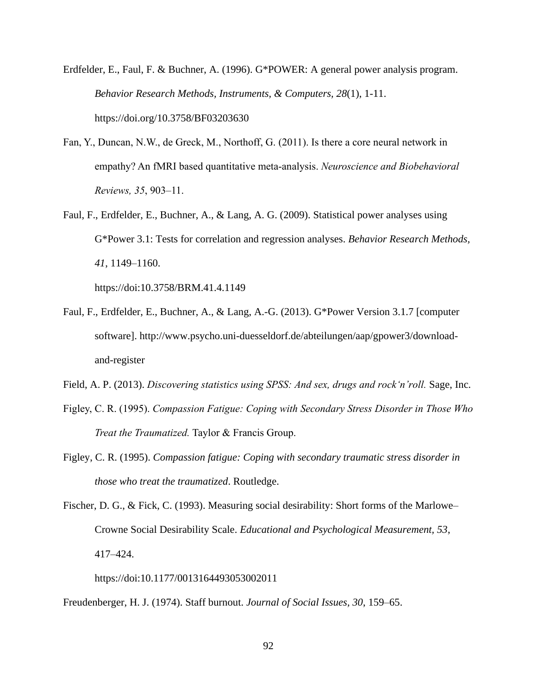Erdfelder, E., Faul, F. & Buchner, A. (1996). G\*POWER: A general power analysis program. *Behavior Research Methods, Instruments, & Computers, 28*(1), 1-11. https://doi.org/10.3758/BF03203630

- Fan, Y., Duncan, N.W., de Greck, M., Northoff, G. (2011). Is there a core neural network in empathy? An fMRI based quantitative meta-analysis. *Neuroscience and Biobehavioral Reviews, 35*, 903–11.
- Faul, F., Erdfelder, E., Buchner, A., & Lang, A. G. (2009). Statistical power analyses using G\*Power 3.1: Tests for correlation and regression analyses. *Behavior Research Methods, 41*, 1149–1160.

https://doi:10.3758/BRM.41.4.1149

- Faul, F., Erdfelder, E., Buchner, A., & Lang, A.-G. (2013). G\*Power Version 3.1.7 [computer software]. [http://www.psycho.uni-duesseldorf.de/abteilungen/aap/gpower3/download](http://www.psycho.uni-duesseldorf.de/abteilungen/aap/gpower3/download-and-register)[and-register](http://www.psycho.uni-duesseldorf.de/abteilungen/aap/gpower3/download-and-register)
- Field, A. P. (2013). *Discovering statistics using SPSS: And sex, drugs and rock'n'roll.* Sage, Inc.
- Figley, C. R. (1995). *Compassion Fatigue: Coping with Secondary Stress Disorder in Those Who Treat the Traumatized.* Taylor & Francis Group.
- Figley, C. R. (1995). *Compassion fatigue: Coping with secondary traumatic stress disorder in those who treat the traumatized*. Routledge.

Fischer, D. G., & Fick, C. (1993). Measuring social desirability: Short forms of the Marlowe– Crowne Social Desirability Scale. *Educational and Psychological Measurement, 53*, 417–424.

https://doi:10.1177/0013164493053002011

Freudenberger, H. J. (1974). Staff burnout. *Journal of Social Issues, 30*, 159–65.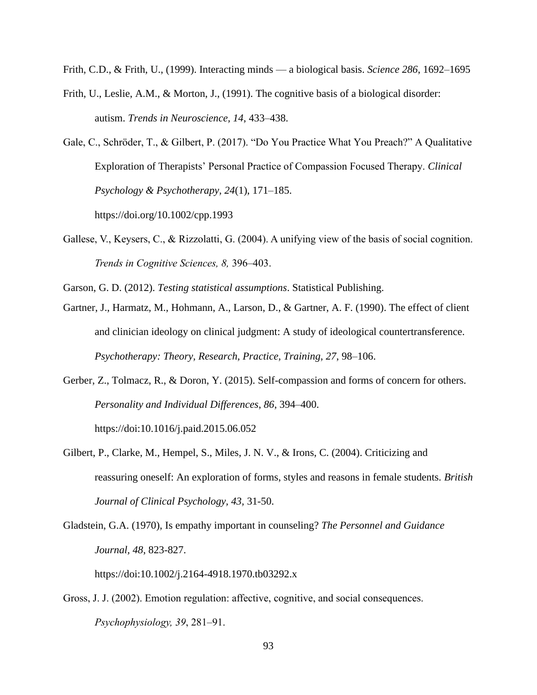Frith, C.D., & Frith, U., (1999). Interacting minds — a biological basis. *Science 286*, 1692–1695

- Frith, U., Leslie, A.M., & Morton, J., (1991). The cognitive basis of a biological disorder: autism. *Trends in Neuroscience, 14*, 433–438.
- Gale, C., Schröder, T., & Gilbert, P. (2017). "Do You Practice What You Preach?" A Qualitative Exploration of Therapists' Personal Practice of Compassion Focused Therapy. *Clinical Psychology & Psychotherapy, 24*(1), 171–185.

https://doi.org/10.1002/cpp.1993

- Gallese, V., Keysers, C., & Rizzolatti, G. (2004). A unifying view of the basis of social cognition. *Trends in Cognitive Sciences, 8,* 396–403.
- Garson, G. D. (2012). *Testing statistical assumptions*. Statistical Publishing.
- Gartner, J., Harmatz, M., Hohmann, A., Larson, D., & Gartner, A. F. (1990). The effect of client and clinician ideology on clinical judgment: A study of ideological countertransference. *Psychotherapy: Theory, Research, Practice, Training, 27*, 98–106.
- Gerber, Z., Tolmacz, R., & Doron, Y. (2015). Self-compassion and forms of concern for others. *Personality and Individual Differences*, *86*, 394–400.

https://doi:10.1016/j.paid.2015.06.052

- Gilbert, P., Clarke, M., Hempel, S., Miles, J. N. V., & Irons, C. (2004). Criticizing and reassuring oneself: An exploration of forms, styles and reasons in female students. *British Journal of Clinical Psychology, 43,* 31-50.
- Gladstein, G.A. (1970), Is empathy important in counseling? *The Personnel and Guidance Journal, 48*, 823-827.

https://doi[:10.1002/j.2164-4918.1970.tb03292.x](https://doi.org/10.1002/j.2164-4918.1970.tb03292.x)

Gross, J. J. (2002). Emotion regulation: affective, cognitive, and social consequences. *Psychophysiology, 39*, 281–91.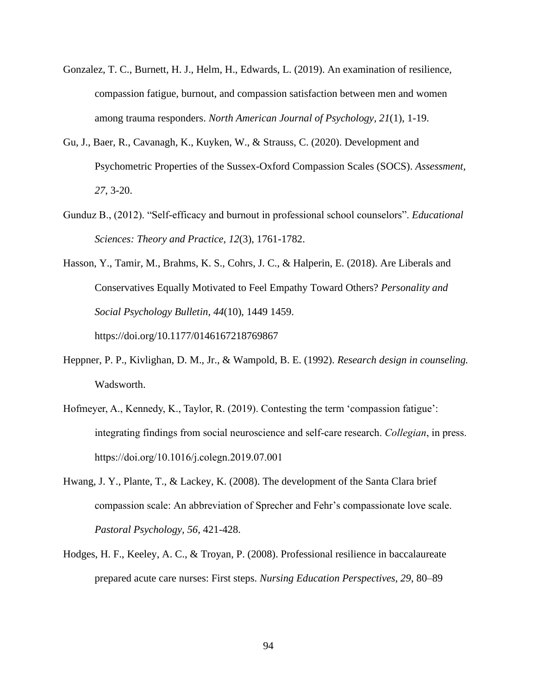- Gonzalez, T. C., Burnett, H. J., Helm, H., Edwards, L. (2019). An examination of resilience, compassion fatigue, burnout, and compassion satisfaction between men and women among trauma responders. *North American Journal of Psychology, 21*(1), 1-19.
- Gu, J., Baer, R., Cavanagh, K., Kuyken, W., & Strauss, C. (2020). Development and Psychometric Properties of the Sussex-Oxford Compassion Scales (SOCS). *Assessment, 27*, 3-20.
- Gunduz B., (2012). "Self-efficacy and burnout in professional school counselors". *Educational Sciences: Theory and Practice, 12*(3), 1761-1782.
- Hasson, Y., Tamir, M., Brahms, K. S., Cohrs, J. C., & Halperin, E. (2018). Are Liberals and Conservatives Equally Motivated to Feel Empathy Toward Others? *Personality and Social Psychology Bulletin*, *44*(10), 1449 1459. <https://doi.org/10.1177/0146167218769867>
- Heppner, P. P., Kivlighan, D. M., Jr., & Wampold, B. E. (1992). *Research design in counseling.* Wadsworth.
- Hofmeyer, A., Kennedy, K., Taylor, R. (2019). Contesting the term 'compassion fatigue': integrating findings from social neuroscience and self-care research. *Collegian*, in press. <https://doi.org/10.1016/j.colegn.2019.07.001>
- Hwang, J. Y., Plante, T., & Lackey, K. (2008). The development of the Santa Clara brief compassion scale: An abbreviation of Sprecher and Fehr's compassionate love scale. *Pastoral Psychology, 56*, 421-428.
- Hodges, H. F., Keeley, A. C., & Troyan, P. (2008). Professional resilience in baccalaureate prepared acute care nurses: First steps. *Nursing Education Perspectives, 29*, 80–89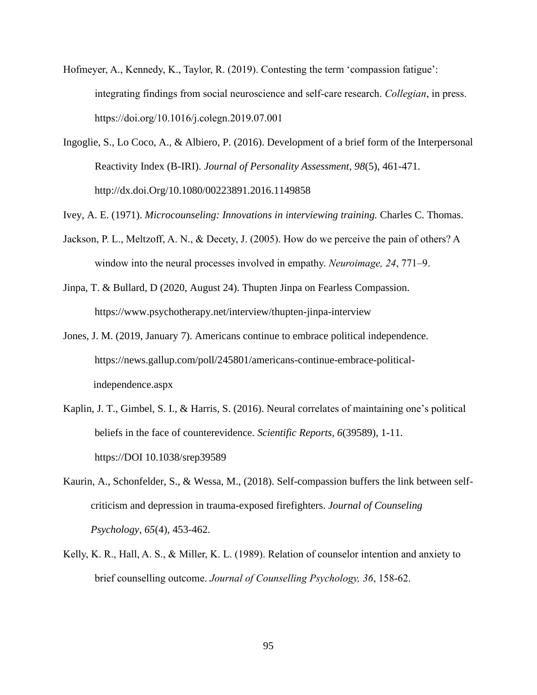- Hofmeyer, A., Kennedy, K., Taylor, R. (2019). Contesting the term 'compassion fatigue': integrating findings from social neuroscience and self-care research. *Collegian*, in press. <https://doi.org/10.1016/j.colegn.2019.07.001>
- Ingoglie, S., Lo Coco, A., & Albiero, P. (2016). Development of a brief form of the Interpersonal Reactivity Index (B-IRI). *Journal of Personality Assessment, 98*(5), 461-471. [http://dx.doi.Org/10.1080/00223891.2016.1149858](http://dx.doi.org/10.1080/00223891.2016.1149858)

Ivey, A. E. (1971). *Microcounseling: Innovations in interviewing training.* Charles C. Thomas.

- Jackson, P. L., Meltzoff, A. N., & Decety, J. (2005). How do we perceive the pain of others? A window into the neural processes involved in empathy. *Neuroimage, 24*, 771–9.
- Jinpa, T. & Bullard, D (2020, August 24). Thupten Jinpa on Fearless Compassion. <https://www.psychotherapy.net/interview/thupten-jinpa-interview>
- Jones, J. M. (2019, January 7). Americans continue to embrace political independence. [https://news.gallup.com/poll/245801/americans-continue-embrace-political](https://news.gallup.com/poll/245801/americans-continue-embrace-political-)  independence.aspx
- Kaplin, J. T., Gimbel, S. I., & Harris, S. (2016). Neural correlates of maintaining one's political beliefs in the face of counterevidence. *Scientific Reports, 6*(39589), 1-11. https://DOI 10.1038/srep39589
- Kaurin, A., Schonfelder, S., & Wessa, M., (2018). Self-compassion buffers the link between selfcriticism and depression in trauma-exposed firefighters. *Journal of Counseling Psychology, 65*(4), 453-462.
- Kelly, K. R., Hall, A. S., & Miller, K. L. (1989). Relation of counselor intention and anxiety to brief counselling outcome. *Journal of Counselling Psychology, 36*, 158-62.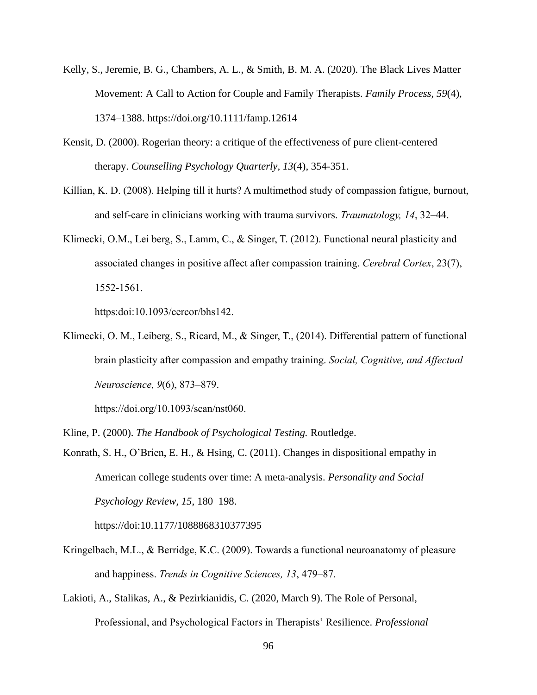- Kelly, S., Jeremie, B. G., Chambers, A. L., & Smith, B. M. A. (2020). The Black Lives Matter Movement: A Call to Action for Couple and Family Therapists. *Family Process, 59*(4), 1374–1388. https://doi.org/10.1111/famp.12614
- Kensit, D. (2000). Rogerian theory: a critique of the effectiveness of pure client-centered therapy. *Counselling Psychology Quarterly, 13*(4), 354-351.
- Killian, K. D. (2008). Helping till it hurts? A multimethod study of compassion fatigue, burnout, and self-care in clinicians working with trauma survivors. *Traumatology, 14*, 32–44.
- Klimecki, O.M., Lei berg, S., Lamm, C., & Singer, T. (2012). Functional neural plasticity and associated changes in positive affect after compassion training. *Cerebral Cortex*, 23(7), 1552-1561.

https:doi:10.1093/cercor/bhs142.

Klimecki, O. M., Leiberg, S., Ricard, M., & Singer, T., (2014). Differential pattern of functional brain plasticity after compassion and empathy training. *Social, Cognitive, and Affectual Neuroscience, 9*(6), 873–879.

[https://doi.org/10.1093/scan/nst060.](https://doi.org/10.1093/scan/nst060)

Kline, P. (2000). *The Handbook of Psychological Testing.* Routledge.

Konrath, S. H., O'Brien, E. H., & Hsing, C. (2011). Changes in dispositional empathy in American college students over time: A meta-analysis. *Personality and Social Psychology Review, 15*, 180–198.

https://doi:10.1177/1088868310377395

- Kringelbach, M.L., & Berridge, K.C. (2009). Towards a functional neuroanatomy of pleasure and happiness. *Trends in Cognitive Sciences, 13*, 479–87.
- Lakioti, A., Stalikas, A., & Pezirkianidis, C. (2020, March 9). The Role of Personal, Professional, and Psychological Factors in Therapists' Resilience. *Professional*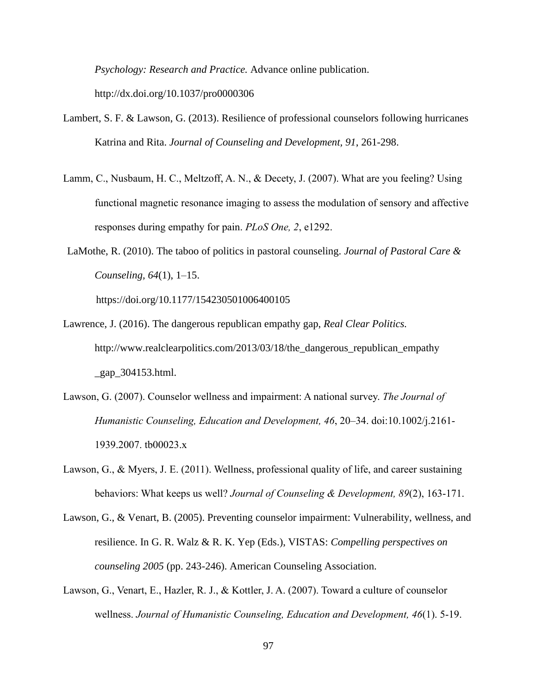*Psychology: Research and Practice.* Advance online publication.

<http://dx.doi.org/10.1037/pro0000306>

- Lambert, S. F. & Lawson, G. (2013). Resilience of professional counselors following hurricanes Katrina and Rita. *Journal of Counseling and Development, 91*, 261-298.
- Lamm, C., Nusbaum, H. C., Meltzoff, A. N., & Decety, J. (2007). What are you feeling? Using functional magnetic resonance imaging to assess the modulation of sensory and affective responses during empathy for pain. *PLoS One, 2*, e1292.
- LaMothe, R. (2010). The taboo of politics in pastoral counseling. *Journal of Pastoral Care & Counseling, 64*(1), 1–15.

https://doi.org/10.1177/154230501006400105

- Lawrence, J. (2016). The dangerous republican empathy gap, *Real Clear Politics.* [http://www.realclearpolitics.com/2013/03/18/the\\_dangerous\\_republican\\_empathy](http://www.realclearpolitics.com/2013/03/18/the_dangerous_republican_empathy%20_gap_304153.html)  [\\_gap\\_304153.html.](http://www.realclearpolitics.com/2013/03/18/the_dangerous_republican_empathy%20_gap_304153.html)
- Lawson, G. (2007). Counselor wellness and impairment: A national survey. *The Journal of Humanistic Counseling, Education and Development, 46*, 20–34. doi:10.1002/j.2161- 1939.2007. tb00023.x
- Lawson, G., & Myers, J. E. (2011). Wellness, professional quality of life, and career sustaining behaviors: What keeps us well? *Journal of Counseling & Development, 89*(2), 163-171.
- Lawson, G., & Venart, B. (2005). Preventing counselor impairment: Vulnerability, wellness, and resilience. In G. R. Walz & R. K. Yep (Eds.), VISTAS: *Compelling perspectives on counseling 2005* (pp. 243-246). American Counseling Association.
- Lawson, G., Venart, E., Hazler, R. J., & Kottler, J. A. (2007). Toward a culture of counselor wellness. *Journal of Humanistic Counseling, Education and Development, 46*(1). 5-19.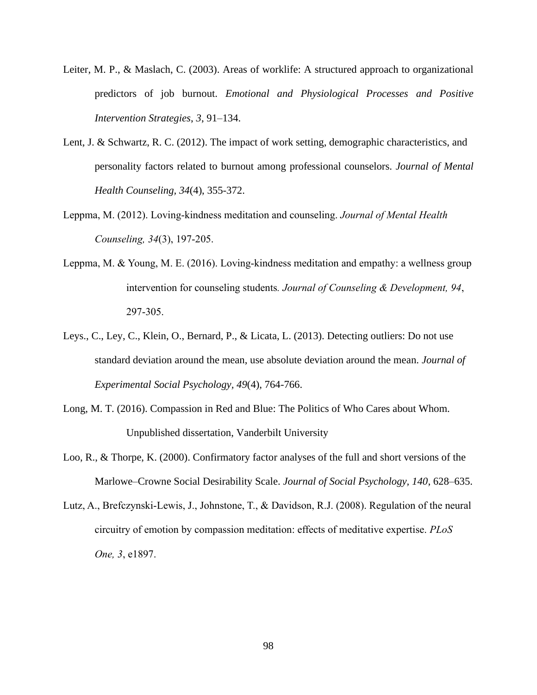- Leiter, M. P., & Maslach, C. (2003). Areas of worklife: A structured approach to organizational predictors of job burnout. *Emotional and Physiological Processes and Positive Intervention Strategies*, *3*, 91–134.
- Lent, J. & Schwartz, R. C. (2012). The impact of work setting, demographic characteristics, and personality factors related to burnout among professional counselors. *Journal of Mental Health Counseling, 34*(4), 355-372.
- Leppma, M. (2012). Loving-kindness meditation and counseling. *Journal of Mental Health Counseling, 34*(3), 197-205.
- Leppma, M. & Young, M. E. (2016). Loving-kindness meditation and empathy: a wellness group intervention for counseling students*. Journal of Counseling & Development, 94*, 297-305.
- Leys., C., Ley, C., Klein, O., Bernard, P., & Licata, L. (2013). Detecting outliers: Do not use standard deviation around the mean, use absolute deviation around the mean. *Journal of Experimental Social Psychology, 49*(4), 764-766.
- Long, M. T. (2016). Compassion in Red and Blue: The Politics of Who Cares about Whom. Unpublished dissertation, Vanderbilt University
- Loo, R., & Thorpe, K. (2000). Confirmatory factor analyses of the full and short versions of the Marlowe–Crowne Social Desirability Scale. *Journal of Social Psychology, 140*, 628–635.
- Lutz, A., Brefczynski-Lewis, J., Johnstone, T., & Davidson, R.J. (2008). Regulation of the neural circuitry of emotion by compassion meditation: effects of meditative expertise. *PLoS One, 3*, e1897.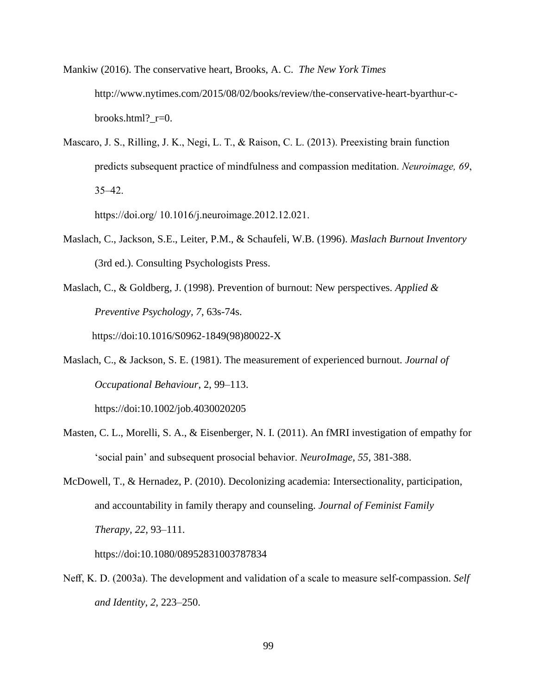- Mankiw (2016). The conservative heart, Brooks, A. C. *The New York Times* http://www.nytimes.com/2015/08/02/books/review/the-conservative-heart-byarthur-cbrooks.html?\_r=0.
- Mascaro, J. S., Rilling, J. K., Negi, L. T., & Raison, C. L. (2013). Preexisting brain function predicts subsequent practice of mindfulness and compassion meditation. *Neuroimage, 69*, 35–42.

https://doi.org/ 10.1016/j.neuroimage.2012.12.021.

- Maslach, C., Jackson, S.E., Leiter, P.M., & Schaufeli, W.B. (1996). *Maslach Burnout Inventory*  (3rd ed.). Consulting Psychologists Press.
- Maslach, C., & Goldberg, J. (1998). Prevention of burnout: New perspectives. *Applied & Preventive Psychology, 7*, 63s-74s.

[https://doi:10.1016/S0962-1849\(98\)80022-X](https://doi:10.1016/S0962-1849(98)80022-X)

Maslach, C., & Jackson, S. E. (1981). The measurement of experienced burnout. *Journal of Occupational Behaviour*, 2, 99–113.

https://doi:10.1002/job.4030020205

- Masten, C. L., Morelli, S. A., & Eisenberger, N. I. (2011). An fMRI investigation of empathy for 'social pain' and subsequent prosocial behavior. *NeuroImage, 55,* 381-388.
- McDowell, T., & Hernadez, P. (2010). Decolonizing academia: Intersectionality, participation, and accountability in family therapy and counseling. *Journal of Feminist Family Therapy, 22*, 93–111.

https://doi:10.1080/08952831003787834

Neff, K. D. (2003a). The development and validation of a scale to measure self-compassion. *Self and Identity, 2*, 223–250.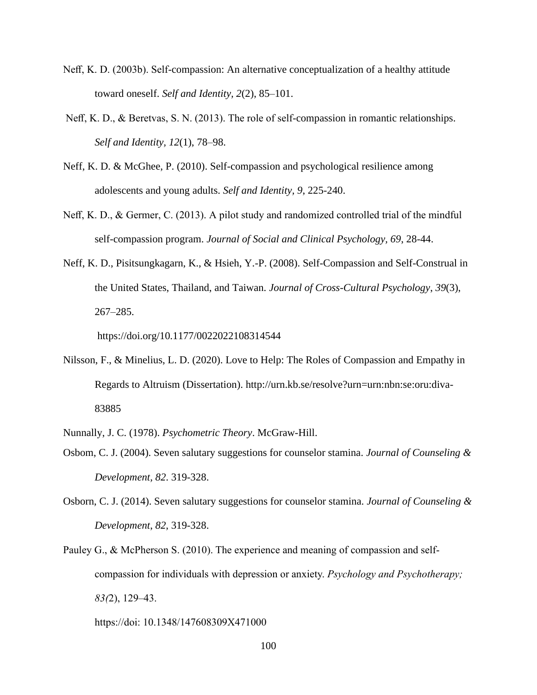- Neff, K. D. (2003b). Self-compassion: An alternative conceptualization of a healthy attitude toward oneself. *Self and Identity, 2*(2), 85–101.
- Neff, K. D., & Beretvas, S. N. (2013). The role of self-compassion in romantic relationships. *Self and Identity, 12*(1), 78–98.
- Neff, K. D. & McGhee, P. (2010). Self-compassion and psychological resilience among adolescents and young adults. *Self and Identity, 9*, 225-240.
- Neff, K. D., & Germer, C. (2013). A pilot study and randomized controlled trial of the mindful self-compassion program. *Journal of Social and Clinical Psychology, 69*, 28-44.
- Neff, K. D., Pisitsungkagarn, K., & Hsieh, Y.-P. (2008). Self-Compassion and Self-Construal in the United States, Thailand, and Taiwan. *Journal of Cross-Cultural Psychology*, *39*(3), 267–285.

<https://doi.org/10.1177/0022022108314544>

Nilsson, F., & Minelius, L. D. (2020). Love to Help: The Roles of Compassion and Empathy in Regards to Altruism (Dissertation). [http://urn.kb.se/resolve?urn=urn:nbn:se:oru:diva-](http://urn.kb.se/resolve?urn=urn:nbn:se:oru:diva-83885)[83885](http://urn.kb.se/resolve?urn=urn:nbn:se:oru:diva-83885)

Nunnally, J. C. (1978). *Psychometric Theory*. McGraw-Hill.

- Osbom, C. J. (2004). Seven salutary suggestions for counselor stamina. *Journal of Counseling & Development, 82*. 319-328.
- Osborn, C. J. (2014). Seven salutary suggestions for counselor stamina. *Journal of Counseling & Development*, *82*, 319-328.
- Pauley G., & McPherson S. (2010). The experience and meaning of compassion and selfcompassion for individuals with depression or anxiety. *Psychology and Psychotherapy; 83(*2), 129–43.

https://doi: 10.1348/147608309X471000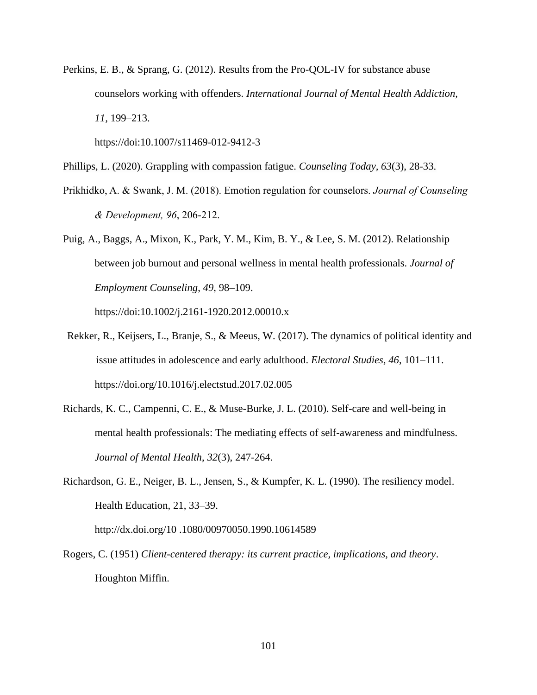Perkins, E. B., & Sprang, G. (2012). Results from the Pro-QOL-IV for substance abuse counselors working with offenders. *International Journal of Mental Health Addiction, 11,* 199–213.

https://doi:10.1007/s11469-012-9412-3

Phillips, L. (2020). Grappling with compassion fatigue. *Counseling Today, 63*(3), 28-33.

- Prikhidko, A. & Swank, J. M. (2018). Emotion regulation for counselors. *Journal of Counseling & Development, 96*, 206-212.
- Puig, A., Baggs, A., Mixon, K., Park, Y. M., Kim, B. Y., & Lee, S. M. (2012). Relationship between job burnout and personal wellness in mental health professionals. *Journal of Employment Counseling*, *49*, 98–109.

https://doi:10.1002/j.2161-1920.2012.00010.x

- Rekker, R., Keijsers, L., Branje, S., & Meeus, W. (2017). The dynamics of political identity and issue attitudes in adolescence and early adulthood. *Electoral Studies, 46*, 101–111. https://doi.org/10.1016/j.electstud.2017.02.005
- Richards, K. C., Campenni, C. E., & Muse-Burke, J. L. (2010). Self-care and well-being in mental health professionals: The mediating effects of self-awareness and mindfulness. *Journal of Mental Health*, *32*(3), 247-264.
- Richardson, G. E., Neiger, B. L., Jensen, S., & Kumpfer, K. L. (1990). The resiliency model. Health Education, 21, 33–39.

http://dx.doi.org/10 .1080/00970050.1990.10614589

Rogers, C. (1951) *Client-centered therapy: its current practice, implications, and theory*. Houghton Miffin.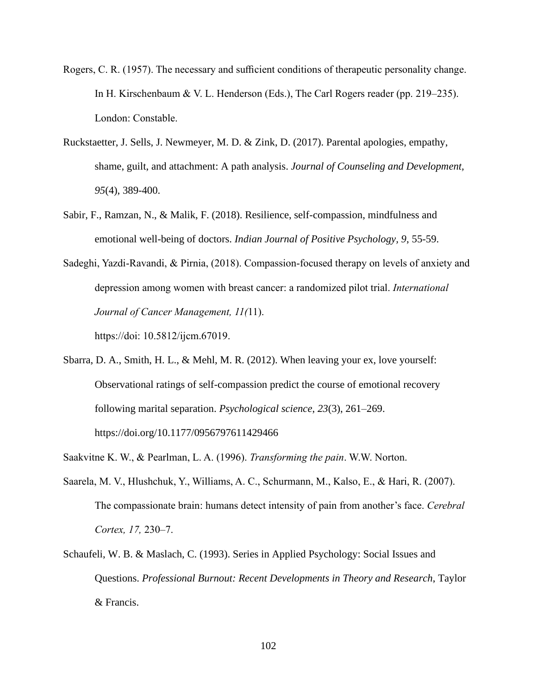- Rogers, C. R. (1957). The necessary and sufficient conditions of therapeutic personality change. In H. Kirschenbaum & V. L. Henderson (Eds.), The Carl Rogers reader (pp. 219–235). London: Constable.
- Ruckstaetter, J. Sells, J. Newmeyer, M. D. & Zink, D. (2017). Parental apologies, empathy, shame, guilt, and attachment: A path analysis. *Journal of Counseling and Development, 95*(4), 389-400.
- Sabir, F., Ramzan, N., & Malik, F. (2018). Resilience, self-compassion, mindfulness and emotional well-being of doctors. *Indian Journal of Positive Psychology, 9*, 55-59.
- Sadeghi, Yazdi-Ravandi, & Pirnia, (2018). Compassion-focused therapy on levels of anxiety and depression among women with breast cancer: a randomized pilot trial. *International Journal of Cancer Management, 11(*11). https://doi: 10.5812/ijcm.67019.
- Sbarra, D. A., Smith, H. L., & Mehl, M. R. (2012). When leaving your ex, love yourself: Observational ratings of self-compassion predict the course of emotional recovery following marital separation. *Psychological science*, *23*(3), 261–269. https://doi.org/10.1177/0956797611429466
- Saakvitne K. W., & Pearlman, L. A. (1996). *Transforming the pain*. W.W. Norton.
- Saarela, M. V., Hlushchuk, Y., Williams, A. C., Schurmann, M., Kalso, E., & Hari, R. (2007). The compassionate brain: humans detect intensity of pain from another's face. *Cerebral Cortex, 17,* 230–7.
- Schaufeli, W. B. & Maslach, C. (1993). Series in Applied Psychology: Social Issues and Questions. *Professional Burnout: Recent Developments in Theory and Research*, Taylor & Francis.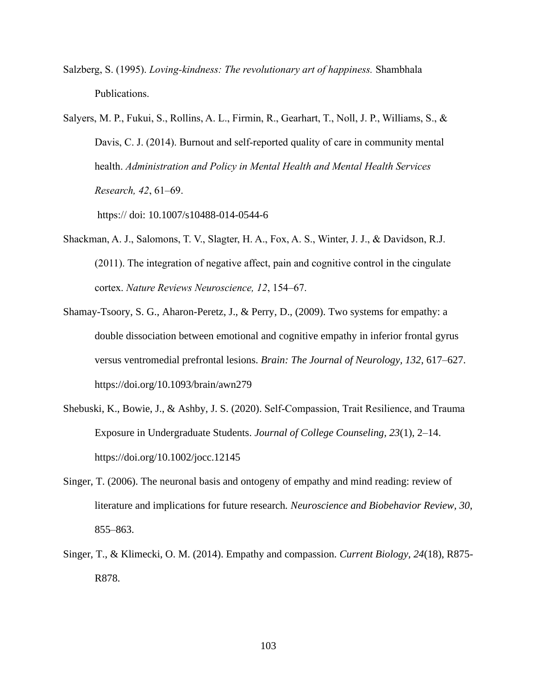Salzberg, S. (1995). *Loving-kindness: The revolutionary art of happiness.* Shambhala Publications.

Salyers, M. P., Fukui, S., Rollins, A. L., Firmin, R., Gearhart, T., Noll, J. P., Williams, S., & Davis, C. J. (2014). Burnout and self-reported quality of care in community mental health. *Administration and Policy in Mental Health and Mental Health Services Research, 42*, 61–69.

https:// doi: [10.1007/s10488-014-0544-6](https://doi.org/10.1007/s10488-014-0544-6)

- Shackman, A. J., Salomons, T. V., Slagter, H. A., Fox, A. S., Winter, J. J., & Davidson, R.J. (2011). The integration of negative affect, pain and cognitive control in the cingulate cortex. *Nature Reviews Neuroscience, 12*, 154–67.
- Shamay-Tsoory, S. G., Aharon-Peretz, J., & Perry, D., (2009). Two systems for empathy: a double dissociation between emotional and cognitive empathy in inferior frontal gyrus versus ventromedial prefrontal lesions. *Brain: The Journal of Neurology, 132*, 617–627. <https://doi.org/10.1093/brain/awn279>
- Shebuski, K., Bowie, J., & Ashby, J. S. (2020). Self‐Compassion, Trait Resilience, and Trauma Exposure in Undergraduate Students. *Journal of College Counseling, 23*(1), 2–14. <https://doi.org/10.1002/jocc.12145>
- Singer, T. (2006). The neuronal basis and ontogeny of empathy and mind reading: review of literature and implications for future research*. Neuroscience and Biobehavior Review, 30*, 855–863.
- Singer, T., & Klimecki, O. M. (2014). Empathy and compassion. *Current Biology, 24*(18), R875- R878.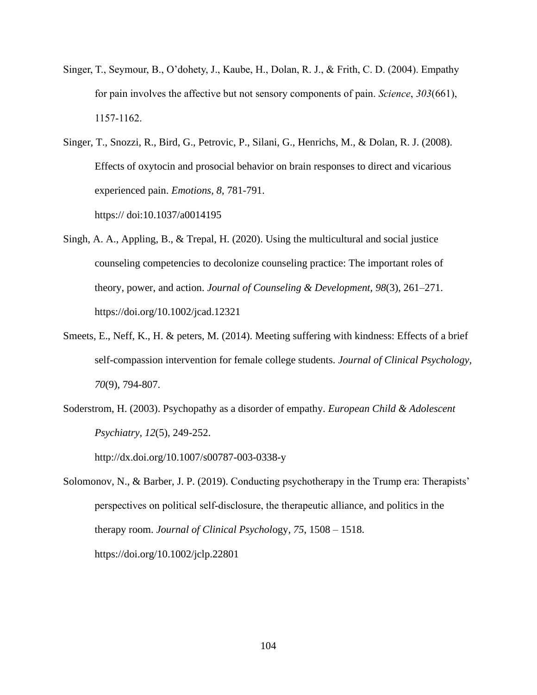Singer, T., Seymour, B., O'dohety, J., Kaube, H., Dolan, R. J., & Frith, C. D. (2004). Empathy for pain involves the affective but not sensory components of pain. *Science*, *303*(661), 1157-1162.

Singer, T., Snozzi, R., Bird, G., Petrovic, P., Silani, G., Henrichs, M., & Dolan, R. J. (2008). Effects of oxytocin and prosocial behavior on brain responses to direct and vicarious experienced pain. *Emotions, 8*, 781-791.

https:// doi:10.1037/a0014195

- Singh, A. A., Appling, B., & Trepal, H. (2020). Using the multicultural and social justice counseling competencies to decolonize counseling practice: The important roles of theory, power, and action. *Journal of Counseling & Development, 98*(3), 261–271. https://doi.org/10.1002/jcad.12321
- Smeets, E., Neff, K., H. & peters, M. (2014). Meeting suffering with kindness: Effects of a brief self-compassion intervention for female college students. *Journal of Clinical Psychology, 70*(9), 794-807.
- Soderstrom, H. (2003). Psychopathy as a disorder of empathy. *European Child & Adolescent Psychiatry, 12*(5), 249-252.

http://dx.doi.org/10.1007/s00787-003-0338-y

Solomonov, N., & Barber, J. P. (2019). Conducting psychotherapy in the Trump era: Therapists' perspectives on political self‐disclosure, the therapeutic alliance, and politics in the therapy room. *Journal of Clinical Psychol*ogy*, 75*, 1508 – 1518. <https://doi.org/10.1002/jclp.22801>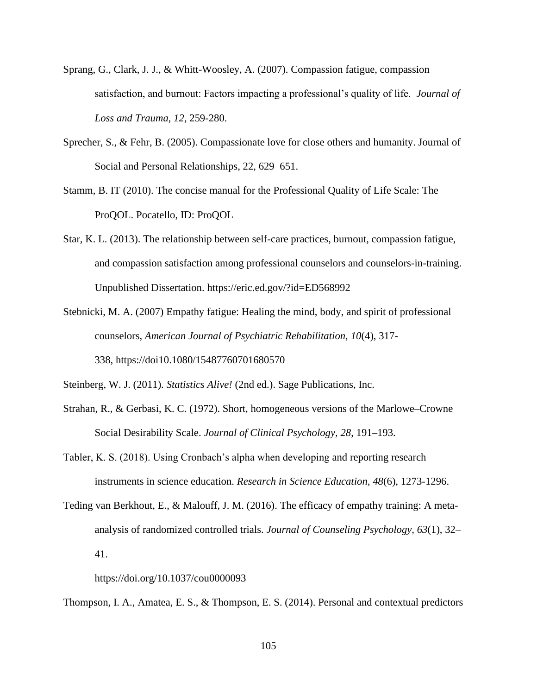- Sprang, G., Clark, J. J., & Whitt-Woosley, A. (2007). Compassion fatigue, compassion satisfaction, and burnout: Factors impacting a professional's quality of life. *Journal of Loss and Trauma, 12*, 259-280.
- Sprecher, S., & Fehr, B. (2005). Compassionate love for close others and humanity. Journal of Social and Personal Relationships, 22, 629–651.
- Stamm, B. IT (2010). The concise manual for the Professional Quality of Life Scale: The ProQOL. Pocatello, ID: ProQOL
- Star, K. L. (2013). The relationship between self-care practices, burnout, compassion fatigue, and compassion satisfaction among professional counselors and counselors-in-training. Unpublished Dissertation.<https://eric.ed.gov/?id=ED568992>
- Stebnicki, M. A. (2007) Empathy fatigue: Healing the mind, body, and spirit of professional counselors, *American Journal of Psychiatric Rehabilitation, 10*(4), 317- 338, https://do[i10.1080/15487760701680570](https://doi.org/10.1080/15487760701680570)
- Steinberg, W. J. (2011). *Statistics Alive!* (2nd ed.). Sage Publications, Inc.
- Strahan, R., & Gerbasi, K. C. (1972). Short, homogeneous versions of the Marlowe–Crowne Social Desirability Scale. *Journal of Clinical Psychology, 28*, 191–193.
- Tabler, K. S. (2018). Using Cronbach's alpha when developing and reporting research instruments in science education. *Research in Science Education, 48*(6), 1273-1296.
- Teding van Berkhout, E., & Malouff, J. M. (2016). The efficacy of empathy training: A metaanalysis of randomized controlled trials. *Journal of Counseling Psychology, 63*(1), 32– 41.
	- https://doi.org/10.1037/cou0000093

Thompson, I. A., Amatea, E. S., & Thompson, E. S. (2014). Personal and contextual predictors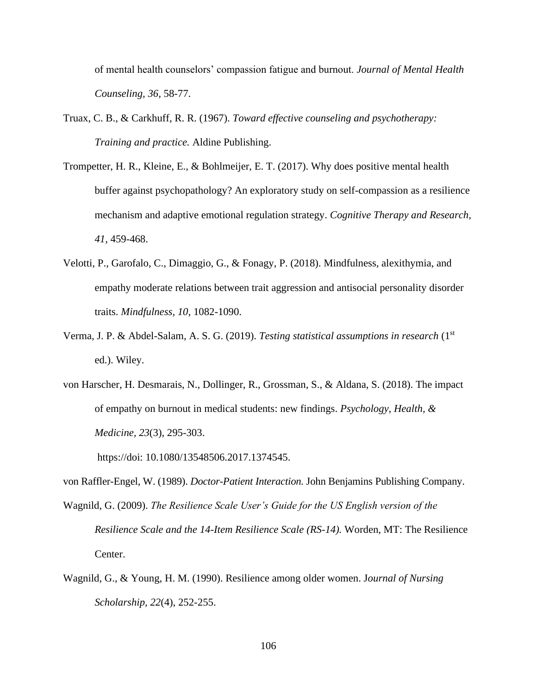of mental health counselors' compassion fatigue and burnout. *Journal of Mental Health Counseling, 36,* 58-77.

- Truax, C. B., & Carkhuff, R. R. (1967). *Toward effective counseling and psychotherapy: Training and practice.* Aldine Publishing.
- Trompetter, H. R., Kleine, E., & Bohlmeijer, E. T. (2017). Why does positive mental health buffer against psychopathology? An exploratory study on self-compassion as a resilience mechanism and adaptive emotional regulation strategy. *Cognitive Therapy and Research, 41*, 459-468.
- Velotti, P., Garofalo, C., Dimaggio, G., & Fonagy, P. (2018). Mindfulness, alexithymia, and empathy moderate relations between trait aggression and antisocial personality disorder traits. *Mindfulness, 10*, 1082-1090.
- Verma, J. P. & Abdel-Salam, A. S. G. (2019). *Testing statistical assumptions in research* (1st ed.). Wiley.
- von Harscher, H. Desmarais, N., Dollinger, R., Grossman, S., & Aldana, S. (2018). The impact of empathy on burnout in medical students: new findings. *Psychology, Health, & Medicine, 23*(3), 295-303.

https://doi: 10.1080/13548506.2017.1374545.

von Raffler-Engel, W. (1989). *Doctor-Patient Interaction.* John Benjamins Publishing Company.

- Wagnild, G. (2009). *The Resilience Scale User's Guide for the US English version of the Resilience Scale and the 14-Item Resilience Scale (RS-14).* Worden, MT: The Resilience Center.
- Wagnild, G., & Young, H. M. (1990). Resilience among older women. J*ournal of Nursing Scholarship, 22*(4), 252-255.